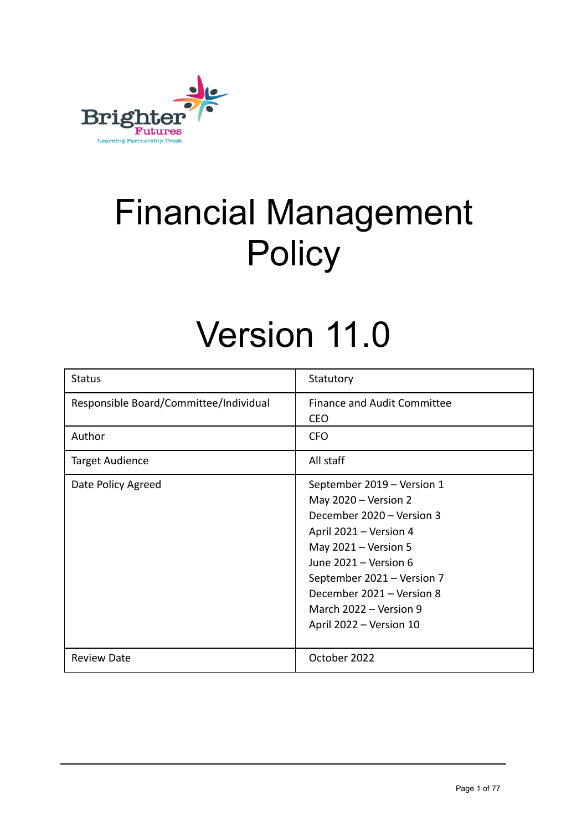

# Financial Management **Policy**

## Version 11.0

| <b>Status</b>                          | Statutory                                                                                                                                                                                                                                                                      |
|----------------------------------------|--------------------------------------------------------------------------------------------------------------------------------------------------------------------------------------------------------------------------------------------------------------------------------|
| Responsible Board/Committee/Individual | <b>Finance and Audit Committee</b><br><b>CEO</b>                                                                                                                                                                                                                               |
| Author                                 | <b>CFO</b>                                                                                                                                                                                                                                                                     |
| <b>Target Audience</b>                 | All staff                                                                                                                                                                                                                                                                      |
| Date Policy Agreed                     | September 2019 - Version 1<br>May $2020 - Version 2$<br>December 2020 - Version 3<br>April 2021 – Version 4<br>May $2021 - Version 5$<br>June 2021 - Version 6<br>September 2021 - Version 7<br>December 2021 - Version 8<br>March 2022 – Version 9<br>April 2022 - Version 10 |
| <b>Review Date</b>                     | October 2022                                                                                                                                                                                                                                                                   |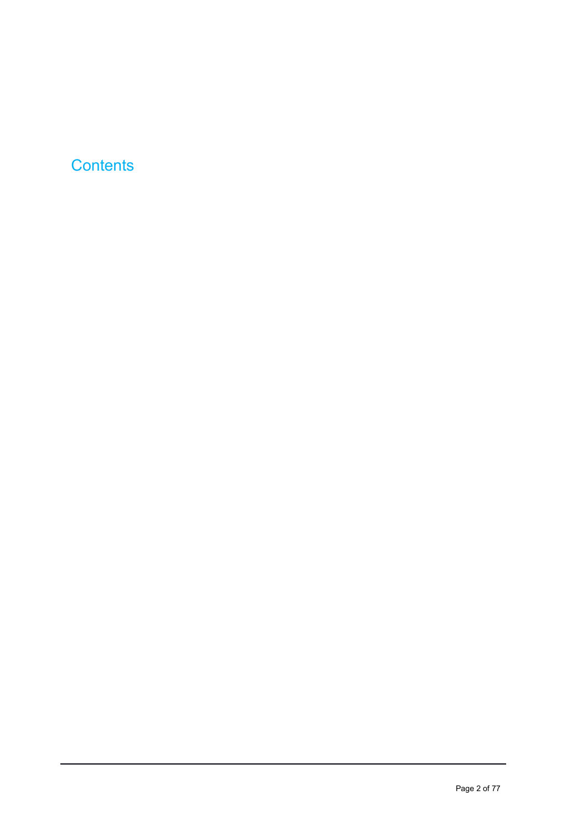## **Contents**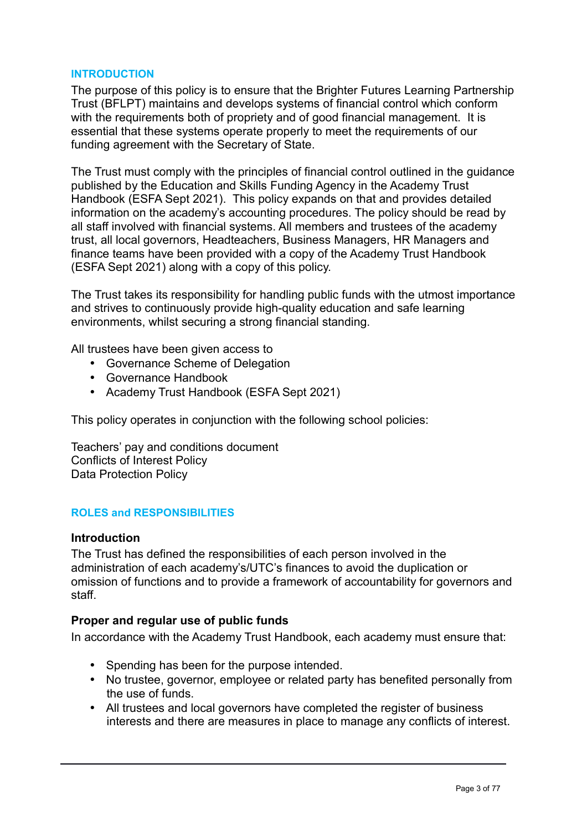### **INTRODUCTION**

The purpose of this policy is to ensure that the Brighter Futures Learning Partnership Trust (BFLPT) maintains and develops systems of financial control which conform with the requirements both of propriety and of good financial management. It is essential that these systems operate properly to meet the requirements of our funding agreement with the Secretary of State.

The Trust must comply with the principles of financial control outlined in the guidance published by the Education and Skills Funding Agency in the Academy Trust Handbook (ESFA Sept 2021). This policy expands on that and provides detailed information on the academy's accounting procedures. The policy should be read by all staff involved with financial systems. All members and trustees of the academy trust, all local governors, Headteachers, Business Managers, HR Managers and finance teams have been provided with a copy of the Academy Trust Handbook (ESFA Sept 2021) along with a copy of this policy.

The Trust takes its responsibility for handling public funds with the utmost importance and strives to continuously provide high-quality education and safe learning environments, whilst securing a strong financial standing.

All trustees have been given access to

- Governance Scheme of Delegation
- Governance Handbook
- Academy Trust Handbook (ESFA Sept 2021)

This policy operates in conjunction with the following school policies:

Teachers' pay and conditions document Conflicts of Interest Policy Data Protection Policy

#### **ROLES and RESPONSIBILITIES**

#### **Introduction**

The Trust has defined the responsibilities of each person involved in the administration of each academy's/UTC's finances to avoid the duplication or omission of functions and to provide a framework of accountability for governors and staff.

#### **Proper and regular use of public funds**

In accordance with the Academy Trust Handbook, each academy must ensure that:

- Spending has been for the purpose intended.
- No trustee, governor, employee or related party has benefited personally from the use of funds.
- All trustees and local governors have completed the register of business interests and there are measures in place to manage any conflicts of interest.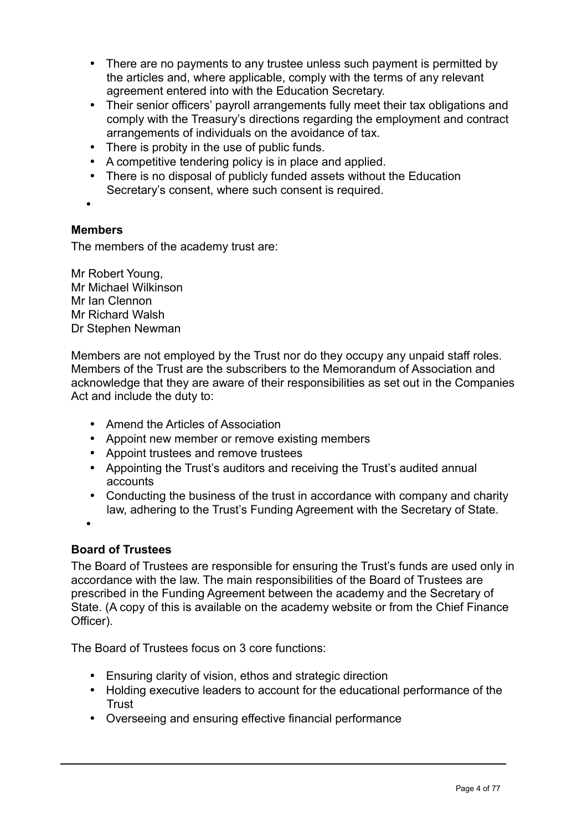- There are no payments to any trustee unless such payment is permitted by the articles and, where applicable, comply with the terms of any relevant agreement entered into with the Education Secretary.
- Their senior officers' payroll arrangements fully meet their tax obligations and comply with the Treasury's directions regarding the employment and contract arrangements of individuals on the avoidance of tax.
- There is probity in the use of public funds.
- A competitive tendering policy is in place and applied.
- There is no disposal of publicly funded assets without the Education Secretary's consent, where such consent is required.
- •

## **Members**

The members of the academy trust are:

Mr Robert Young, Mr Michael Wilkinson Mr Ian Clennon Mr Richard Walsh Dr Stephen Newman

Members are not employed by the Trust nor do they occupy any unpaid staff roles. Members of the Trust are the subscribers to the Memorandum of Association and acknowledge that they are aware of their responsibilities as set out in the Companies Act and include the duty to:

- Amend the Articles of Association
- Appoint new member or remove existing members
- Appoint trustees and remove trustees
- Appointing the Trust's auditors and receiving the Trust's audited annual accounts
- Conducting the business of the trust in accordance with company and charity law, adhering to the Trust's Funding Agreement with the Secretary of State.
- •

## **Board of Trustees**

The Board of Trustees are responsible for ensuring the Trust's funds are used only in accordance with the law. The main responsibilities of the Board of Trustees are prescribed in the Funding Agreement between the academy and the Secretary of State. (A copy of this is available on the academy website or from the Chief Finance Officer).

The Board of Trustees focus on 3 core functions:

- Ensuring clarity of vision, ethos and strategic direction
- Holding executive leaders to account for the educational performance of the **Trust**
- Overseeing and ensuring effective financial performance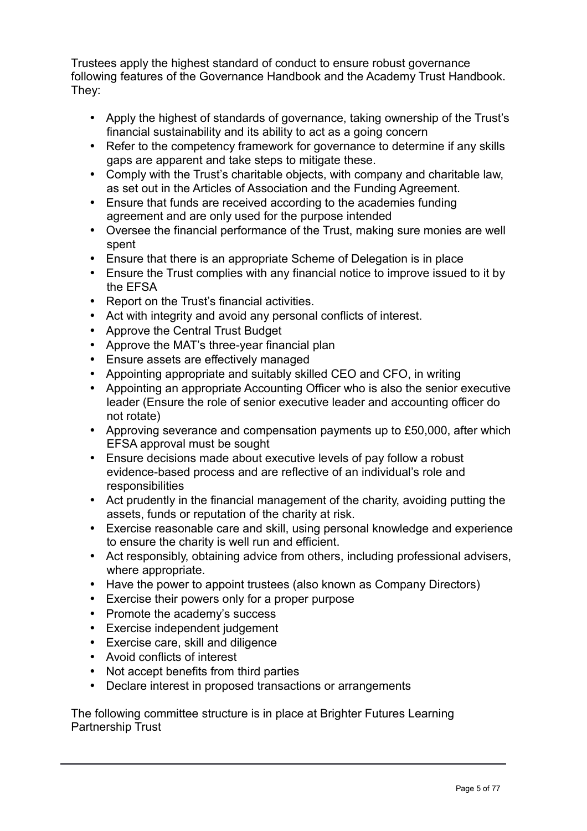Trustees apply the highest standard of conduct to ensure robust governance following features of the Governance Handbook and the Academy Trust Handbook. They:

- Apply the highest of standards of governance, taking ownership of the Trust's financial sustainability and its ability to act as a going concern
- Refer to the competency framework for governance to determine if any skills gaps are apparent and take steps to mitigate these.
- Comply with the Trust's charitable objects, with company and charitable law, as set out in the Articles of Association and the Funding Agreement.
- Ensure that funds are received according to the academies funding agreement and are only used for the purpose intended
- Oversee the financial performance of the Trust, making sure monies are well spent
- Ensure that there is an appropriate Scheme of Delegation is in place
- Ensure the Trust complies with any financial notice to improve issued to it by the EFSA
- Report on the Trust's financial activities.
- Act with integrity and avoid any personal conflicts of interest.
- Approve the Central Trust Budget
- Approve the MAT's three-year financial plan
- Ensure assets are effectively managed
- Appointing appropriate and suitably skilled CEO and CFO, in writing
- Appointing an appropriate Accounting Officer who is also the senior executive leader (Ensure the role of senior executive leader and accounting officer do not rotate)
- Approving severance and compensation payments up to £50,000, after which EFSA approval must be sought
- Ensure decisions made about executive levels of pay follow a robust evidence-based process and are reflective of an individual's role and responsibilities
- Act prudently in the financial management of the charity, avoiding putting the assets, funds or reputation of the charity at risk.
- Exercise reasonable care and skill, using personal knowledge and experience to ensure the charity is well run and efficient.
- Act responsibly, obtaining advice from others, including professional advisers, where appropriate.
- Have the power to appoint trustees (also known as Company Directors)
- Exercise their powers only for a proper purpose
- Promote the academy's success
- Exercise independent judgement
- Exercise care, skill and diligence
- Avoid conflicts of interest
- Not accept benefits from third parties
- Declare interest in proposed transactions or arrangements

The following committee structure is in place at Brighter Futures Learning Partnership Trust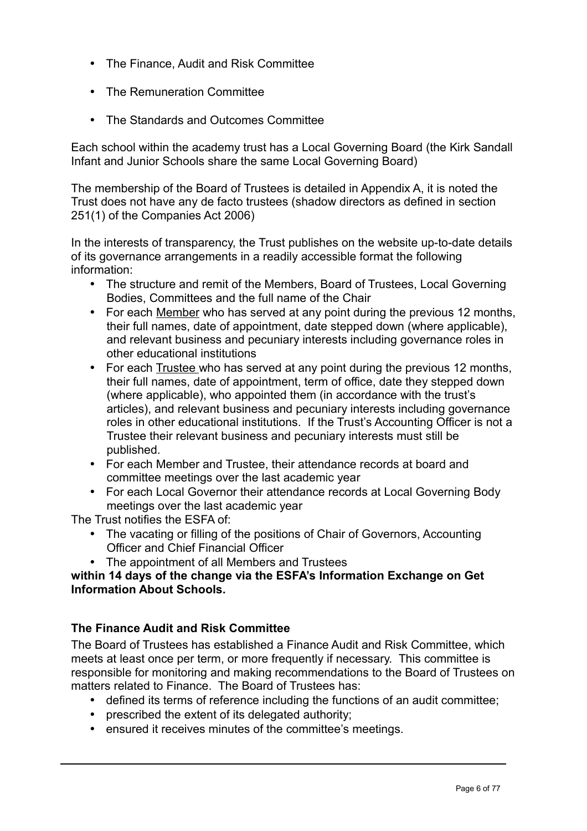- The Finance, Audit and Risk Committee
- The Remuneration Committee
- The Standards and Outcomes Committee

Each school within the academy trust has a Local Governing Board (the Kirk Sandall Infant and Junior Schools share the same Local Governing Board)

The membership of the Board of Trustees is detailed in Appendix A, it is noted the Trust does not have any de facto trustees (shadow directors as defined in section 251(1) of the Companies Act 2006)

In the interests of transparency, the Trust publishes on the website up-to-date details of its governance arrangements in a readily accessible format the following information:

- The structure and remit of the Members, Board of Trustees, Local Governing Bodies, Committees and the full name of the Chair
- For each Member who has served at any point during the previous 12 months, their full names, date of appointment, date stepped down (where applicable), and relevant business and pecuniary interests including governance roles in other educational institutions
- For each Trustee who has served at any point during the previous 12 months, their full names, date of appointment, term of office, date they stepped down (where applicable), who appointed them (in accordance with the trust's articles), and relevant business and pecuniary interests including governance roles in other educational institutions. If the Trust's Accounting Officer is not a Trustee their relevant business and pecuniary interests must still be published.
- For each Member and Trustee, their attendance records at board and committee meetings over the last academic year
- For each Local Governor their attendance records at Local Governing Body meetings over the last academic year

The Trust notifies the ESFA of:

- The vacating or filling of the positions of Chair of Governors, Accounting Officer and Chief Financial Officer
- The appointment of all Members and Trustees

## **within 14 days of the change via the ESFA's Information Exchange on Get Information About Schools.**

## **The Finance Audit and Risk Committee**

The Board of Trustees has established a Finance Audit and Risk Committee, which meets at least once per term, or more frequently if necessary. This committee is responsible for monitoring and making recommendations to the Board of Trustees on matters related to Finance. The Board of Trustees has:

- defined its terms of reference including the functions of an audit committee;
- prescribed the extent of its delegated authority;
- ensured it receives minutes of the committee's meetings.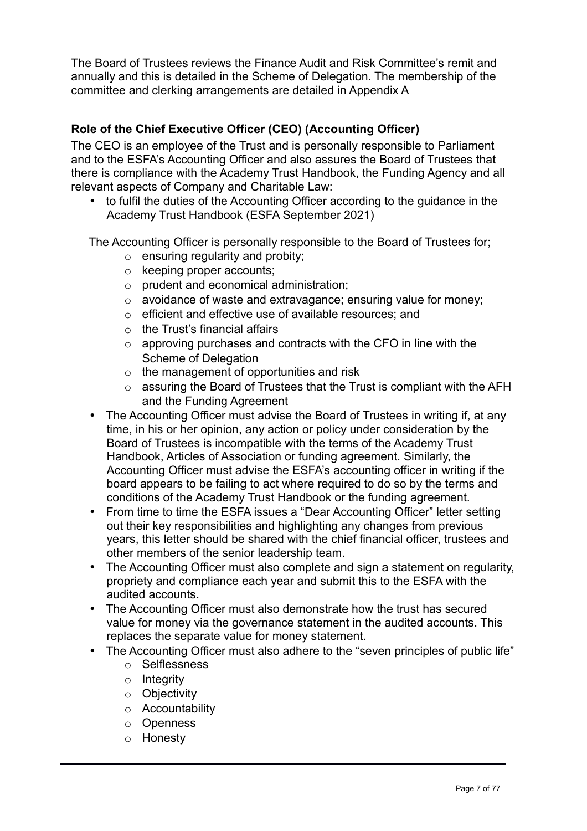The Board of Trustees reviews the Finance Audit and Risk Committee's remit and annually and this is detailed in the Scheme of Delegation. The membership of the committee and clerking arrangements are detailed in Appendix A

## **Role of the Chief Executive Officer (CEO) (Accounting Officer)**

The CEO is an employee of the Trust and is personally responsible to Parliament and to the ESFA's Accounting Officer and also assures the Board of Trustees that there is compliance with the Academy Trust Handbook, the Funding Agency and all relevant aspects of Company and Charitable Law:

• to fulfil the duties of the Accounting Officer according to the guidance in the Academy Trust Handbook (ESFA September 2021)

The Accounting Officer is personally responsible to the Board of Trustees for;

- $\circ$  ensuring regularity and probity;
- o keeping proper accounts;
- o prudent and economical administration;
- o avoidance of waste and extravagance; ensuring value for money;
- o efficient and effective use of available resources; and
- $\circ$  the Trust's financial affairs
- o approving purchases and contracts with the CFO in line with the Scheme of Delegation
- o the management of opportunities and risk
- o assuring the Board of Trustees that the Trust is compliant with the AFH and the Funding Agreement
- The Accounting Officer must advise the Board of Trustees in writing if, at any time, in his or her opinion, any action or policy under consideration by the Board of Trustees is incompatible with the terms of the Academy Trust Handbook, Articles of Association or funding agreement. Similarly, the Accounting Officer must advise the ESFA's accounting officer in writing if the board appears to be failing to act where required to do so by the terms and conditions of the Academy Trust Handbook or the funding agreement.
- From time to time the ESFA issues a "Dear Accounting Officer" letter setting out their key responsibilities and highlighting any changes from previous years, this letter should be shared with the chief financial officer, trustees and other members of the senior leadership team.
- The Accounting Officer must also complete and sign a statement on regularity, propriety and compliance each year and submit this to the ESFA with the audited accounts.
- The Accounting Officer must also demonstrate how the trust has secured value for money via the governance statement in the audited accounts. This replaces the separate value for money statement.
- The Accounting Officer must also adhere to the "seven principles of public life"
	- o Selflessness
	- $\circ$  Integrity
	- o Objectivity
	- o Accountability
	- o Openness
	- o Honesty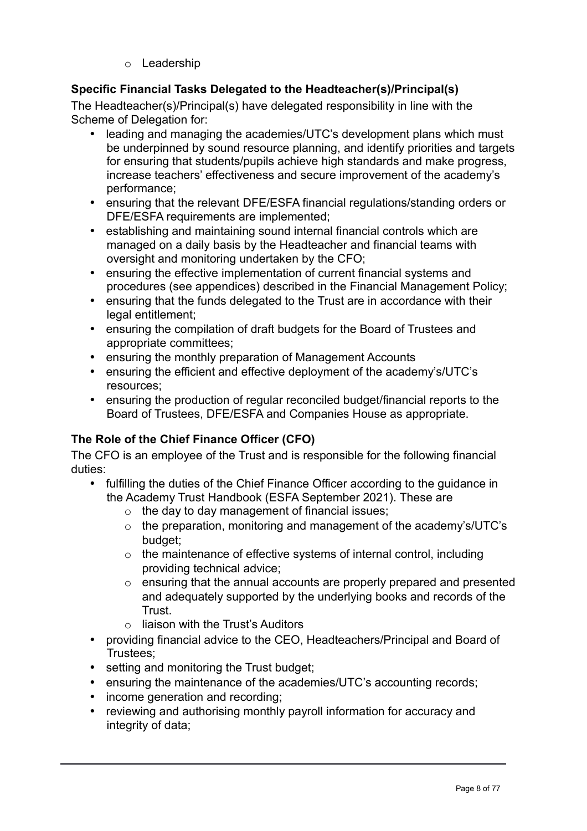o Leadership

## **Specific Financial Tasks Delegated to the Headteacher(s)/Principal(s)**

The Headteacher(s)/Principal(s) have delegated responsibility in line with the Scheme of Delegation for:

- leading and managing the academies/UTC's development plans which must be underpinned by sound resource planning, and identify priorities and targets for ensuring that students/pupils achieve high standards and make progress, increase teachers' effectiveness and secure improvement of the academy's performance;
- ensuring that the relevant DFE/ESFA financial regulations/standing orders or DFE/ESFA requirements are implemented;
- establishing and maintaining sound internal financial controls which are managed on a daily basis by the Headteacher and financial teams with oversight and monitoring undertaken by the CFO;
- ensuring the effective implementation of current financial systems and procedures (see appendices) described in the Financial Management Policy;
- ensuring that the funds delegated to the Trust are in accordance with their legal entitlement;
- ensuring the compilation of draft budgets for the Board of Trustees and appropriate committees;
- ensuring the monthly preparation of Management Accounts
- ensuring the efficient and effective deployment of the academy's/UTC's resources;
- ensuring the production of regular reconciled budget/financial reports to the Board of Trustees, DFE/ESFA and Companies House as appropriate.

## **The Role of the Chief Finance Officer (CFO)**

The CFO is an employee of the Trust and is responsible for the following financial duties:

- fulfilling the duties of the Chief Finance Officer according to the guidance in the Academy Trust Handbook (ESFA September 2021). These are
	- $\circ$  the day to day management of financial issues;
	- o the preparation, monitoring and management of the academy's/UTC's budget;
	- o the maintenance of effective systems of internal control, including providing technical advice;
	- o ensuring that the annual accounts are properly prepared and presented and adequately supported by the underlying books and records of the Trust.
	- $\circ$  liaison with the Trust's Auditors
- providing financial advice to the CEO, Headteachers/Principal and Board of Trustees;
- setting and monitoring the Trust budget;
- ensuring the maintenance of the academies/UTC's accounting records;
- income generation and recording;
- reviewing and authorising monthly payroll information for accuracy and integrity of data;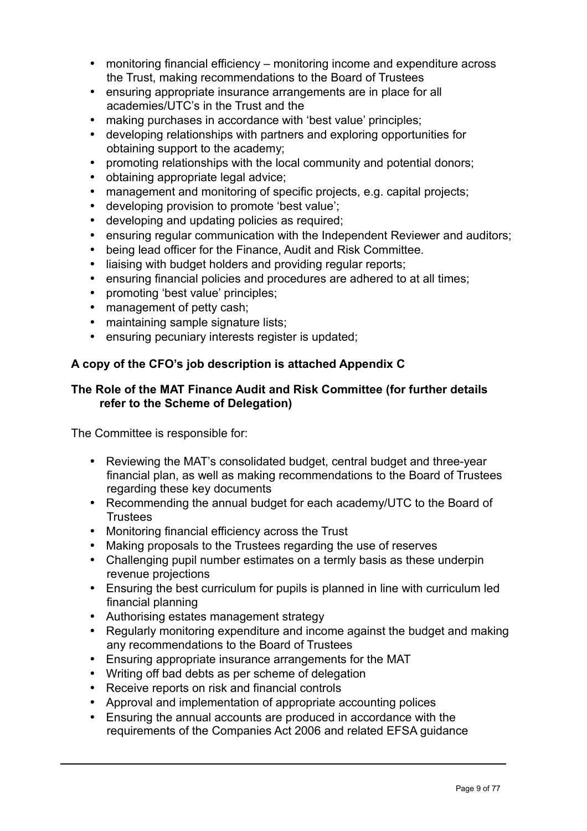- monitoring financial efficiency monitoring income and expenditure across the Trust, making recommendations to the Board of Trustees
- ensuring appropriate insurance arrangements are in place for all academies/UTC's in the Trust and the
- making purchases in accordance with 'best value' principles;
- developing relationships with partners and exploring opportunities for obtaining support to the academy;
- promoting relationships with the local community and potential donors:
- obtaining appropriate legal advice;
- management and monitoring of specific projects, e.g. capital projects;
- developing provision to promote 'best value';
- developing and updating policies as required;
- ensuring regular communication with the Independent Reviewer and auditors:
- being lead officer for the Finance, Audit and Risk Committee.
- liaising with budget holders and providing regular reports;
- ensuring financial policies and procedures are adhered to at all times;
- promoting 'best value' principles;
- management of petty cash:
- maintaining sample signature lists;
- ensuring pecuniary interests register is updated;

## **A copy of the CFO's job description is attached Appendix C**

## **The Role of the MAT Finance Audit and Risk Committee (for further details refer to the Scheme of Delegation)**

The Committee is responsible for:

- Reviewing the MAT's consolidated budget, central budget and three-year financial plan, as well as making recommendations to the Board of Trustees regarding these key documents
- Recommending the annual budget for each academy/UTC to the Board of **Trustees**
- Monitoring financial efficiency across the Trust
- Making proposals to the Trustees regarding the use of reserves
- Challenging pupil number estimates on a termly basis as these underpin revenue projections
- Ensuring the best curriculum for pupils is planned in line with curriculum led financial planning
- Authorising estates management strategy
- Regularly monitoring expenditure and income against the budget and making any recommendations to the Board of Trustees
- Ensuring appropriate insurance arrangements for the MAT
- Writing off bad debts as per scheme of delegation
- Receive reports on risk and financial controls
- Approval and implementation of appropriate accounting polices
- Ensuring the annual accounts are produced in accordance with the requirements of the Companies Act 2006 and related EFSA guidance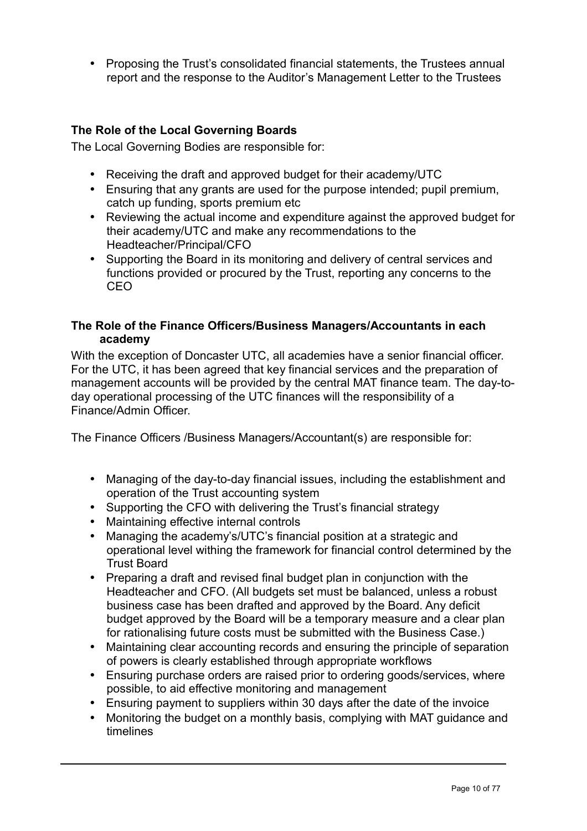• Proposing the Trust's consolidated financial statements, the Trustees annual report and the response to the Auditor's Management Letter to the Trustees

## **The Role of the Local Governing Boards**

The Local Governing Bodies are responsible for:

- Receiving the draft and approved budget for their academy/UTC
- Ensuring that any grants are used for the purpose intended; pupil premium, catch up funding, sports premium etc
- Reviewing the actual income and expenditure against the approved budget for their academy/UTC and make any recommendations to the Headteacher/Principal/CFO
- Supporting the Board in its monitoring and delivery of central services and functions provided or procured by the Trust, reporting any concerns to the CEO

## **The Role of the Finance Officers/Business Managers/Accountants in each academy**

With the exception of Doncaster UTC, all academies have a senior financial officer. For the UTC, it has been agreed that key financial services and the preparation of management accounts will be provided by the central MAT finance team. The day-today operational processing of the UTC finances will the responsibility of a Finance/Admin Officer.

The Finance Officers /Business Managers/Accountant(s) are responsible for:

- Managing of the day-to-day financial issues, including the establishment and operation of the Trust accounting system
- Supporting the CFO with delivering the Trust's financial strategy
- Maintaining effective internal controls
- Managing the academy's/UTC's financial position at a strategic and operational level withing the framework for financial control determined by the Trust Board
- Preparing a draft and revised final budget plan in conjunction with the Headteacher and CFO. (All budgets set must be balanced, unless a robust business case has been drafted and approved by the Board. Any deficit budget approved by the Board will be a temporary measure and a clear plan for rationalising future costs must be submitted with the Business Case.)
- Maintaining clear accounting records and ensuring the principle of separation of powers is clearly established through appropriate workflows
- Ensuring purchase orders are raised prior to ordering goods/services, where possible, to aid effective monitoring and management
- Ensuring payment to suppliers within 30 days after the date of the invoice
- Monitoring the budget on a monthly basis, complying with MAT guidance and timelines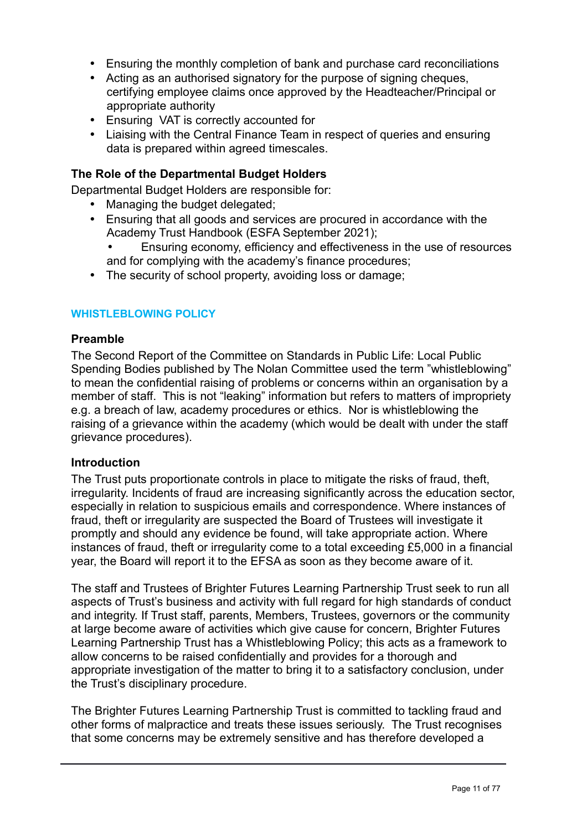- Ensuring the monthly completion of bank and purchase card reconciliations
- Acting as an authorised signatory for the purpose of signing cheques, certifying employee claims once approved by the Headteacher/Principal or appropriate authority
- Ensuring VAT is correctly accounted for
- Liaising with the Central Finance Team in respect of queries and ensuring data is prepared within agreed timescales.

### **The Role of the Departmental Budget Holders**

Departmental Budget Holders are responsible for:

- Managing the budget delegated;
- Ensuring that all goods and services are procured in accordance with the Academy Trust Handbook (ESFA September 2021);
	- Ensuring economy, efficiency and effectiveness in the use of resources and for complying with the academy's finance procedures;
- The security of school property, avoiding loss or damage;

#### **WHISTLEBLOWING POLICY**

#### **Preamble**

The Second Report of the Committee on Standards in Public Life: Local Public Spending Bodies published by The Nolan Committee used the term "whistleblowing" to mean the confidential raising of problems or concerns within an organisation by a member of staff. This is not "leaking" information but refers to matters of impropriety e.g. a breach of law, academy procedures or ethics. Nor is whistleblowing the raising of a grievance within the academy (which would be dealt with under the staff grievance procedures).

#### **Introduction**

The Trust puts proportionate controls in place to mitigate the risks of fraud, theft, irregularity. Incidents of fraud are increasing significantly across the education sector, especially in relation to suspicious emails and correspondence. Where instances of fraud, theft or irregularity are suspected the Board of Trustees will investigate it promptly and should any evidence be found, will take appropriate action. Where instances of fraud, theft or irregularity come to a total exceeding £5,000 in a financial year, the Board will report it to the EFSA as soon as they become aware of it.

The staff and Trustees of Brighter Futures Learning Partnership Trust seek to run all aspects of Trust's business and activity with full regard for high standards of conduct and integrity. If Trust staff, parents, Members, Trustees, governors or the community at large become aware of activities which give cause for concern, Brighter Futures Learning Partnership Trust has a Whistleblowing Policy; this acts as a framework to allow concerns to be raised confidentially and provides for a thorough and appropriate investigation of the matter to bring it to a satisfactory conclusion, under the Trust's disciplinary procedure.

The Brighter Futures Learning Partnership Trust is committed to tackling fraud and other forms of malpractice and treats these issues seriously. The Trust recognises that some concerns may be extremely sensitive and has therefore developed a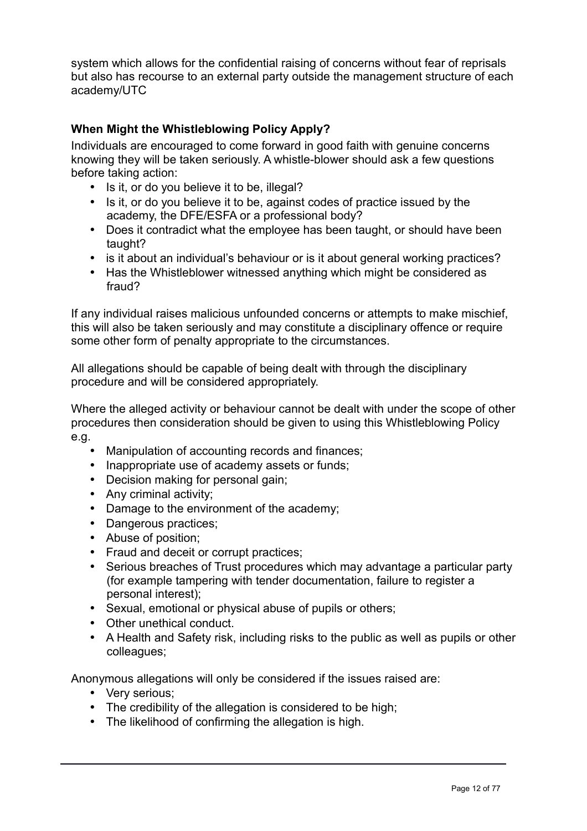system which allows for the confidential raising of concerns without fear of reprisals but also has recourse to an external party outside the management structure of each academy/UTC

## **When Might the Whistleblowing Policy Apply?**

Individuals are encouraged to come forward in good faith with genuine concerns knowing they will be taken seriously. A whistle-blower should ask a few questions before taking action:

- Is it, or do you believe it to be, illegal?
- Is it, or do you believe it to be, against codes of practice issued by the academy, the DFE/ESFA or a professional body?
- Does it contradict what the employee has been taught, or should have been taught?
- is it about an individual's behaviour or is it about general working practices?
- Has the Whistleblower witnessed anything which might be considered as fraud?

If any individual raises malicious unfounded concerns or attempts to make mischief, this will also be taken seriously and may constitute a disciplinary offence or require some other form of penalty appropriate to the circumstances.

All allegations should be capable of being dealt with through the disciplinary procedure and will be considered appropriately.

Where the alleged activity or behaviour cannot be dealt with under the scope of other procedures then consideration should be given to using this Whistleblowing Policy e.g.

- Manipulation of accounting records and finances;
- Inappropriate use of academy assets or funds;
- Decision making for personal gain;
- Any criminal activity;
- Damage to the environment of the academy;
- Dangerous practices;
- Abuse of position;
- Fraud and deceit or corrupt practices;
- Serious breaches of Trust procedures which may advantage a particular party (for example tampering with tender documentation, failure to register a personal interest);
- Sexual, emotional or physical abuse of pupils or others;
- Other unethical conduct.
- A Health and Safety risk, including risks to the public as well as pupils or other colleagues;

Anonymous allegations will only be considered if the issues raised are:

- Very serious;
- The credibility of the allegation is considered to be high;
- The likelihood of confirming the allegation is high.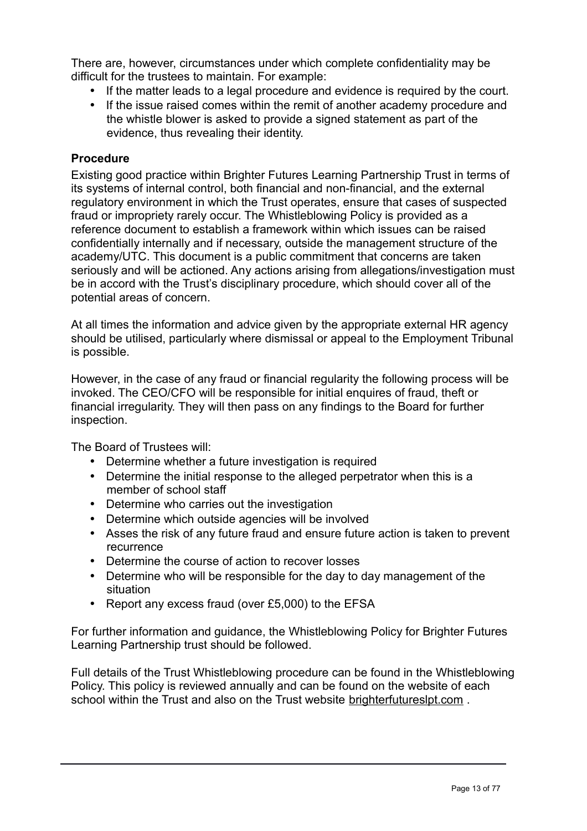There are, however, circumstances under which complete confidentiality may be difficult for the trustees to maintain. For example:

- If the matter leads to a legal procedure and evidence is required by the court.
- If the issue raised comes within the remit of another academy procedure and the whistle blower is asked to provide a signed statement as part of the evidence, thus revealing their identity.

### **Procedure**

Existing good practice within Brighter Futures Learning Partnership Trust in terms of its systems of internal control, both financial and non-financial, and the external regulatory environment in which the Trust operates, ensure that cases of suspected fraud or impropriety rarely occur. The Whistleblowing Policy is provided as a reference document to establish a framework within which issues can be raised confidentially internally and if necessary, outside the management structure of the academy/UTC. This document is a public commitment that concerns are taken seriously and will be actioned. Any actions arising from allegations/investigation must be in accord with the Trust's disciplinary procedure, which should cover all of the potential areas of concern.

At all times the information and advice given by the appropriate external HR agency should be utilised, particularly where dismissal or appeal to the Employment Tribunal is possible.

However, in the case of any fraud or financial regularity the following process will be invoked. The CEO/CFO will be responsible for initial enquires of fraud, theft or financial irregularity. They will then pass on any findings to the Board for further inspection.

The Board of Trustees will:

- Determine whether a future investigation is required
- Determine the initial response to the alleged perpetrator when this is a member of school staff
- Determine who carries out the investigation
- Determine which outside agencies will be involved
- Asses the risk of any future fraud and ensure future action is taken to prevent recurrence
- Determine the course of action to recover losses
- Determine who will be responsible for the day to day management of the situation
- Report any excess fraud (over £5,000) to the EFSA

For further information and guidance, the Whistleblowing Policy for Brighter Futures Learning Partnership trust should be followed.

Full details of the Trust Whistleblowing procedure can be found in the Whistleblowing Policy. This policy is reviewed annually and can be found on the website of each school within the Trust and also on the Trust website brighterfutureslpt.com .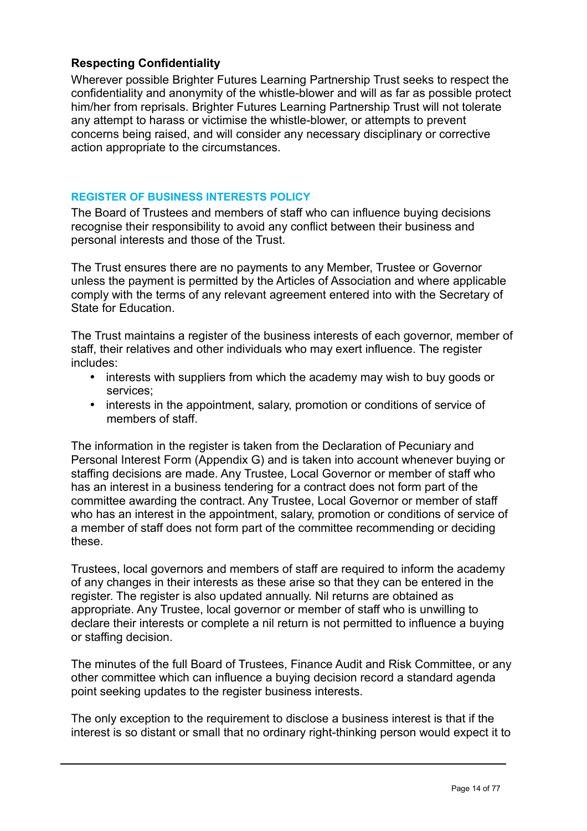## **Respecting Confidentiality**

Wherever possible Brighter Futures Learning Partnership Trust seeks to respect the confidentiality and anonymity of the whistle-blower and will as far as possible protect him/her from reprisals. Brighter Futures Learning Partnership Trust will not tolerate any attempt to harass or victimise the whistle-blower, or attempts to prevent concerns being raised, and will consider any necessary disciplinary or corrective action appropriate to the circumstances.

### **REGISTER OF BUSINESS INTERESTS POLICY**

The Board of Trustees and members of staff who can influence buying decisions recognise their responsibility to avoid any conflict between their business and personal interests and those of the Trust.

The Trust ensures there are no payments to any Member, Trustee or Governor unless the payment is permitted by the Articles of Association and where applicable comply with the terms of any relevant agreement entered into with the Secretary of State for Education.

The Trust maintains a register of the business interests of each governor, member of staff, their relatives and other individuals who may exert influence. The register includes:

- interests with suppliers from which the academy may wish to buy goods or services;
- interests in the appointment, salary, promotion or conditions of service of members of staff

The information in the register is taken from the Declaration of Pecuniary and Personal Interest Form (Appendix G) and is taken into account whenever buying or staffing decisions are made. Any Trustee, Local Governor or member of staff who has an interest in a business tendering for a contract does not form part of the committee awarding the contract. Any Trustee, Local Governor or member of staff who has an interest in the appointment, salary, promotion or conditions of service of a member of staff does not form part of the committee recommending or deciding these.

Trustees, local governors and members of staff are required to inform the academy of any changes in their interests as these arise so that they can be entered in the register. The register is also updated annually. Nil returns are obtained as appropriate. Any Trustee, local governor or member of staff who is unwilling to declare their interests or complete a nil return is not permitted to influence a buying or staffing decision.

The minutes of the full Board of Trustees, Finance Audit and Risk Committee, or any other committee which can influence a buying decision record a standard agenda point seeking updates to the register business interests.

The only exception to the requirement to disclose a business interest is that if the interest is so distant or small that no ordinary right-thinking person would expect it to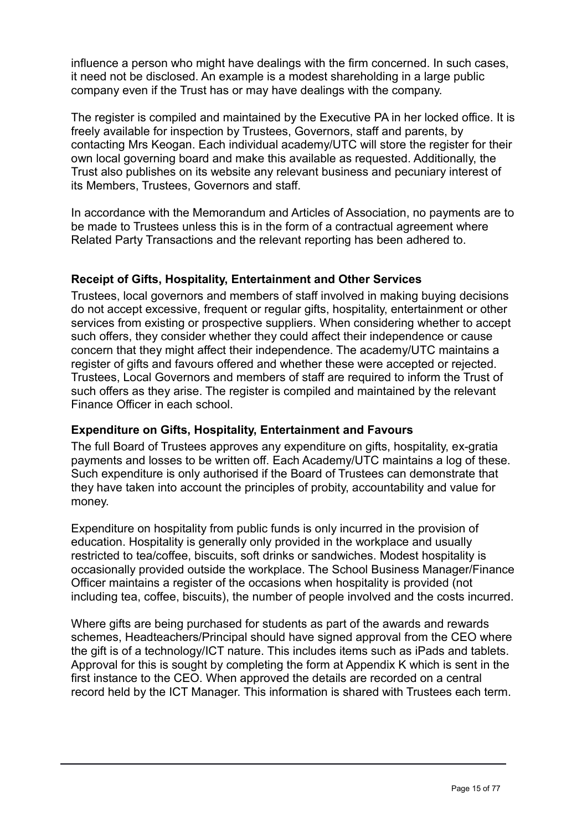influence a person who might have dealings with the firm concerned. In such cases, it need not be disclosed. An example is a modest shareholding in a large public company even if the Trust has or may have dealings with the company.

The register is compiled and maintained by the Executive PA in her locked office. It is freely available for inspection by Trustees, Governors, staff and parents, by contacting Mrs Keogan. Each individual academy/UTC will store the register for their own local governing board and make this available as requested. Additionally, the Trust also publishes on its website any relevant business and pecuniary interest of its Members, Trustees, Governors and staff.

In accordance with the Memorandum and Articles of Association, no payments are to be made to Trustees unless this is in the form of a contractual agreement where Related Party Transactions and the relevant reporting has been adhered to.

## **Receipt of Gifts, Hospitality, Entertainment and Other Services**

Trustees, local governors and members of staff involved in making buying decisions do not accept excessive, frequent or regular gifts, hospitality, entertainment or other services from existing or prospective suppliers. When considering whether to accept such offers, they consider whether they could affect their independence or cause concern that they might affect their independence. The academy/UTC maintains a register of gifts and favours offered and whether these were accepted or rejected. Trustees, Local Governors and members of staff are required to inform the Trust of such offers as they arise. The register is compiled and maintained by the relevant Finance Officer in each school.

## **Expenditure on Gifts, Hospitality, Entertainment and Favours**

The full Board of Trustees approves any expenditure on gifts, hospitality, ex-gratia payments and losses to be written off. Each Academy/UTC maintains a log of these. Such expenditure is only authorised if the Board of Trustees can demonstrate that they have taken into account the principles of probity, accountability and value for money.

Expenditure on hospitality from public funds is only incurred in the provision of education. Hospitality is generally only provided in the workplace and usually restricted to tea/coffee, biscuits, soft drinks or sandwiches. Modest hospitality is occasionally provided outside the workplace. The School Business Manager/Finance Officer maintains a register of the occasions when hospitality is provided (not including tea, coffee, biscuits), the number of people involved and the costs incurred.

Where gifts are being purchased for students as part of the awards and rewards schemes, Headteachers/Principal should have signed approval from the CEO where the gift is of a technology/ICT nature. This includes items such as iPads and tablets. Approval for this is sought by completing the form at Appendix K which is sent in the first instance to the CEO. When approved the details are recorded on a central record held by the ICT Manager. This information is shared with Trustees each term.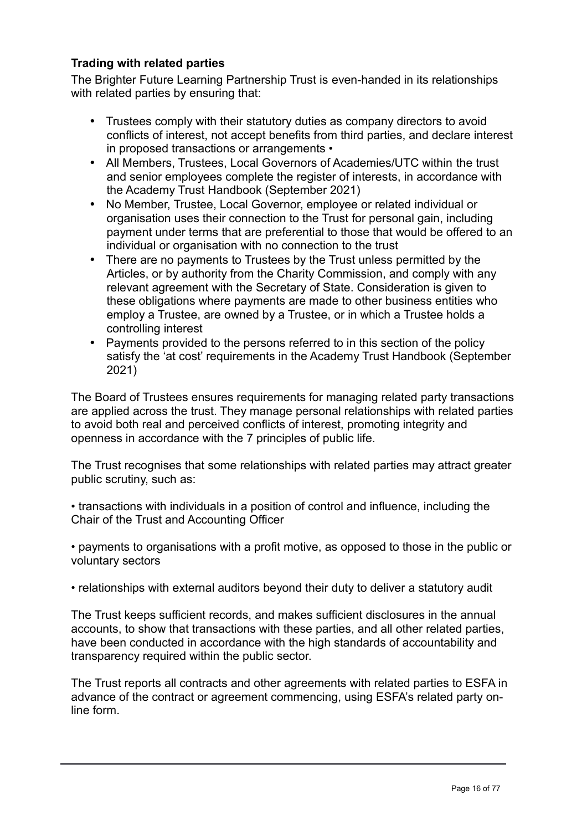## **Trading with related parties**

The Brighter Future Learning Partnership Trust is even-handed in its relationships with related parties by ensuring that:

- Trustees comply with their statutory duties as company directors to avoid conflicts of interest, not accept benefits from third parties, and declare interest in proposed transactions or arrangements •
- All Members, Trustees, Local Governors of Academies/UTC within the trust and senior employees complete the register of interests, in accordance with the Academy Trust Handbook (September 2021)
- No Member, Trustee, Local Governor, employee or related individual or organisation uses their connection to the Trust for personal gain, including payment under terms that are preferential to those that would be offered to an individual or organisation with no connection to the trust
- There are no payments to Trustees by the Trust unless permitted by the Articles, or by authority from the Charity Commission, and comply with any relevant agreement with the Secretary of State. Consideration is given to these obligations where payments are made to other business entities who employ a Trustee, are owned by a Trustee, or in which a Trustee holds a controlling interest
- Payments provided to the persons referred to in this section of the policy satisfy the 'at cost' requirements in the Academy Trust Handbook (September 2021)

The Board of Trustees ensures requirements for managing related party transactions are applied across the trust. They manage personal relationships with related parties to avoid both real and perceived conflicts of interest, promoting integrity and openness in accordance with the 7 principles of public life.

The Trust recognises that some relationships with related parties may attract greater public scrutiny, such as:

• transactions with individuals in a position of control and influence, including the Chair of the Trust and Accounting Officer

• payments to organisations with a profit motive, as opposed to those in the public or voluntary sectors

• relationships with external auditors beyond their duty to deliver a statutory audit

The Trust keeps sufficient records, and makes sufficient disclosures in the annual accounts, to show that transactions with these parties, and all other related parties, have been conducted in accordance with the high standards of accountability and transparency required within the public sector.

The Trust reports all contracts and other agreements with related parties to ESFA in advance of the contract or agreement commencing, using ESFA's related party online form.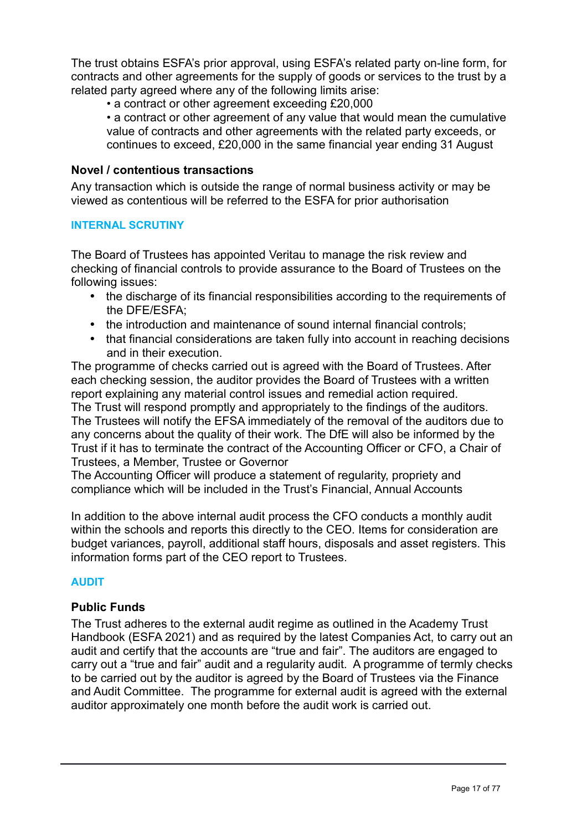The trust obtains ESFA's prior approval, using ESFA's related party on-line form, for contracts and other agreements for the supply of goods or services to the trust by a related party agreed where any of the following limits arise:

• a contract or other agreement exceeding £20,000

• a contract or other agreement of any value that would mean the cumulative value of contracts and other agreements with the related party exceeds, or continues to exceed, £20,000 in the same financial year ending 31 August

## **Novel / contentious transactions**

Any transaction which is outside the range of normal business activity or may be viewed as contentious will be referred to the ESFA for prior authorisation

#### **INTERNAL SCRUTINY**

The Board of Trustees has appointed Veritau to manage the risk review and checking of financial controls to provide assurance to the Board of Trustees on the following issues:

- the discharge of its financial responsibilities according to the requirements of the DFE/ESFA;
- the introduction and maintenance of sound internal financial controls;
- that financial considerations are taken fully into account in reaching decisions and in their execution.

The programme of checks carried out is agreed with the Board of Trustees. After each checking session, the auditor provides the Board of Trustees with a written report explaining any material control issues and remedial action required. The Trust will respond promptly and appropriately to the findings of the auditors. The Trustees will notify the EFSA immediately of the removal of the auditors due to any concerns about the quality of their work. The DfE will also be informed by the Trust if it has to terminate the contract of the Accounting Officer or CFO, a Chair of Trustees, a Member, Trustee or Governor

The Accounting Officer will produce a statement of regularity, propriety and compliance which will be included in the Trust's Financial, Annual Accounts

In addition to the above internal audit process the CFO conducts a monthly audit within the schools and reports this directly to the CEO. Items for consideration are budget variances, payroll, additional staff hours, disposals and asset registers. This information forms part of the CEO report to Trustees.

## **AUDIT**

## **Public Funds**

The Trust adheres to the external audit regime as outlined in the Academy Trust Handbook (ESFA 2021) and as required by the latest Companies Act, to carry out an audit and certify that the accounts are "true and fair". The auditors are engaged to carry out a "true and fair" audit and a regularity audit. A programme of termly checks to be carried out by the auditor is agreed by the Board of Trustees via the Finance and Audit Committee. The programme for external audit is agreed with the external auditor approximately one month before the audit work is carried out.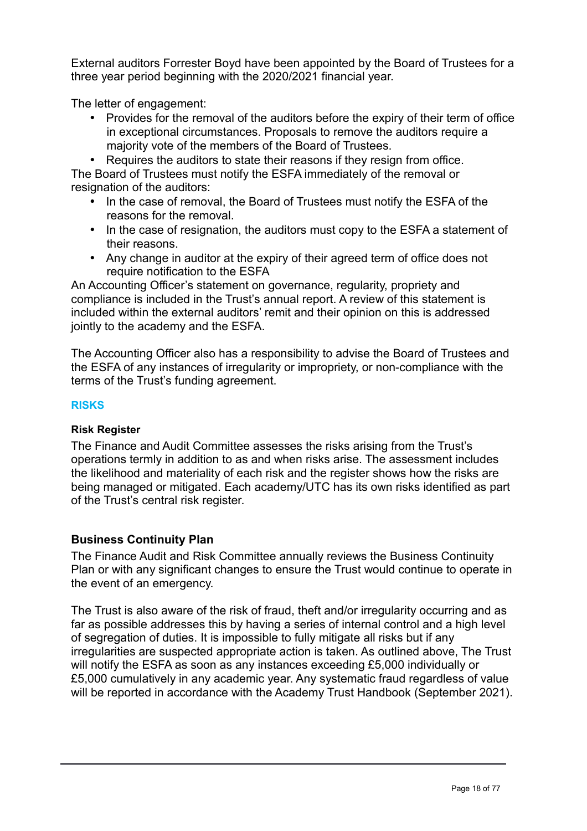External auditors Forrester Boyd have been appointed by the Board of Trustees for a three year period beginning with the 2020/2021 financial year.

The letter of engagement:

• Provides for the removal of the auditors before the expiry of their term of office in exceptional circumstances. Proposals to remove the auditors require a majority vote of the members of the Board of Trustees.

• Requires the auditors to state their reasons if they resign from office. The Board of Trustees must notify the ESFA immediately of the removal or resignation of the auditors:

- In the case of removal, the Board of Trustees must notify the ESFA of the reasons for the removal.
- In the case of resignation, the auditors must copy to the ESFA a statement of their reasons.
- Any change in auditor at the expiry of their agreed term of office does not require notification to the ESFA

An Accounting Officer's statement on governance, regularity, propriety and compliance is included in the Trust's annual report. A review of this statement is included within the external auditors' remit and their opinion on this is addressed jointly to the academy and the ESFA.

The Accounting Officer also has a responsibility to advise the Board of Trustees and the ESFA of any instances of irregularity or impropriety, or non-compliance with the terms of the Trust's funding agreement.

## **RISKS**

## **Risk Register**

The Finance and Audit Committee assesses the risks arising from the Trust's operations termly in addition to as and when risks arise. The assessment includes the likelihood and materiality of each risk and the register shows how the risks are being managed or mitigated. Each academy/UTC has its own risks identified as part of the Trust's central risk register.

## **Business Continuity Plan**

The Finance Audit and Risk Committee annually reviews the Business Continuity Plan or with any significant changes to ensure the Trust would continue to operate in the event of an emergency.

The Trust is also aware of the risk of fraud, theft and/or irregularity occurring and as far as possible addresses this by having a series of internal control and a high level of segregation of duties. It is impossible to fully mitigate all risks but if any irregularities are suspected appropriate action is taken. As outlined above, The Trust will notify the ESFA as soon as any instances exceeding £5,000 individually or £5,000 cumulatively in any academic year. Any systematic fraud regardless of value will be reported in accordance with the Academy Trust Handbook (September 2021).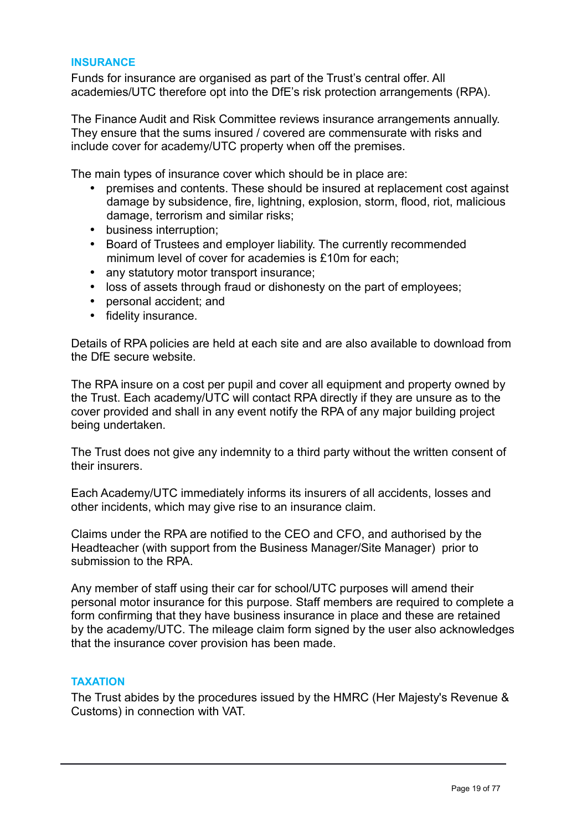#### **INSURANCE**

Funds for insurance are organised as part of the Trust's central offer. All academies/UTC therefore opt into the DfE's risk protection arrangements (RPA).

The Finance Audit and Risk Committee reviews insurance arrangements annually. They ensure that the sums insured / covered are commensurate with risks and include cover for academy/UTC property when off the premises.

The main types of insurance cover which should be in place are:

- premises and contents. These should be insured at replacement cost against damage by subsidence, fire, lightning, explosion, storm, flood, riot, malicious damage, terrorism and similar risks;
- business interruption;
- Board of Trustees and employer liability. The currently recommended minimum level of cover for academies is £10m for each;
- any statutory motor transport insurance;
- loss of assets through fraud or dishonesty on the part of employees;
- personal accident; and
- fidelity insurance.

Details of RPA policies are held at each site and are also available to download from the DfE secure website.

The RPA insure on a cost per pupil and cover all equipment and property owned by the Trust. Each academy/UTC will contact RPA directly if they are unsure as to the cover provided and shall in any event notify the RPA of any major building project being undertaken.

The Trust does not give any indemnity to a third party without the written consent of their insurers.

Each Academy/UTC immediately informs its insurers of all accidents, losses and other incidents, which may give rise to an insurance claim.

Claims under the RPA are notified to the CEO and CFO, and authorised by the Headteacher (with support from the Business Manager/Site Manager) prior to submission to the RPA.

Any member of staff using their car for school/UTC purposes will amend their personal motor insurance for this purpose. Staff members are required to complete a form confirming that they have business insurance in place and these are retained by the academy/UTC. The mileage claim form signed by the user also acknowledges that the insurance cover provision has been made.

#### **TAXATION**

The Trust abides by the procedures issued by the HMRC (Her Majesty's Revenue & Customs) in connection with VAT.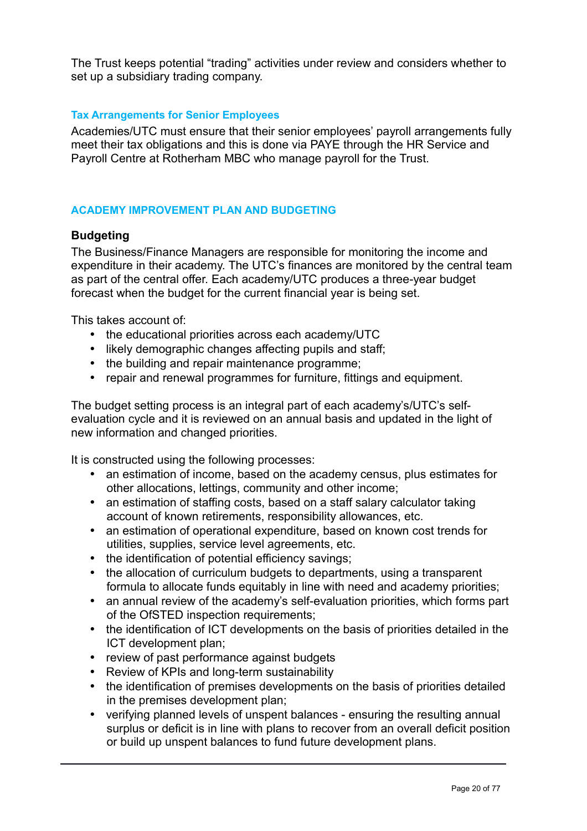The Trust keeps potential "trading" activities under review and considers whether to set up a subsidiary trading company.

## **Tax Arrangements for Senior Employees**

Academies/UTC must ensure that their senior employees' payroll arrangements fully meet their tax obligations and this is done via PAYE through the HR Service and Payroll Centre at Rotherham MBC who manage payroll for the Trust.

## **ACADEMY IMPROVEMENT PLAN AND BUDGETING**

## **Budgeting**

The Business/Finance Managers are responsible for monitoring the income and expenditure in their academy. The UTC's finances are monitored by the central team as part of the central offer. Each academy/UTC produces a three-year budget forecast when the budget for the current financial year is being set.

This takes account of:

- the educational priorities across each academy/UTC
- likely demographic changes affecting pupils and staff;
- the building and repair maintenance programme;
- repair and renewal programmes for furniture, fittings and equipment.

The budget setting process is an integral part of each academy's/UTC's selfevaluation cycle and it is reviewed on an annual basis and updated in the light of new information and changed priorities.

It is constructed using the following processes:

- an estimation of income, based on the academy census, plus estimates for other allocations, lettings, community and other income;
- an estimation of staffing costs, based on a staff salary calculator taking account of known retirements, responsibility allowances, etc.
- an estimation of operational expenditure, based on known cost trends for utilities, supplies, service level agreements, etc.
- the identification of potential efficiency savings;
- the allocation of curriculum budgets to departments, using a transparent formula to allocate funds equitably in line with need and academy priorities;
- an annual review of the academy's self-evaluation priorities, which forms part of the OfSTED inspection requirements;
- the identification of ICT developments on the basis of priorities detailed in the ICT development plan;
- review of past performance against budgets
- Review of KPIs and long-term sustainability
- the identification of premises developments on the basis of priorities detailed in the premises development plan;
- verifying planned levels of unspent balances ensuring the resulting annual surplus or deficit is in line with plans to recover from an overall deficit position or build up unspent balances to fund future development plans.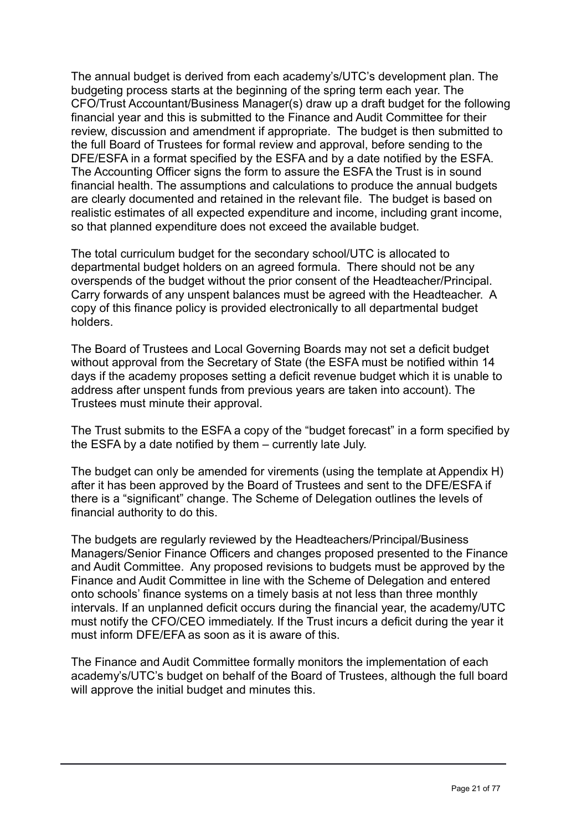The annual budget is derived from each academy's/UTC's development plan. The budgeting process starts at the beginning of the spring term each year. The CFO/Trust Accountant/Business Manager(s) draw up a draft budget for the following financial year and this is submitted to the Finance and Audit Committee for their review, discussion and amendment if appropriate. The budget is then submitted to the full Board of Trustees for formal review and approval, before sending to the DFE/ESFA in a format specified by the ESFA and by a date notified by the ESFA. The Accounting Officer signs the form to assure the ESFA the Trust is in sound financial health. The assumptions and calculations to produce the annual budgets are clearly documented and retained in the relevant file. The budget is based on realistic estimates of all expected expenditure and income, including grant income, so that planned expenditure does not exceed the available budget.

The total curriculum budget for the secondary school/UTC is allocated to departmental budget holders on an agreed formula. There should not be any overspends of the budget without the prior consent of the Headteacher/Principal. Carry forwards of any unspent balances must be agreed with the Headteacher. A copy of this finance policy is provided electronically to all departmental budget holders.

The Board of Trustees and Local Governing Boards may not set a deficit budget without approval from the Secretary of State (the ESFA must be notified within 14 days if the academy proposes setting a deficit revenue budget which it is unable to address after unspent funds from previous years are taken into account). The Trustees must minute their approval.

The Trust submits to the ESFA a copy of the "budget forecast" in a form specified by the ESFA by a date notified by them – currently late July.

The budget can only be amended for virements (using the template at Appendix H) after it has been approved by the Board of Trustees and sent to the DFE/ESFA if there is a "significant" change. The Scheme of Delegation outlines the levels of financial authority to do this.

The budgets are regularly reviewed by the Headteachers/Principal/Business Managers/Senior Finance Officers and changes proposed presented to the Finance and Audit Committee. Any proposed revisions to budgets must be approved by the Finance and Audit Committee in line with the Scheme of Delegation and entered onto schools' finance systems on a timely basis at not less than three monthly intervals. If an unplanned deficit occurs during the financial year, the academy/UTC must notify the CFO/CEO immediately. If the Trust incurs a deficit during the year it must inform DFE/EFA as soon as it is aware of this.

The Finance and Audit Committee formally monitors the implementation of each academy's/UTC's budget on behalf of the Board of Trustees, although the full board will approve the initial budget and minutes this.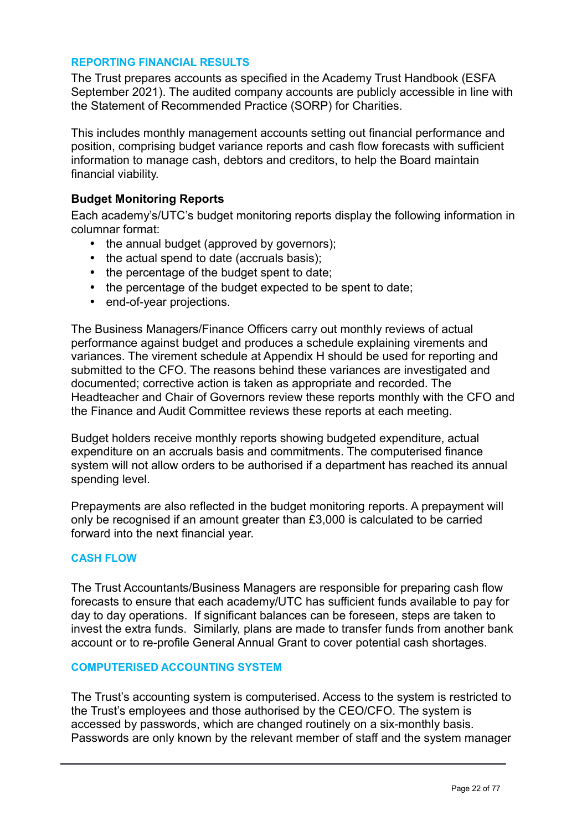#### **REPORTING FINANCIAL RESULTS**

The Trust prepares accounts as specified in the Academy Trust Handbook (ESFA September 2021). The audited company accounts are publicly accessible in line with the Statement of Recommended Practice (SORP) for Charities.

This includes monthly management accounts setting out financial performance and position, comprising budget variance reports and cash flow forecasts with sufficient information to manage cash, debtors and creditors, to help the Board maintain financial viability.

## **Budget Monitoring Reports**

Each academy's/UTC's budget monitoring reports display the following information in columnar format:

- the annual budget (approved by governors);
- the actual spend to date (accruals basis);
- the percentage of the budget spent to date;
- the percentage of the budget expected to be spent to date;
- end-of-year projections.

The Business Managers/Finance Officers carry out monthly reviews of actual performance against budget and produces a schedule explaining virements and variances. The virement schedule at Appendix H should be used for reporting and submitted to the CFO. The reasons behind these variances are investigated and documented; corrective action is taken as appropriate and recorded. The Headteacher and Chair of Governors review these reports monthly with the CFO and the Finance and Audit Committee reviews these reports at each meeting.

Budget holders receive monthly reports showing budgeted expenditure, actual expenditure on an accruals basis and commitments. The computerised finance system will not allow orders to be authorised if a department has reached its annual spending level.

Prepayments are also reflected in the budget monitoring reports. A prepayment will only be recognised if an amount greater than £3,000 is calculated to be carried forward into the next financial year.

#### **CASH FLOW**

The Trust Accountants/Business Managers are responsible for preparing cash flow forecasts to ensure that each academy/UTC has sufficient funds available to pay for day to day operations. If significant balances can be foreseen, steps are taken to invest the extra funds. Similarly, plans are made to transfer funds from another bank account or to re-profile General Annual Grant to cover potential cash shortages.

#### **COMPUTERISED ACCOUNTING SYSTEM**

The Trust's accounting system is computerised. Access to the system is restricted to the Trust's employees and those authorised by the CEO/CFO. The system is accessed by passwords, which are changed routinely on a six-monthly basis. Passwords are only known by the relevant member of staff and the system manager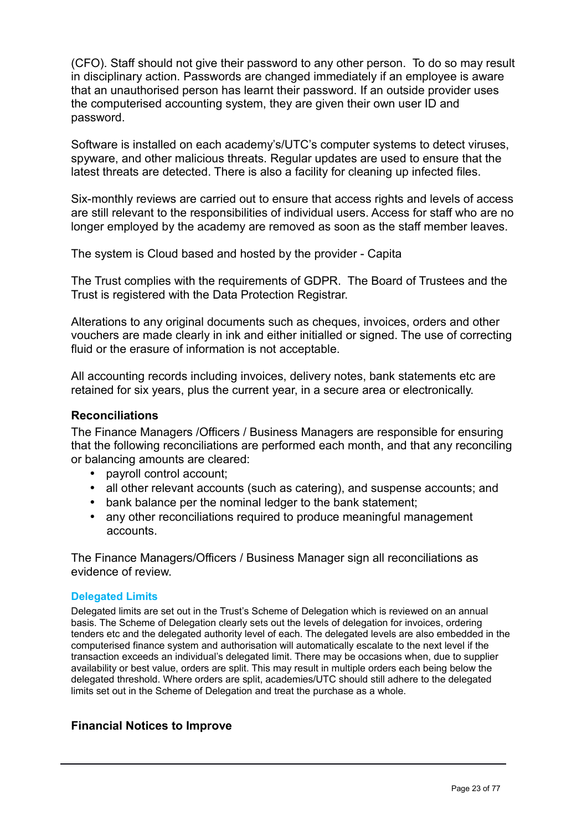(CFO). Staff should not give their password to any other person. To do so may result in disciplinary action. Passwords are changed immediately if an employee is aware that an unauthorised person has learnt their password. If an outside provider uses the computerised accounting system, they are given their own user ID and password.

Software is installed on each academy's/UTC's computer systems to detect viruses, spyware, and other malicious threats. Regular updates are used to ensure that the latest threats are detected. There is also a facility for cleaning up infected files.

Six-monthly reviews are carried out to ensure that access rights and levels of access are still relevant to the responsibilities of individual users. Access for staff who are no longer employed by the academy are removed as soon as the staff member leaves.

The system is Cloud based and hosted by the provider - Capita

The Trust complies with the requirements of GDPR. The Board of Trustees and the Trust is registered with the Data Protection Registrar.

Alterations to any original documents such as cheques, invoices, orders and other vouchers are made clearly in ink and either initialled or signed. The use of correcting fluid or the erasure of information is not acceptable.

All accounting records including invoices, delivery notes, bank statements etc are retained for six years, plus the current year, in a secure area or electronically.

#### **Reconciliations**

The Finance Managers /Officers / Business Managers are responsible for ensuring that the following reconciliations are performed each month, and that any reconciling or balancing amounts are cleared:

- payroll control account;
- all other relevant accounts (such as catering), and suspense accounts; and
- bank balance per the nominal ledger to the bank statement;
- any other reconciliations required to produce meaningful management accounts.

The Finance Managers/Officers / Business Manager sign all reconciliations as evidence of review.

#### **Delegated Limits**

Delegated limits are set out in the Trust's Scheme of Delegation which is reviewed on an annual basis. The Scheme of Delegation clearly sets out the levels of delegation for invoices, ordering tenders etc and the delegated authority level of each. The delegated levels are also embedded in the computerised finance system and authorisation will automatically escalate to the next level if the transaction exceeds an individual's delegated limit. There may be occasions when, due to supplier availability or best value, orders are split. This may result in multiple orders each being below the delegated threshold. Where orders are split, academies/UTC should still adhere to the delegated limits set out in the Scheme of Delegation and treat the purchase as a whole.

## **Financial Notices to Improve**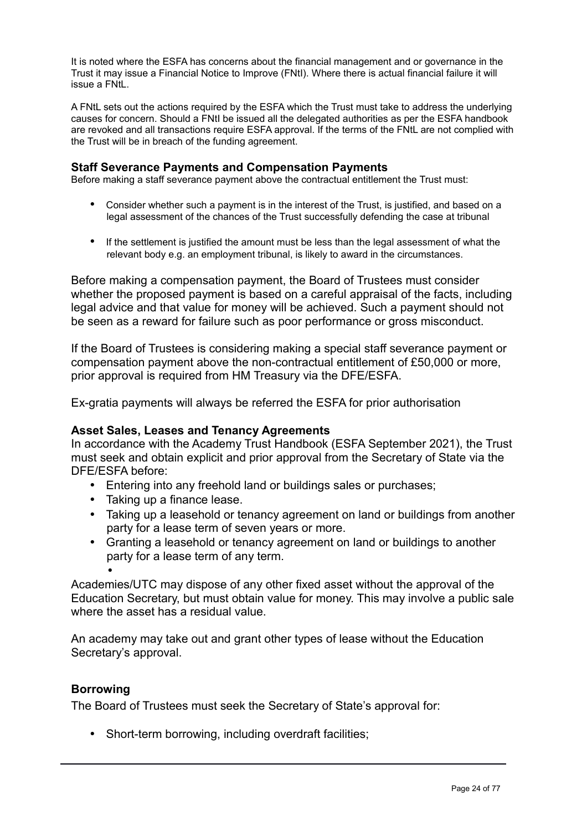It is noted where the ESFA has concerns about the financial management and or governance in the Trust it may issue a Financial Notice to Improve (FNtI). Where there is actual financial failure it will issue a FNtL.

A FNtL sets out the actions required by the ESFA which the Trust must take to address the underlying causes for concern. Should a FNtI be issued all the delegated authorities as per the ESFA handbook are revoked and all transactions require ESFA approval. If the terms of the FNtL are not complied with the Trust will be in breach of the funding agreement.

## **Staff Severance Payments and Compensation Payments**

Before making a staff severance payment above the contractual entitlement the Trust must:

- Consider whether such a payment is in the interest of the Trust, is justified, and based on a legal assessment of the chances of the Trust successfully defending the case at tribunal
- If the settlement is justified the amount must be less than the legal assessment of what the relevant body e.g. an employment tribunal, is likely to award in the circumstances.

Before making a compensation payment, the Board of Trustees must consider whether the proposed payment is based on a careful appraisal of the facts, including legal advice and that value for money will be achieved. Such a payment should not be seen as a reward for failure such as poor performance or gross misconduct.

If the Board of Trustees is considering making a special staff severance payment or compensation payment above the non-contractual entitlement of £50,000 or more, prior approval is required from HM Treasury via the DFE/ESFA.

Ex-gratia payments will always be referred the ESFA for prior authorisation

#### **Asset Sales, Leases and Tenancy Agreements**

In accordance with the Academy Trust Handbook (ESFA September 2021), the Trust must seek and obtain explicit and prior approval from the Secretary of State via the DFE/ESFA before:

- Entering into any freehold land or buildings sales or purchases;
- Taking up a finance lease.
- Taking up a leasehold or tenancy agreement on land or buildings from another party for a lease term of seven years or more.
- Granting a leasehold or tenancy agreement on land or buildings to another party for a lease term of any term.

• Academies/UTC may dispose of any other fixed asset without the approval of the Education Secretary, but must obtain value for money. This may involve a public sale where the asset has a residual value.

An academy may take out and grant other types of lease without the Education Secretary's approval.

#### **Borrowing**

The Board of Trustees must seek the Secretary of State's approval for:

• Short-term borrowing, including overdraft facilities;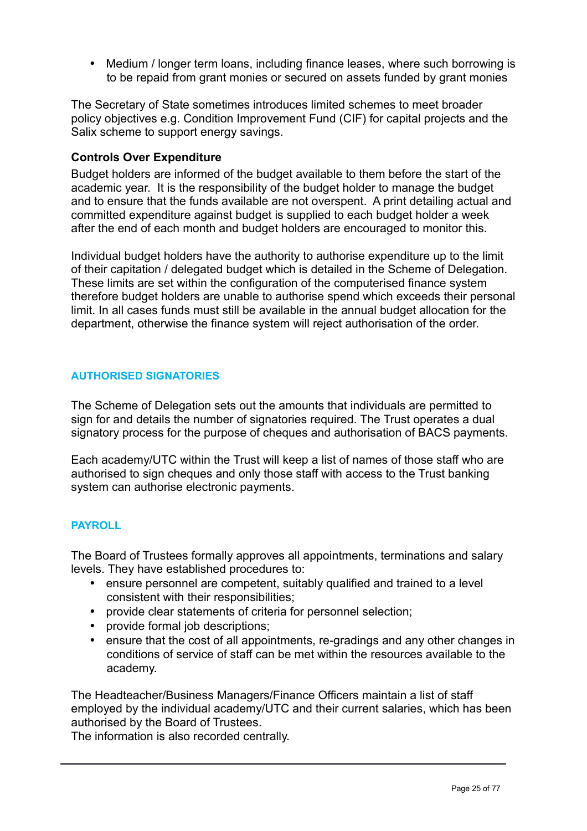• Medium / longer term loans, including finance leases, where such borrowing is to be repaid from grant monies or secured on assets funded by grant monies

The Secretary of State sometimes introduces limited schemes to meet broader policy objectives e.g. Condition Improvement Fund (CIF) for capital projects and the Salix scheme to support energy savings.

### **Controls Over Expenditure**

Budget holders are informed of the budget available to them before the start of the academic year. It is the responsibility of the budget holder to manage the budget and to ensure that the funds available are not overspent. A print detailing actual and committed expenditure against budget is supplied to each budget holder a week after the end of each month and budget holders are encouraged to monitor this.

Individual budget holders have the authority to authorise expenditure up to the limit of their capitation / delegated budget which is detailed in the Scheme of Delegation. These limits are set within the configuration of the computerised finance system therefore budget holders are unable to authorise spend which exceeds their personal limit. In all cases funds must still be available in the annual budget allocation for the department, otherwise the finance system will reject authorisation of the order.

## **AUTHORISED SIGNATORIES**

The Scheme of Delegation sets out the amounts that individuals are permitted to sign for and details the number of signatories required. The Trust operates a dual signatory process for the purpose of cheques and authorisation of BACS payments.

Each academy/UTC within the Trust will keep a list of names of those staff who are authorised to sign cheques and only those staff with access to the Trust banking system can authorise electronic payments.

## **PAYROLL**

The Board of Trustees formally approves all appointments, terminations and salary levels. They have established procedures to:

- ensure personnel are competent, suitably qualified and trained to a level consistent with their responsibilities;
- provide clear statements of criteria for personnel selection;
- provide formal job descriptions;
- ensure that the cost of all appointments, re-gradings and any other changes in conditions of service of staff can be met within the resources available to the academy.

The Headteacher/Business Managers/Finance Officers maintain a list of staff employed by the individual academy/UTC and their current salaries, which has been authorised by the Board of Trustees.

The information is also recorded centrally.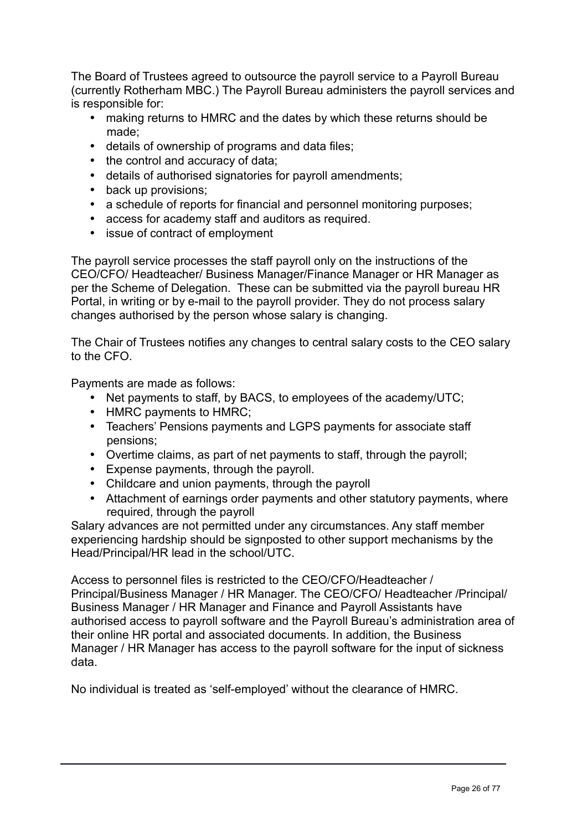The Board of Trustees agreed to outsource the payroll service to a Payroll Bureau (currently Rotherham MBC.) The Payroll Bureau administers the payroll services and is responsible for:

- making returns to HMRC and the dates by which these returns should be made;
- details of ownership of programs and data files;
- the control and accuracy of data;
- details of authorised signatories for payroll amendments;
- back up provisions;
- a schedule of reports for financial and personnel monitoring purposes;
- access for academy staff and auditors as required.
- issue of contract of employment

The payroll service processes the staff payroll only on the instructions of the CEO/CFO/ Headteacher/ Business Manager/Finance Manager or HR Manager as per the Scheme of Delegation. These can be submitted via the payroll bureau HR Portal, in writing or by e-mail to the payroll provider. They do not process salary changes authorised by the person whose salary is changing.

The Chair of Trustees notifies any changes to central salary costs to the CEO salary to the CFO.

Payments are made as follows:

- Net payments to staff, by BACS, to employees of the academy/UTC;
- HMRC payments to HMRC;
- Teachers' Pensions payments and LGPS payments for associate staff pensions;
- Overtime claims, as part of net payments to staff, through the payroll;
- Expense payments, through the payroll.
- Childcare and union payments, through the payroll
- Attachment of earnings order payments and other statutory payments, where required, through the payroll

Salary advances are not permitted under any circumstances. Any staff member experiencing hardship should be signposted to other support mechanisms by the Head/Principal/HR lead in the school/UTC.

Access to personnel files is restricted to the CEO/CFO/Headteacher / Principal/Business Manager / HR Manager. The CEO/CFO/ Headteacher /Principal/ Business Manager / HR Manager and Finance and Payroll Assistants have authorised access to payroll software and the Payroll Bureau's administration area of their online HR portal and associated documents. In addition, the Business Manager / HR Manager has access to the payroll software for the input of sickness data.

No individual is treated as 'self-employed' without the clearance of HMRC.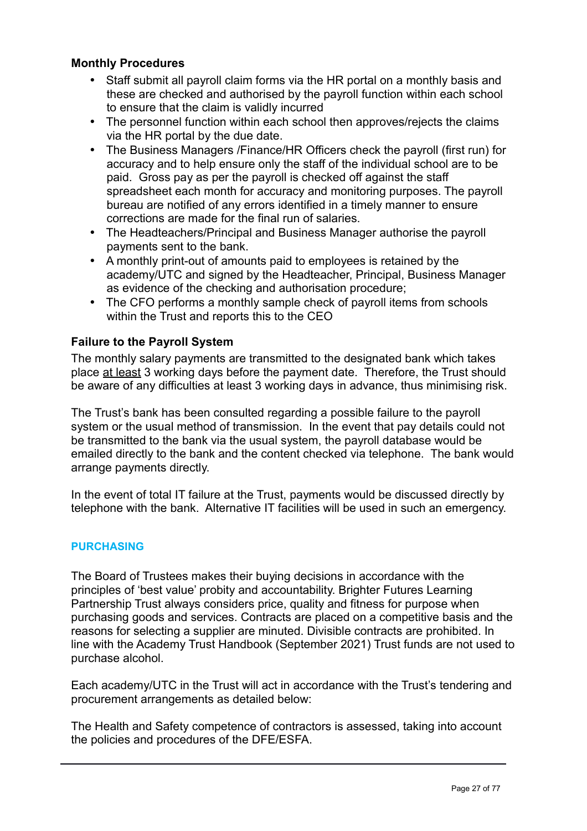## **Monthly Procedures**

- Staff submit all payroll claim forms via the HR portal on a monthly basis and these are checked and authorised by the payroll function within each school to ensure that the claim is validly incurred
- The personnel function within each school then approves/rejects the claims via the HR portal by the due date.
- The Business Managers /Finance/HR Officers check the payroll (first run) for accuracy and to help ensure only the staff of the individual school are to be paid. Gross pay as per the payroll is checked off against the staff spreadsheet each month for accuracy and monitoring purposes. The payroll bureau are notified of any errors identified in a timely manner to ensure corrections are made for the final run of salaries.
- The Headteachers/Principal and Business Manager authorise the payroll payments sent to the bank.
- A monthly print-out of amounts paid to employees is retained by the academy/UTC and signed by the Headteacher, Principal, Business Manager as evidence of the checking and authorisation procedure;
- The CFO performs a monthly sample check of payroll items from schools within the Trust and reports this to the CEO

## **Failure to the Payroll System**

The monthly salary payments are transmitted to the designated bank which takes place at least 3 working days before the payment date. Therefore, the Trust should be aware of any difficulties at least 3 working days in advance, thus minimising risk.

The Trust's bank has been consulted regarding a possible failure to the payroll system or the usual method of transmission. In the event that pay details could not be transmitted to the bank via the usual system, the payroll database would be emailed directly to the bank and the content checked via telephone. The bank would arrange payments directly.

In the event of total IT failure at the Trust, payments would be discussed directly by telephone with the bank. Alternative IT facilities will be used in such an emergency.

## **PURCHASING**

The Board of Trustees makes their buying decisions in accordance with the principles of 'best value' probity and accountability. Brighter Futures Learning Partnership Trust always considers price, quality and fitness for purpose when purchasing goods and services. Contracts are placed on a competitive basis and the reasons for selecting a supplier are minuted. Divisible contracts are prohibited. In line with the Academy Trust Handbook (September 2021) Trust funds are not used to purchase alcohol.

Each academy/UTC in the Trust will act in accordance with the Trust's tendering and procurement arrangements as detailed below:

The Health and Safety competence of contractors is assessed, taking into account the policies and procedures of the DFE/ESFA.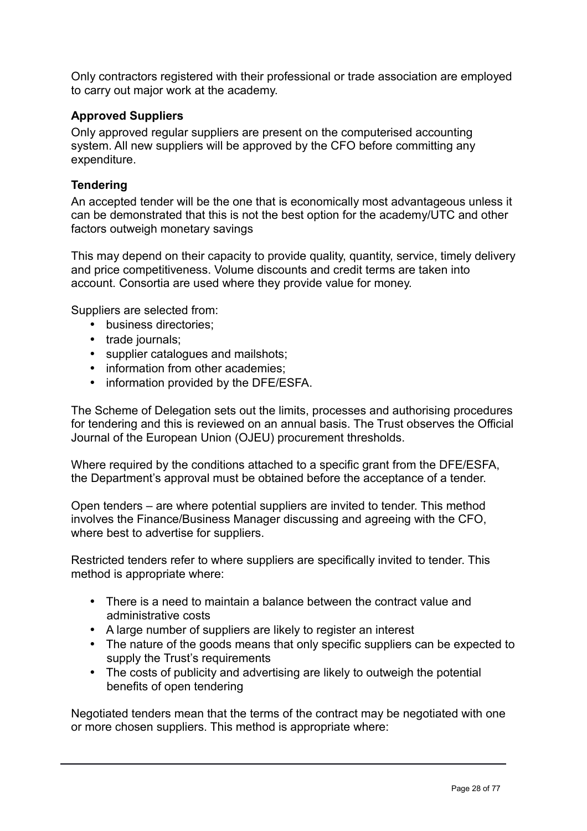Only contractors registered with their professional or trade association are employed to carry out major work at the academy.

## **Approved Suppliers**

Only approved regular suppliers are present on the computerised accounting system. All new suppliers will be approved by the CFO before committing any expenditure.

## **Tendering**

An accepted tender will be the one that is economically most advantageous unless it can be demonstrated that this is not the best option for the academy/UTC and other factors outweigh monetary savings

This may depend on their capacity to provide quality, quantity, service, timely delivery and price competitiveness. Volume discounts and credit terms are taken into account. Consortia are used where they provide value for money.

Suppliers are selected from:

- business directories;
- trade journals;
- supplier catalogues and mailshots;
- information from other academies:
- information provided by the DFE/ESFA.

The Scheme of Delegation sets out the limits, processes and authorising procedures for tendering and this is reviewed on an annual basis. The Trust observes the Official Journal of the European Union (OJEU) procurement thresholds.

Where required by the conditions attached to a specific grant from the DFE/ESFA, the Department's approval must be obtained before the acceptance of a tender.

Open tenders – are where potential suppliers are invited to tender. This method involves the Finance/Business Manager discussing and agreeing with the CFO, where best to advertise for suppliers.

Restricted tenders refer to where suppliers are specifically invited to tender. This method is appropriate where:

- There is a need to maintain a balance between the contract value and administrative costs
- A large number of suppliers are likely to register an interest
- The nature of the goods means that only specific suppliers can be expected to supply the Trust's requirements
- The costs of publicity and advertising are likely to outweigh the potential benefits of open tendering

Negotiated tenders mean that the terms of the contract may be negotiated with one or more chosen suppliers. This method is appropriate where: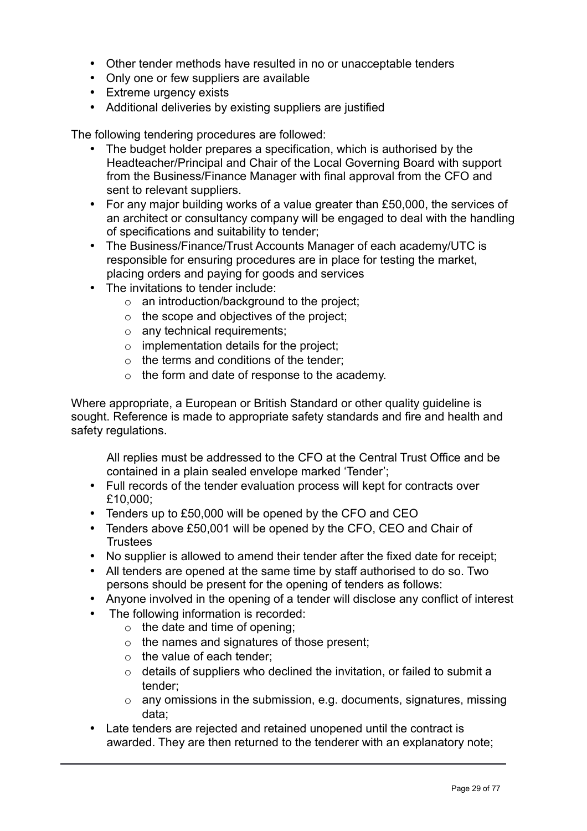- Other tender methods have resulted in no or unacceptable tenders
- Only one or few suppliers are available
- Extreme urgency exists
- Additional deliveries by existing suppliers are justified

The following tendering procedures are followed:

- The budget holder prepares a specification, which is authorised by the Headteacher/Principal and Chair of the Local Governing Board with support from the Business/Finance Manager with final approval from the CFO and sent to relevant suppliers.
- For any major building works of a value greater than £50,000, the services of an architect or consultancy company will be engaged to deal with the handling of specifications and suitability to tender;
- The Business/Finance/Trust Accounts Manager of each academy/UTC is responsible for ensuring procedures are in place for testing the market, placing orders and paying for goods and services
- The invitations to tender include:
	- o an introduction/background to the project;
	- $\circ$  the scope and objectives of the project;
	- o any technical requirements;
	- $\circ$  implementation details for the project:
	- $\circ$  the terms and conditions of the tender:
	- o the form and date of response to the academy.

Where appropriate, a European or British Standard or other quality guideline is sought. Reference is made to appropriate safety standards and fire and health and safety regulations.

All replies must be addressed to the CFO at the Central Trust Office and be contained in a plain sealed envelope marked 'Tender';

- Full records of the tender evaluation process will kept for contracts over £10,000;
- Tenders up to £50,000 will be opened by the CFO and CEO
- Tenders above £50,001 will be opened by the CFO, CEO and Chair of **Trustees**
- No supplier is allowed to amend their tender after the fixed date for receipt;
- All tenders are opened at the same time by staff authorised to do so. Two persons should be present for the opening of tenders as follows:
- Anyone involved in the opening of a tender will disclose any conflict of interest
- The following information is recorded:
	- $\circ$  the date and time of opening;
	- o the names and signatures of those present;
	- o the value of each tender;
	- $\circ$  details of suppliers who declined the invitation, or failed to submit a tender;
	- $\circ$  any omissions in the submission, e.g. documents, signatures, missing data;
- Late tenders are rejected and retained unopened until the contract is awarded. They are then returned to the tenderer with an explanatory note;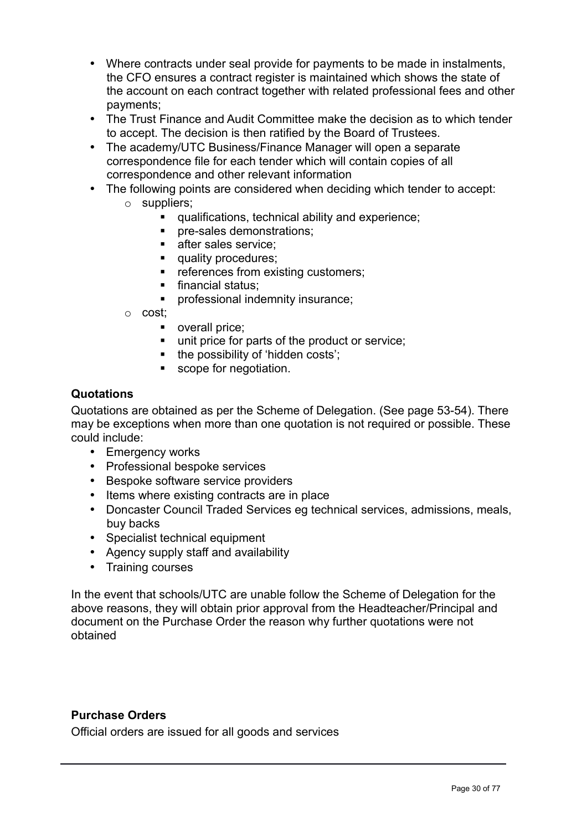- Where contracts under seal provide for payments to be made in instalments, the CFO ensures a contract register is maintained which shows the state of the account on each contract together with related professional fees and other payments;
- The Trust Finance and Audit Committee make the decision as to which tender to accept. The decision is then ratified by the Board of Trustees.
- The academy/UTC Business/Finance Manager will open a separate correspondence file for each tender which will contain copies of all correspondence and other relevant information
- The following points are considered when deciding which tender to accept:
	- o suppliers;
		- qualifications, technical ability and experience;
		- **pre-sales demonstrations;**
		- **after sales service:**
		- quality procedures;
		- references from existing customers;
		- **financial status;**
		- professional indemnity insurance;
	- o cost;
		- **•** overall price;
		- unit price for parts of the product or service:
		- the possibility of 'hidden costs';
		- scope for negotiation.

#### **Quotations**

Quotations are obtained as per the Scheme of Delegation. (See page 53-54). There may be exceptions when more than one quotation is not required or possible. These could include:

- Emergency works
- Professional bespoke services
- Bespoke software service providers
- Items where existing contracts are in place
- Doncaster Council Traded Services eg technical services, admissions, meals, buy backs
- Specialist technical equipment
- Agency supply staff and availability
- Training courses

In the event that schools/UTC are unable follow the Scheme of Delegation for the above reasons, they will obtain prior approval from the Headteacher/Principal and document on the Purchase Order the reason why further quotations were not obtained

## **Purchase Orders**

Official orders are issued for all goods and services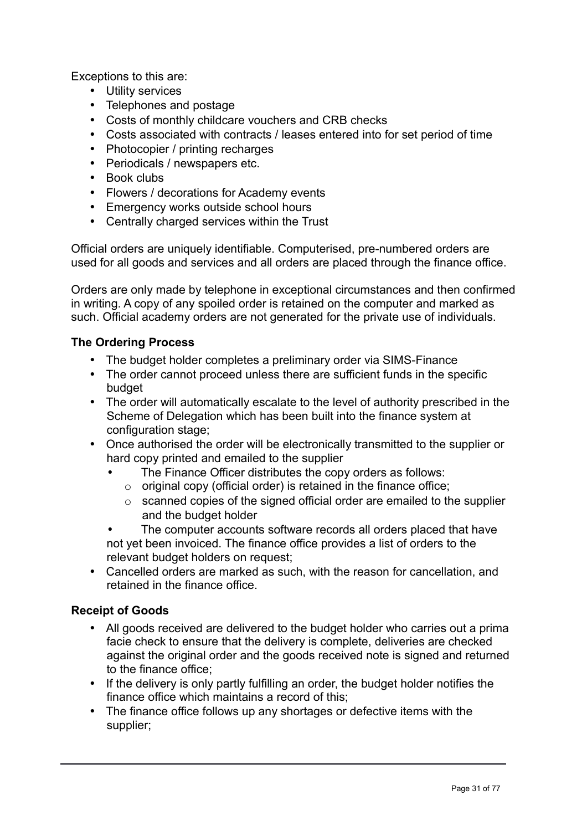Exceptions to this are:

- Utility services
- Telephones and postage
- Costs of monthly childcare vouchers and CRB checks
- Costs associated with contracts / leases entered into for set period of time
- Photocopier / printing recharges
- Periodicals / newspapers etc.
- Book clubs
- Flowers / decorations for Academy events
- Emergency works outside school hours
- Centrally charged services within the Trust

Official orders are uniquely identifiable. Computerised, pre-numbered orders are used for all goods and services and all orders are placed through the finance office.

Orders are only made by telephone in exceptional circumstances and then confirmed in writing. A copy of any spoiled order is retained on the computer and marked as such. Official academy orders are not generated for the private use of individuals.

## **The Ordering Process**

- The budget holder completes a preliminary order via SIMS-Finance
- The order cannot proceed unless there are sufficient funds in the specific budget
- The order will automatically escalate to the level of authority prescribed in the Scheme of Delegation which has been built into the finance system at configuration stage;
- Once authorised the order will be electronically transmitted to the supplier or hard copy printed and emailed to the supplier
	- The Finance Officer distributes the copy orders as follows:
		- $\circ$  original copy (official order) is retained in the finance office;
		- o scanned copies of the signed official order are emailed to the supplier and the budget holder
	- The computer accounts software records all orders placed that have not yet been invoiced. The finance office provides a list of orders to the relevant budget holders on request;
- Cancelled orders are marked as such, with the reason for cancellation, and retained in the finance office.

## **Receipt of Goods**

- All goods received are delivered to the budget holder who carries out a prima facie check to ensure that the delivery is complete, deliveries are checked against the original order and the goods received note is signed and returned to the finance office;
- If the delivery is only partly fulfilling an order, the budget holder notifies the finance office which maintains a record of this;
- The finance office follows up any shortages or defective items with the supplier;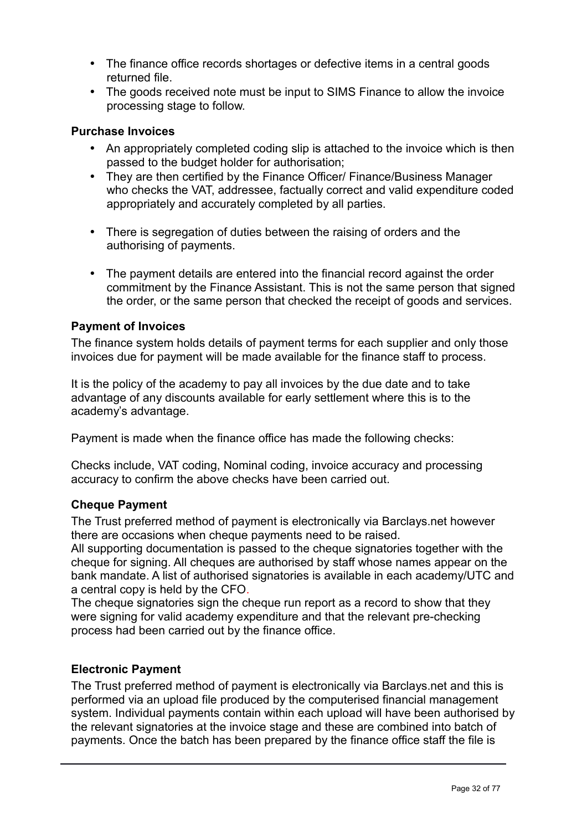- The finance office records shortages or defective items in a central goods returned file.
- The goods received note must be input to SIMS Finance to allow the invoice processing stage to follow.

## **Purchase Invoices**

- An appropriately completed coding slip is attached to the invoice which is then passed to the budget holder for authorisation;
- They are then certified by the Finance Officer/ Finance/Business Manager who checks the VAT, addressee, factually correct and valid expenditure coded appropriately and accurately completed by all parties.
- There is segregation of duties between the raising of orders and the authorising of payments.
- The payment details are entered into the financial record against the order commitment by the Finance Assistant. This is not the same person that signed the order, or the same person that checked the receipt of goods and services.

## **Payment of Invoices**

The finance system holds details of payment terms for each supplier and only those invoices due for payment will be made available for the finance staff to process.

It is the policy of the academy to pay all invoices by the due date and to take advantage of any discounts available for early settlement where this is to the academy's advantage.

Payment is made when the finance office has made the following checks:

Checks include, VAT coding, Nominal coding, invoice accuracy and processing accuracy to confirm the above checks have been carried out.

## **Cheque Payment**

The Trust preferred method of payment is electronically via Barclays.net however there are occasions when cheque payments need to be raised.

All supporting documentation is passed to the cheque signatories together with the cheque for signing. All cheques are authorised by staff whose names appear on the bank mandate. A list of authorised signatories is available in each academy/UTC and a central copy is held by the CFO.

The cheque signatories sign the cheque run report as a record to show that they were signing for valid academy expenditure and that the relevant pre-checking process had been carried out by the finance office.

## **Electronic Payment**

The Trust preferred method of payment is electronically via Barclays.net and this is performed via an upload file produced by the computerised financial management system. Individual payments contain within each upload will have been authorised by the relevant signatories at the invoice stage and these are combined into batch of payments. Once the batch has been prepared by the finance office staff the file is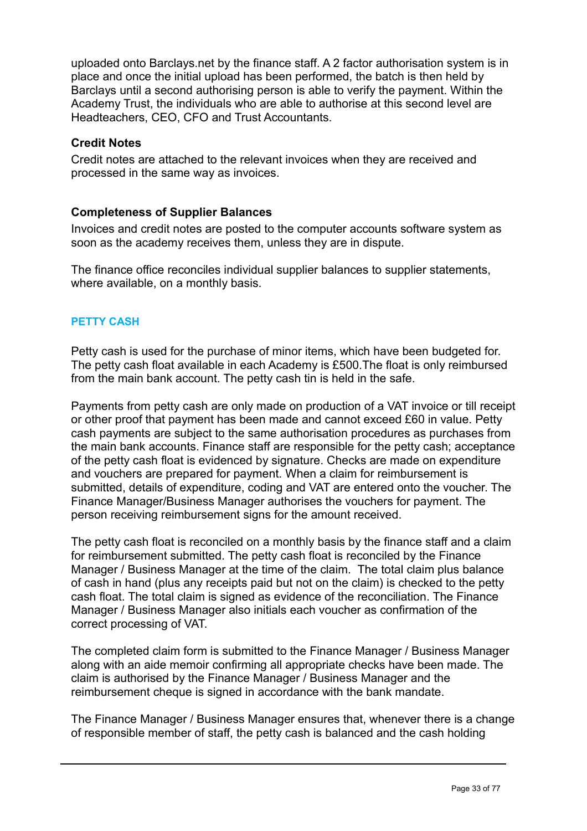uploaded onto Barclays.net by the finance staff. A 2 factor authorisation system is in place and once the initial upload has been performed, the batch is then held by Barclays until a second authorising person is able to verify the payment. Within the Academy Trust, the individuals who are able to authorise at this second level are Headteachers, CEO, CFO and Trust Accountants.

## **Credit Notes**

Credit notes are attached to the relevant invoices when they are received and processed in the same way as invoices.

## **Completeness of Supplier Balances**

Invoices and credit notes are posted to the computer accounts software system as soon as the academy receives them, unless they are in dispute.

The finance office reconciles individual supplier balances to supplier statements, where available, on a monthly basis.

## **PETTY CASH**

Petty cash is used for the purchase of minor items, which have been budgeted for. The petty cash float available in each Academy is £500.The float is only reimbursed from the main bank account. The petty cash tin is held in the safe.

Payments from petty cash are only made on production of a VAT invoice or till receipt or other proof that payment has been made and cannot exceed £60 in value. Petty cash payments are subject to the same authorisation procedures as purchases from the main bank accounts. Finance staff are responsible for the petty cash; acceptance of the petty cash float is evidenced by signature. Checks are made on expenditure and vouchers are prepared for payment. When a claim for reimbursement is submitted, details of expenditure, coding and VAT are entered onto the voucher. The Finance Manager/Business Manager authorises the vouchers for payment. The person receiving reimbursement signs for the amount received.

The petty cash float is reconciled on a monthly basis by the finance staff and a claim for reimbursement submitted. The petty cash float is reconciled by the Finance Manager / Business Manager at the time of the claim. The total claim plus balance of cash in hand (plus any receipts paid but not on the claim) is checked to the petty cash float. The total claim is signed as evidence of the reconciliation. The Finance Manager / Business Manager also initials each voucher as confirmation of the correct processing of VAT.

The completed claim form is submitted to the Finance Manager / Business Manager along with an aide memoir confirming all appropriate checks have been made. The claim is authorised by the Finance Manager / Business Manager and the reimbursement cheque is signed in accordance with the bank mandate.

The Finance Manager / Business Manager ensures that, whenever there is a change of responsible member of staff, the petty cash is balanced and the cash holding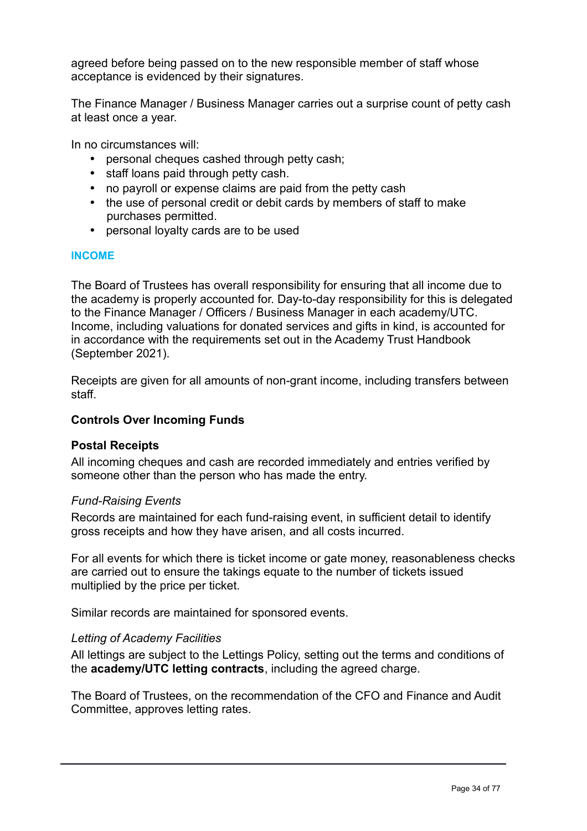agreed before being passed on to the new responsible member of staff whose acceptance is evidenced by their signatures.

The Finance Manager / Business Manager carries out a surprise count of petty cash at least once a year.

In no circumstances will:

- personal cheques cashed through petty cash;
- staff loans paid through petty cash.
- no payroll or expense claims are paid from the petty cash
- the use of personal credit or debit cards by members of staff to make purchases permitted.
- personal loyalty cards are to be used

#### **INCOME**

The Board of Trustees has overall responsibility for ensuring that all income due to the academy is properly accounted for. Day-to-day responsibility for this is delegated to the Finance Manager / Officers / Business Manager in each academy/UTC. Income, including valuations for donated services and gifts in kind, is accounted for in accordance with the requirements set out in the Academy Trust Handbook (September 2021).

Receipts are given for all amounts of non-grant income, including transfers between staff.

#### **Controls Over Incoming Funds**

#### **Postal Receipts**

All incoming cheques and cash are recorded immediately and entries verified by someone other than the person who has made the entry.

#### *Fund-Raising Events*

Records are maintained for each fund-raising event, in sufficient detail to identify gross receipts and how they have arisen, and all costs incurred.

For all events for which there is ticket income or gate money, reasonableness checks are carried out to ensure the takings equate to the number of tickets issued multiplied by the price per ticket.

Similar records are maintained for sponsored events.

#### *Letting of Academy Facilities*

All lettings are subject to the Lettings Policy, setting out the terms and conditions of the **academy/UTC letting contracts**, including the agreed charge.

The Board of Trustees, on the recommendation of the CFO and Finance and Audit Committee, approves letting rates.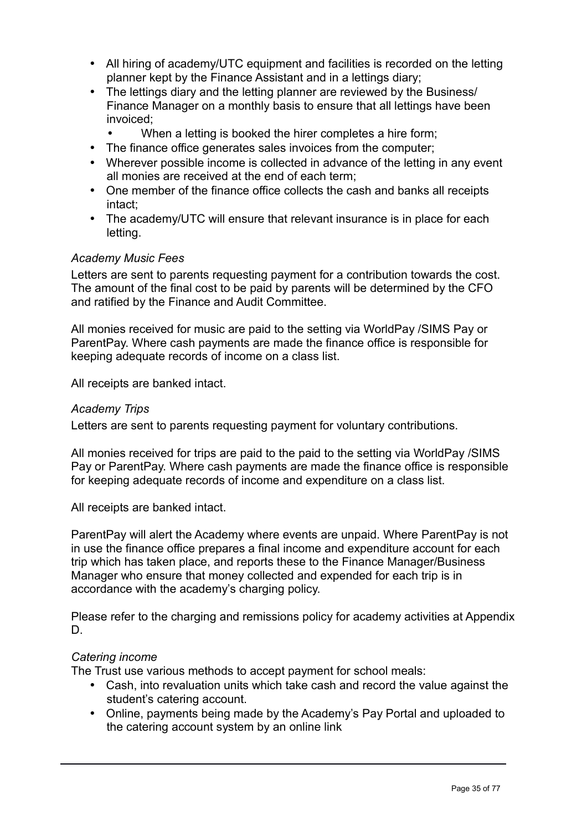- All hiring of academy/UTC equipment and facilities is recorded on the letting planner kept by the Finance Assistant and in a lettings diary;
- The lettings diary and the letting planner are reviewed by the Business/ Finance Manager on a monthly basis to ensure that all lettings have been invoiced;
	- When a letting is booked the hirer completes a hire form;
- The finance office generates sales invoices from the computer;
- Wherever possible income is collected in advance of the letting in any event all monies are received at the end of each term;
- One member of the finance office collects the cash and banks all receipts intact;
- The academy/UTC will ensure that relevant insurance is in place for each letting.

## *Academy Music Fees*

Letters are sent to parents requesting payment for a contribution towards the cost. The amount of the final cost to be paid by parents will be determined by the CFO and ratified by the Finance and Audit Committee.

All monies received for music are paid to the setting via WorldPay /SIMS Pay or ParentPay. Where cash payments are made the finance office is responsible for keeping adequate records of income on a class list.

All receipts are banked intact.

#### *Academy Trips*

Letters are sent to parents requesting payment for voluntary contributions.

All monies received for trips are paid to the paid to the setting via WorldPay /SIMS Pay or ParentPay. Where cash payments are made the finance office is responsible for keeping adequate records of income and expenditure on a class list.

All receipts are banked intact.

ParentPay will alert the Academy where events are unpaid. Where ParentPay is not in use the finance office prepares a final income and expenditure account for each trip which has taken place, and reports these to the Finance Manager/Business Manager who ensure that money collected and expended for each trip is in accordance with the academy's charging policy.

Please refer to the charging and remissions policy for academy activities at Appendix D.

#### *Catering income*

The Trust use various methods to accept payment for school meals:

- Cash, into revaluation units which take cash and record the value against the student's catering account.
- Online, payments being made by the Academy's Pay Portal and uploaded to the catering account system by an online link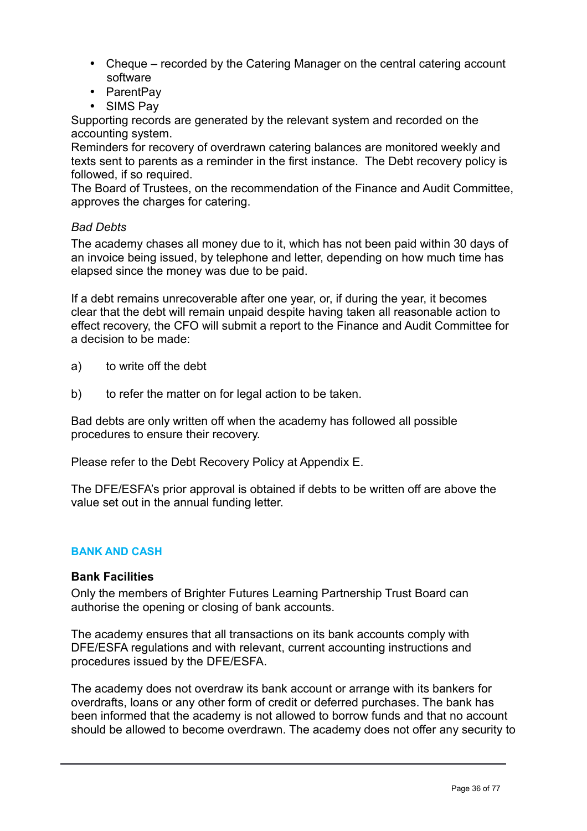- Cheque recorded by the Catering Manager on the central catering account software
- ParentPay
- SIMS Pay

Supporting records are generated by the relevant system and recorded on the accounting system.

Reminders for recovery of overdrawn catering balances are monitored weekly and texts sent to parents as a reminder in the first instance. The Debt recovery policy is followed, if so required.

The Board of Trustees, on the recommendation of the Finance and Audit Committee, approves the charges for catering.

## *Bad Debts*

The academy chases all money due to it, which has not been paid within 30 days of an invoice being issued, by telephone and letter, depending on how much time has elapsed since the money was due to be paid.

If a debt remains unrecoverable after one year, or, if during the year, it becomes clear that the debt will remain unpaid despite having taken all reasonable action to effect recovery, the CFO will submit a report to the Finance and Audit Committee for a decision to be made:

- a) to write off the debt
- b) to refer the matter on for legal action to be taken.

Bad debts are only written off when the academy has followed all possible procedures to ensure their recovery.

Please refer to the Debt Recovery Policy at Appendix E.

The DFE/ESFA's prior approval is obtained if debts to be written off are above the value set out in the annual funding letter.

## **BANK AND CASH**

#### **Bank Facilities**

Only the members of Brighter Futures Learning Partnership Trust Board can authorise the opening or closing of bank accounts.

The academy ensures that all transactions on its bank accounts comply with DFE/ESFA regulations and with relevant, current accounting instructions and procedures issued by the DFE/ESFA.

The academy does not overdraw its bank account or arrange with its bankers for overdrafts, loans or any other form of credit or deferred purchases. The bank has been informed that the academy is not allowed to borrow funds and that no account should be allowed to become overdrawn. The academy does not offer any security to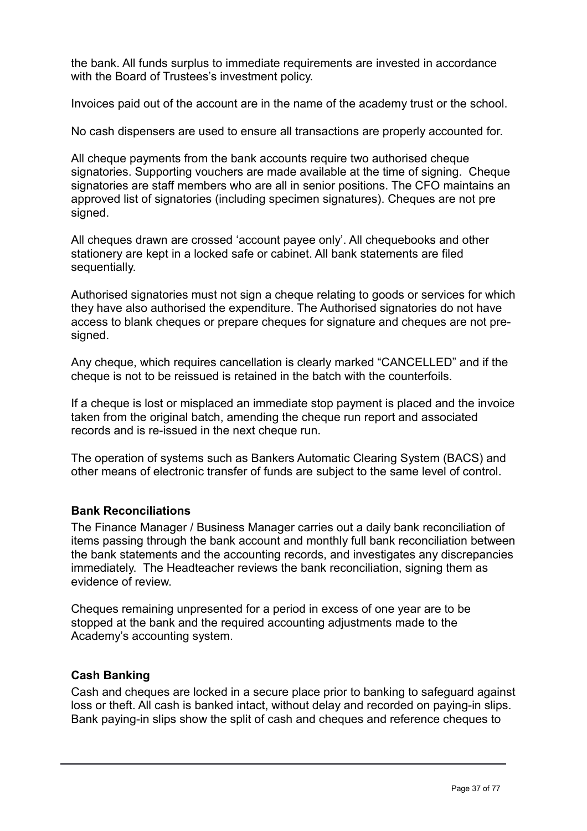the bank. All funds surplus to immediate requirements are invested in accordance with the Board of Trustees's investment policy.

Invoices paid out of the account are in the name of the academy trust or the school.

No cash dispensers are used to ensure all transactions are properly accounted for.

All cheque payments from the bank accounts require two authorised cheque signatories. Supporting vouchers are made available at the time of signing. Cheque signatories are staff members who are all in senior positions. The CFO maintains an approved list of signatories (including specimen signatures). Cheques are not pre signed.

All cheques drawn are crossed 'account payee only'. All chequebooks and other stationery are kept in a locked safe or cabinet. All bank statements are filed sequentially.

Authorised signatories must not sign a cheque relating to goods or services for which they have also authorised the expenditure. The Authorised signatories do not have access to blank cheques or prepare cheques for signature and cheques are not presigned.

Any cheque, which requires cancellation is clearly marked "CANCELLED" and if the cheque is not to be reissued is retained in the batch with the counterfoils.

If a cheque is lost or misplaced an immediate stop payment is placed and the invoice taken from the original batch, amending the cheque run report and associated records and is re-issued in the next cheque run.

The operation of systems such as Bankers Automatic Clearing System (BACS) and other means of electronic transfer of funds are subject to the same level of control.

# **Bank Reconciliations**

The Finance Manager / Business Manager carries out a daily bank reconciliation of items passing through the bank account and monthly full bank reconciliation between the bank statements and the accounting records, and investigates any discrepancies immediately. The Headteacher reviews the bank reconciliation, signing them as evidence of review.

Cheques remaining unpresented for a period in excess of one year are to be stopped at the bank and the required accounting adjustments made to the Academy's accounting system.

# **Cash Banking**

Cash and cheques are locked in a secure place prior to banking to safeguard against loss or theft. All cash is banked intact, without delay and recorded on paying-in slips. Bank paying-in slips show the split of cash and cheques and reference cheques to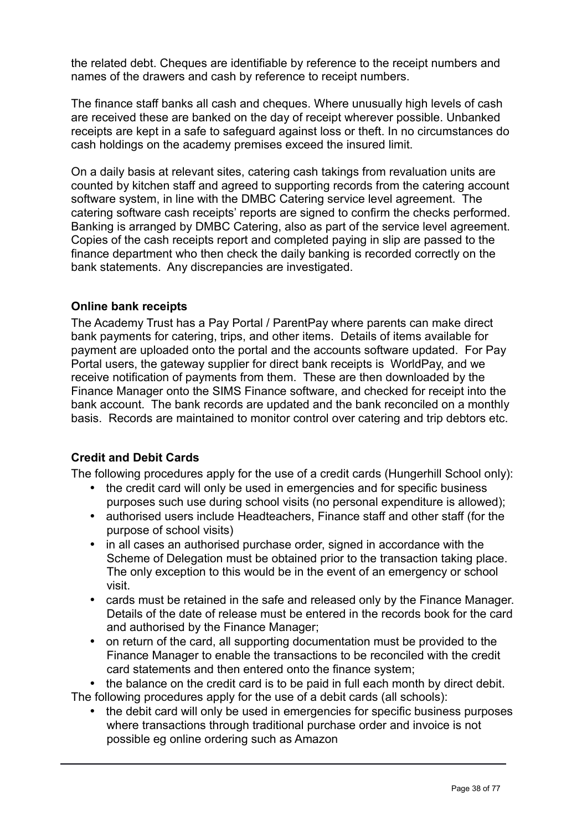the related debt. Cheques are identifiable by reference to the receipt numbers and names of the drawers and cash by reference to receipt numbers.

The finance staff banks all cash and cheques. Where unusually high levels of cash are received these are banked on the day of receipt wherever possible. Unbanked receipts are kept in a safe to safeguard against loss or theft. In no circumstances do cash holdings on the academy premises exceed the insured limit.

On a daily basis at relevant sites, catering cash takings from revaluation units are counted by kitchen staff and agreed to supporting records from the catering account software system, in line with the DMBC Catering service level agreement. The catering software cash receipts' reports are signed to confirm the checks performed. Banking is arranged by DMBC Catering, also as part of the service level agreement. Copies of the cash receipts report and completed paying in slip are passed to the finance department who then check the daily banking is recorded correctly on the bank statements. Any discrepancies are investigated.

# **Online bank receipts**

The Academy Trust has a Pay Portal / ParentPay where parents can make direct bank payments for catering, trips, and other items. Details of items available for payment are uploaded onto the portal and the accounts software updated. For Pay Portal users, the gateway supplier for direct bank receipts is WorldPay, and we receive notification of payments from them. These are then downloaded by the Finance Manager onto the SIMS Finance software, and checked for receipt into the bank account. The bank records are updated and the bank reconciled on a monthly basis. Records are maintained to monitor control over catering and trip debtors etc.

# **Credit and Debit Cards**

The following procedures apply for the use of a credit cards (Hungerhill School only):

- the credit card will only be used in emergencies and for specific business purposes such use during school visits (no personal expenditure is allowed);
- authorised users include Headteachers, Finance staff and other staff (for the purpose of school visits)
- in all cases an authorised purchase order, signed in accordance with the Scheme of Delegation must be obtained prior to the transaction taking place. The only exception to this would be in the event of an emergency or school visit.
- cards must be retained in the safe and released only by the Finance Manager. Details of the date of release must be entered in the records book for the card and authorised by the Finance Manager;
- on return of the card, all supporting documentation must be provided to the Finance Manager to enable the transactions to be reconciled with the credit card statements and then entered onto the finance system;

• the balance on the credit card is to be paid in full each month by direct debit. The following procedures apply for the use of a debit cards (all schools):

• the debit card will only be used in emergencies for specific business purposes where transactions through traditional purchase order and invoice is not possible eg online ordering such as Amazon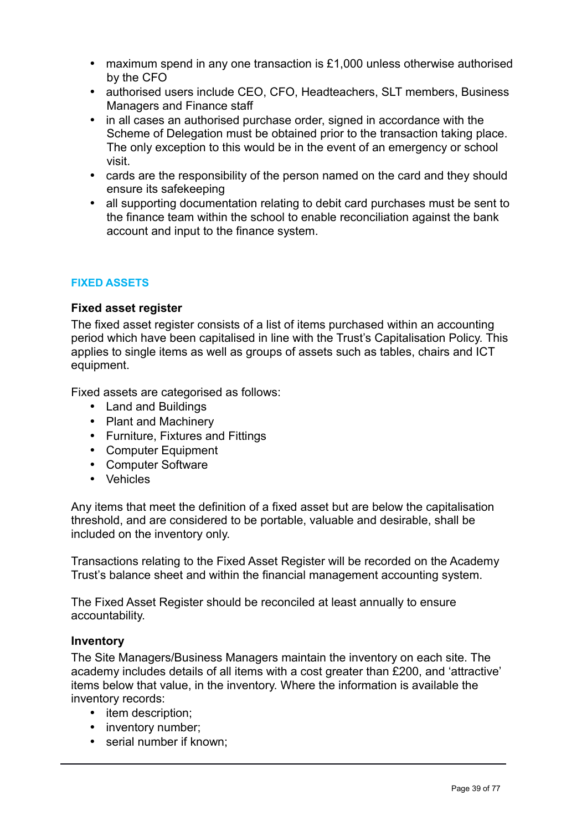- maximum spend in any one transaction is £1,000 unless otherwise authorised by the CFO
- authorised users include CEO, CFO, Headteachers, SLT members, Business Managers and Finance staff
- in all cases an authorised purchase order, signed in accordance with the Scheme of Delegation must be obtained prior to the transaction taking place. The only exception to this would be in the event of an emergency or school visit.
- cards are the responsibility of the person named on the card and they should ensure its safekeeping
- all supporting documentation relating to debit card purchases must be sent to the finance team within the school to enable reconciliation against the bank account and input to the finance system.

# **FIXED ASSETS**

#### **Fixed asset register**

The fixed asset register consists of a list of items purchased within an accounting period which have been capitalised in line with the Trust's Capitalisation Policy. This applies to single items as well as groups of assets such as tables, chairs and ICT equipment.

Fixed assets are categorised as follows:

- Land and Buildings
- Plant and Machinery
- Furniture, Fixtures and Fittings
- Computer Equipment
- Computer Software
- Vehicles

Any items that meet the definition of a fixed asset but are below the capitalisation threshold, and are considered to be portable, valuable and desirable, shall be included on the inventory only.

Transactions relating to the Fixed Asset Register will be recorded on the Academy Trust's balance sheet and within the financial management accounting system.

The Fixed Asset Register should be reconciled at least annually to ensure accountability.

#### **Inventory**

The Site Managers/Business Managers maintain the inventory on each site. The academy includes details of all items with a cost greater than £200, and 'attractive' items below that value, in the inventory. Where the information is available the inventory records:

- item description;
- inventory number;
- serial number if known: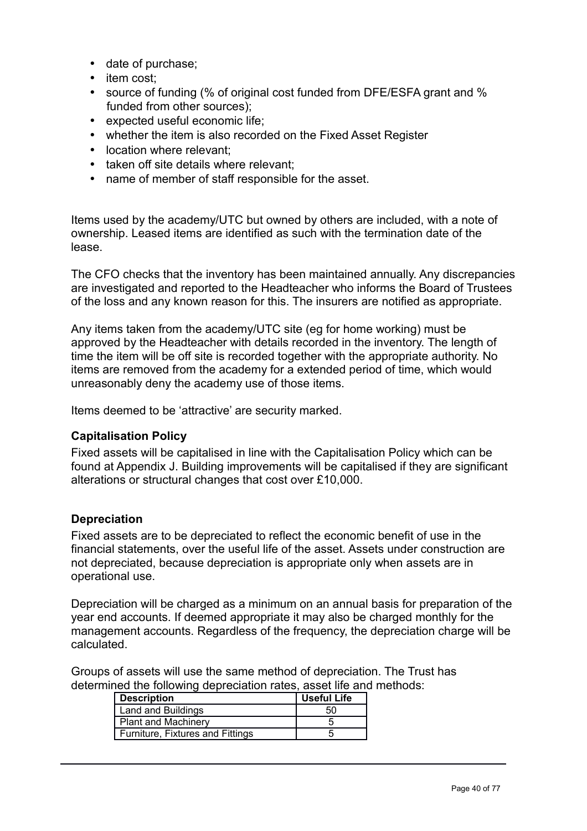- date of purchase;
- item cost:
- source of funding (% of original cost funded from DFE/ESFA grant and % funded from other sources);
- expected useful economic life;
- whether the item is also recorded on the Fixed Asset Register
- location where relevant:
- taken off site details where relevant:
- name of member of staff responsible for the asset.

Items used by the academy/UTC but owned by others are included, with a note of ownership. Leased items are identified as such with the termination date of the lease.

The CFO checks that the inventory has been maintained annually. Any discrepancies are investigated and reported to the Headteacher who informs the Board of Trustees of the loss and any known reason for this. The insurers are notified as appropriate.

Any items taken from the academy/UTC site (eg for home working) must be approved by the Headteacher with details recorded in the inventory. The length of time the item will be off site is recorded together with the appropriate authority. No items are removed from the academy for a extended period of time, which would unreasonably deny the academy use of those items.

Items deemed to be 'attractive' are security marked.

# **Capitalisation Policy**

Fixed assets will be capitalised in line with the Capitalisation Policy which can be found at Appendix J. Building improvements will be capitalised if they are significant alterations or structural changes that cost over £10,000.

# **Depreciation**

Fixed assets are to be depreciated to reflect the economic benefit of use in the financial statements, over the useful life of the asset. Assets under construction are not depreciated, because depreciation is appropriate only when assets are in operational use.

Depreciation will be charged as a minimum on an annual basis for preparation of the year end accounts. If deemed appropriate it may also be charged monthly for the management accounts. Regardless of the frequency, the depreciation charge will be calculated.

Groups of assets will use the same method of depreciation. The Trust has determined the following depreciation rates, asset life and methods:

| <b>Description</b>               | <b>Useful Life</b> |
|----------------------------------|--------------------|
| Land and Buildings               | 50                 |
| <b>Plant and Machinery</b>       |                    |
| Furniture, Fixtures and Fittings |                    |
|                                  |                    |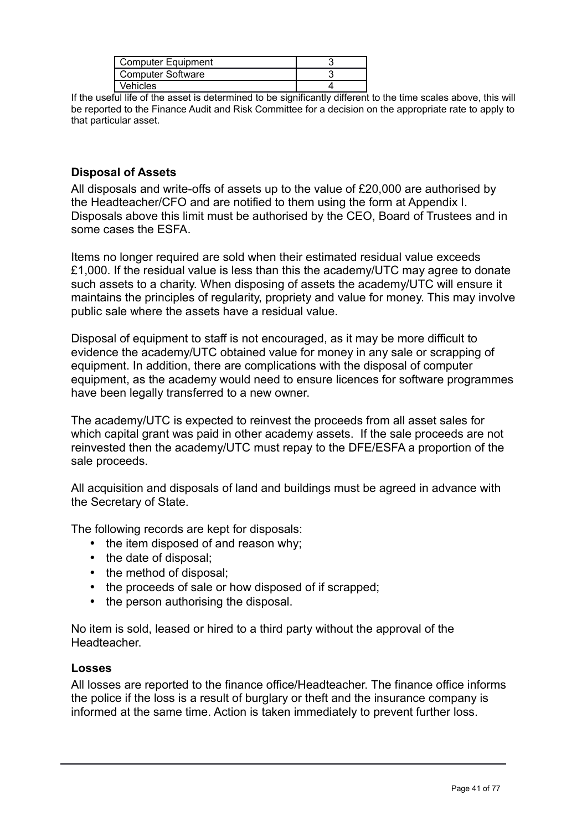| Computer Equipment |  |
|--------------------|--|
| Computer Software  |  |
| Vehicles           |  |

If the useful life of the asset is determined to be significantly different to the time scales above, this will be reported to the Finance Audit and Risk Committee for a decision on the appropriate rate to apply to that particular asset.

# **Disposal of Assets**

All disposals and write-offs of assets up to the value of £20,000 are authorised by the Headteacher/CFO and are notified to them using the form at Appendix I. Disposals above this limit must be authorised by the CEO, Board of Trustees and in some cases the ESFA.

Items no longer required are sold when their estimated residual value exceeds £1,000. If the residual value is less than this the academy/UTC may agree to donate such assets to a charity. When disposing of assets the academy/UTC will ensure it maintains the principles of regularity, propriety and value for money. This may involve public sale where the assets have a residual value.

Disposal of equipment to staff is not encouraged, as it may be more difficult to evidence the academy/UTC obtained value for money in any sale or scrapping of equipment. In addition, there are complications with the disposal of computer equipment, as the academy would need to ensure licences for software programmes have been legally transferred to a new owner.

The academy/UTC is expected to reinvest the proceeds from all asset sales for which capital grant was paid in other academy assets. If the sale proceeds are not reinvested then the academy/UTC must repay to the DFE/ESFA a proportion of the sale proceeds.

All acquisition and disposals of land and buildings must be agreed in advance with the Secretary of State.

The following records are kept for disposals:

- the item disposed of and reason why;
- the date of disposal;
- the method of disposal;
- the proceeds of sale or how disposed of if scrapped;
- the person authorising the disposal.

No item is sold, leased or hired to a third party without the approval of the Headteacher.

# **Losses**

All losses are reported to the finance office/Headteacher. The finance office informs the police if the loss is a result of burglary or theft and the insurance company is informed at the same time. Action is taken immediately to prevent further loss.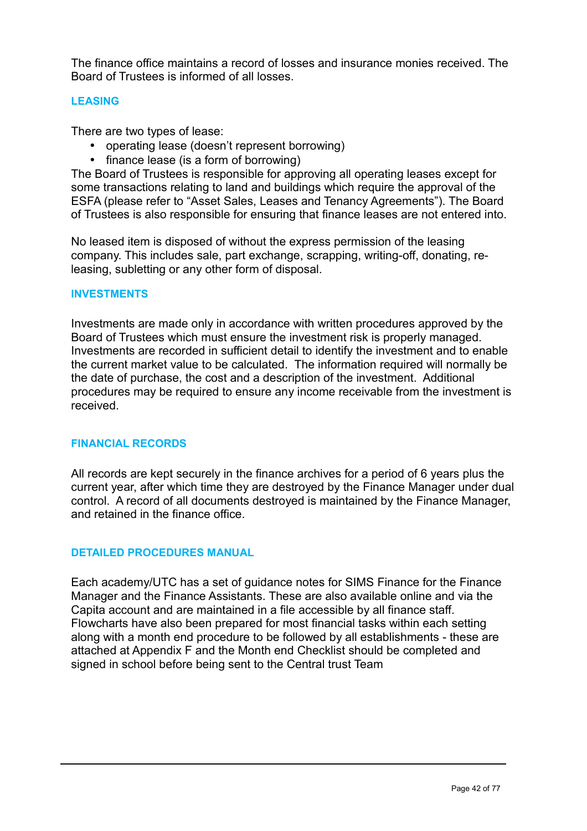The finance office maintains a record of losses and insurance monies received. The Board of Trustees is informed of all losses.

#### **LEASING**

There are two types of lease:

- operating lease (doesn't represent borrowing)
- finance lease (is a form of borrowing)

The Board of Trustees is responsible for approving all operating leases except for some transactions relating to land and buildings which require the approval of the ESFA (please refer to "Asset Sales, Leases and Tenancy Agreements"). The Board of Trustees is also responsible for ensuring that finance leases are not entered into.

No leased item is disposed of without the express permission of the leasing company. This includes sale, part exchange, scrapping, writing-off, donating, releasing, subletting or any other form of disposal.

#### **INVESTMENTS**

Investments are made only in accordance with written procedures approved by the Board of Trustees which must ensure the investment risk is properly managed. Investments are recorded in sufficient detail to identify the investment and to enable the current market value to be calculated. The information required will normally be the date of purchase, the cost and a description of the investment. Additional procedures may be required to ensure any income receivable from the investment is received.

#### **FINANCIAL RECORDS**

All records are kept securely in the finance archives for a period of 6 years plus the current year, after which time they are destroyed by the Finance Manager under dual control. A record of all documents destroyed is maintained by the Finance Manager, and retained in the finance office.

#### **DETAILED PROCEDURES MANUAL**

Each academy/UTC has a set of guidance notes for SIMS Finance for the Finance Manager and the Finance Assistants. These are also available online and via the Capita account and are maintained in a file accessible by all finance staff. Flowcharts have also been prepared for most financial tasks within each setting along with a month end procedure to be followed by all establishments - these are attached at Appendix F and the Month end Checklist should be completed and signed in school before being sent to the Central trust Team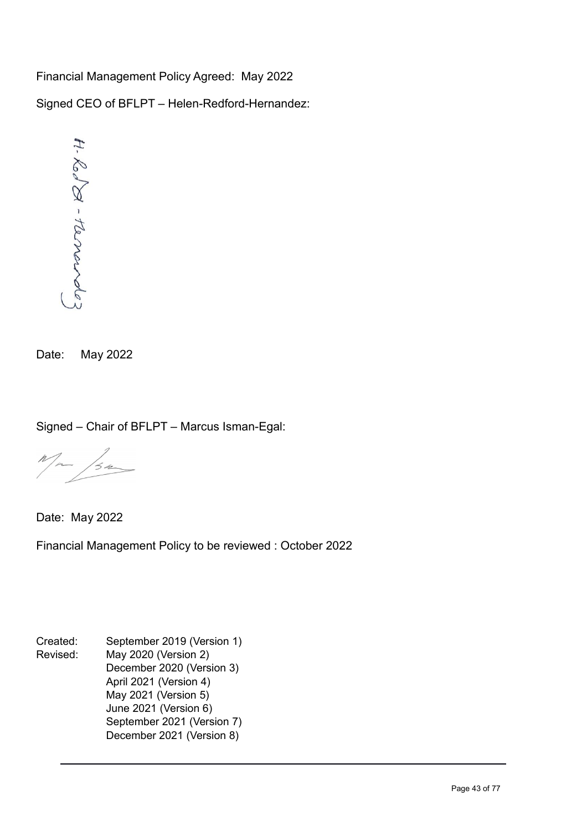Financial Management Policy Agreed: May 2022 Signed CEO of BFLPT – Helen-Redford-Hernandez:



Date: May 2022

Signed – Chair of BFLPT – Marcus Isman-Egal:

 $M_{\mu\nu}$  /30

Date: May 2022

Financial Management Policy to be reviewed : October 2022

Created: September 2019 (Version 1) Revised: May 2020 (Version 2) December 2020 (Version 3) April 2021 (Version 4) May 2021 (Version 5) June 2021 (Version 6) September 2021 (Version 7) December 2021 (Version 8)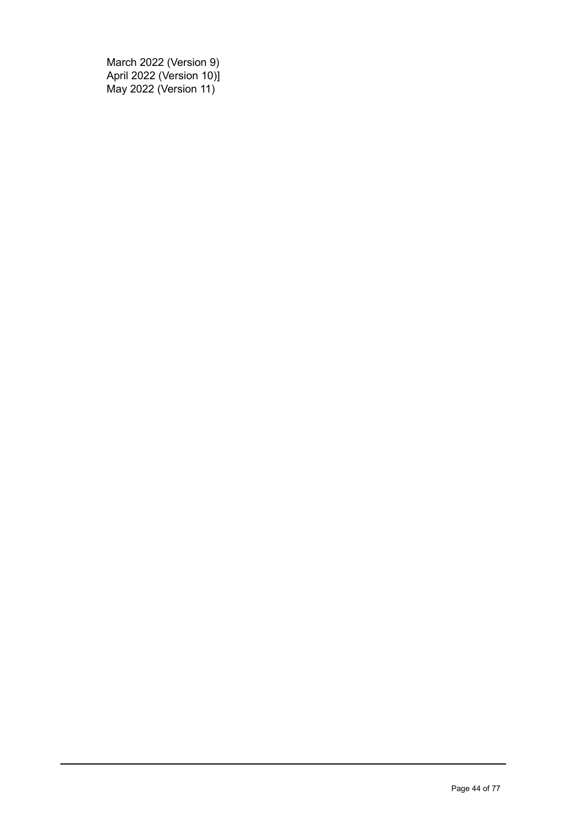March 2022 (Version 9) April 2022 (Version 10)] May 2022 (Version 11)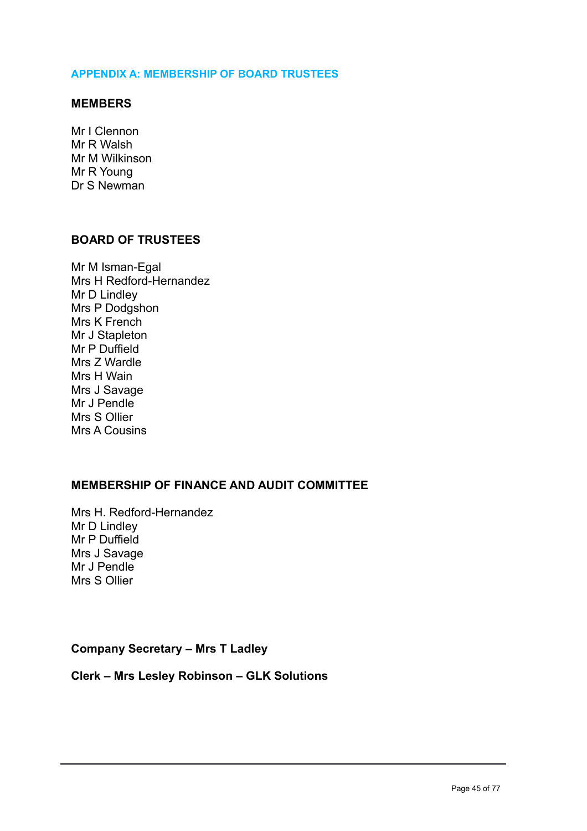#### **APPENDIX A: MEMBERSHIP OF BOARD TRUSTEES**

#### **MEMBERS**

Mr I Clennon Mr R Walsh Mr M Wilkinson Mr R Young Dr S Newman

# **BOARD OF TRUSTEES**

Mr M Isman-Egal Mrs H Redford-Hernandez Mr D Lindley Mrs P Dodgshon Mrs K French Mr J Stapleton Mr P Duffield Mrs Z Wardle Mrs H Wain Mrs J Savage Mr J Pendle Mrs S Ollier Mrs A Cousins

# **MEMBERSHIP OF FINANCE AND AUDIT COMMITTEE**

Mrs H. Redford-Hernandez Mr D Lindley Mr P Duffield Mrs J Savage Mr J Pendle Mrs S Ollier

#### **Company Secretary – Mrs T Ladley**

#### **Clerk – Mrs Lesley Robinson – GLK Solutions**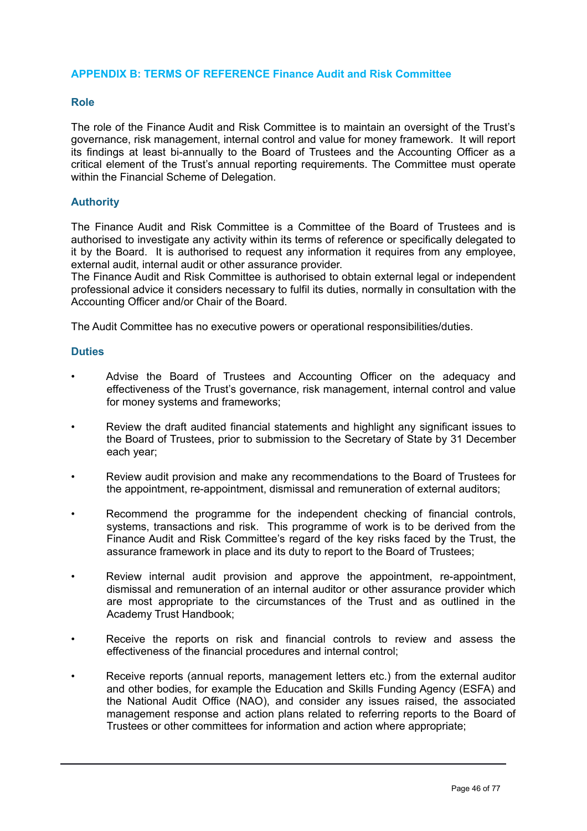#### **APPENDIX B: TERMS OF REFERENCE Finance Audit and Risk Committee**

#### **Role**

The role of the Finance Audit and Risk Committee is to maintain an oversight of the Trust's governance, risk management, internal control and value for money framework. It will report its findings at least bi-annually to the Board of Trustees and the Accounting Officer as a critical element of the Trust's annual reporting requirements. The Committee must operate within the Financial Scheme of Delegation.

#### **Authority**

The Finance Audit and Risk Committee is a Committee of the Board of Trustees and is authorised to investigate any activity within its terms of reference or specifically delegated to it by the Board. It is authorised to request any information it requires from any employee, external audit, internal audit or other assurance provider.

The Finance Audit and Risk Committee is authorised to obtain external legal or independent professional advice it considers necessary to fulfil its duties, normally in consultation with the Accounting Officer and/or Chair of the Board.

The Audit Committee has no executive powers or operational responsibilities/duties.

#### **Duties**

- Advise the Board of Trustees and Accounting Officer on the adequacy and effectiveness of the Trust's governance, risk management, internal control and value for money systems and frameworks;
- Review the draft audited financial statements and highlight any significant issues to the Board of Trustees, prior to submission to the Secretary of State by 31 December each year;
- Review audit provision and make any recommendations to the Board of Trustees for the appointment, re-appointment, dismissal and remuneration of external auditors;
- Recommend the programme for the independent checking of financial controls, systems, transactions and risk. This programme of work is to be derived from the Finance Audit and Risk Committee's regard of the key risks faced by the Trust, the assurance framework in place and its duty to report to the Board of Trustees;
- Review internal audit provision and approve the appointment, re-appointment, dismissal and remuneration of an internal auditor or other assurance provider which are most appropriate to the circumstances of the Trust and as outlined in the Academy Trust Handbook;
- Receive the reports on risk and financial controls to review and assess the effectiveness of the financial procedures and internal control;
- Receive reports (annual reports, management letters etc.) from the external auditor and other bodies, for example the Education and Skills Funding Agency (ESFA) and the National Audit Office (NAO), and consider any issues raised, the associated management response and action plans related to referring reports to the Board of Trustees or other committees for information and action where appropriate;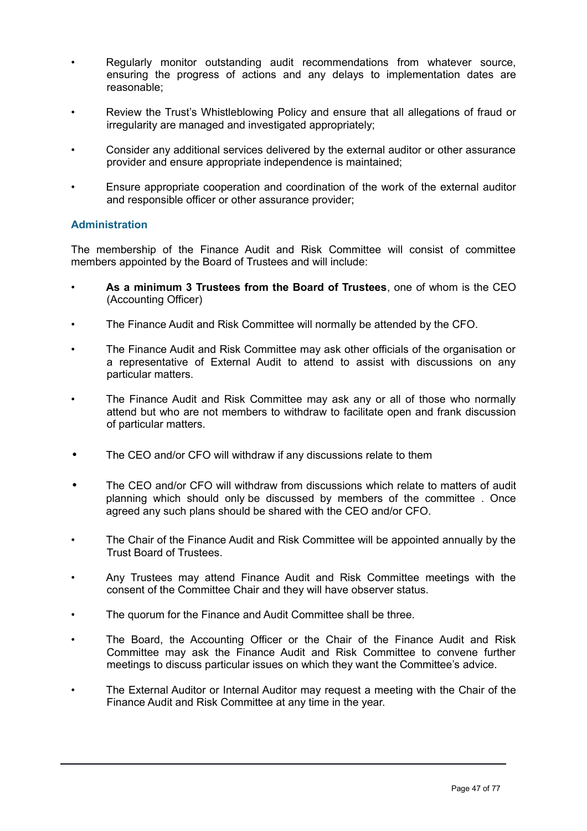- Regularly monitor outstanding audit recommendations from whatever source, ensuring the progress of actions and any delays to implementation dates are reasonable;
- Review the Trust's Whistleblowing Policy and ensure that all allegations of fraud or irregularity are managed and investigated appropriately;
- Consider any additional services delivered by the external auditor or other assurance provider and ensure appropriate independence is maintained;
- Ensure appropriate cooperation and coordination of the work of the external auditor and responsible officer or other assurance provider;

#### **Administration**

The membership of the Finance Audit and Risk Committee will consist of committee members appointed by the Board of Trustees and will include:

- **As a minimum 3 Trustees from the Board of Trustees**, one of whom is the CEO (Accounting Officer)
- The Finance Audit and Risk Committee will normally be attended by the CFO.
- The Finance Audit and Risk Committee may ask other officials of the organisation or a representative of External Audit to attend to assist with discussions on any particular matters.
- The Finance Audit and Risk Committee may ask any or all of those who normally attend but who are not members to withdraw to facilitate open and frank discussion of particular matters.
- The CEO and/or CFO will withdraw if any discussions relate to them
- The CEO and/or CFO will withdraw from discussions which relate to matters of audit planning which should only be discussed by members of the committee . Once agreed any such plans should be shared with the CEO and/or CFO.
- The Chair of the Finance Audit and Risk Committee will be appointed annually by the Trust Board of Trustees.
- Any Trustees may attend Finance Audit and Risk Committee meetings with the consent of the Committee Chair and they will have observer status.
- The quorum for the Finance and Audit Committee shall be three.
- The Board, the Accounting Officer or the Chair of the Finance Audit and Risk Committee may ask the Finance Audit and Risk Committee to convene further meetings to discuss particular issues on which they want the Committee's advice.
- The External Auditor or Internal Auditor may request a meeting with the Chair of the Finance Audit and Risk Committee at any time in the year.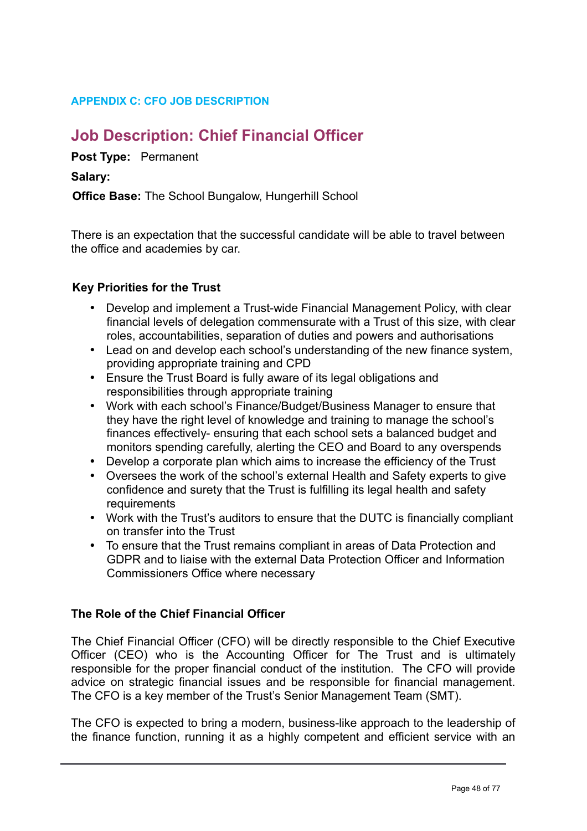# **APPENDIX C: CFO JOB DESCRIPTION**

# **Job Description: Chief Financial Officer**

**Post Type:** Permanent

# **Salary:**

**Office Base: The School Bungalow, Hungerhill School** 

There is an expectation that the successful candidate will be able to travel between the office and academies by car.

# **Key Priorities for the Trust**

- Develop and implement a Trust-wide Financial Management Policy, with clear financial levels of delegation commensurate with a Trust of this size, with clear roles, accountabilities, separation of duties and powers and authorisations
- Lead on and develop each school's understanding of the new finance system, providing appropriate training and CPD
- Ensure the Trust Board is fully aware of its legal obligations and responsibilities through appropriate training
- Work with each school's Finance/Budget/Business Manager to ensure that they have the right level of knowledge and training to manage the school's finances effectively- ensuring that each school sets a balanced budget and monitors spending carefully, alerting the CEO and Board to any overspends
- Develop a corporate plan which aims to increase the efficiency of the Trust
- Oversees the work of the school's external Health and Safety experts to give confidence and surety that the Trust is fulfilling its legal health and safety **requirements**
- Work with the Trust's auditors to ensure that the DUTC is financially compliant on transfer into the Trust
- To ensure that the Trust remains compliant in areas of Data Protection and GDPR and to liaise with the external Data Protection Officer and Information Commissioners Office where necessary

# **The Role of the Chief Financial Officer**

The Chief Financial Officer (CFO) will be directly responsible to the Chief Executive Officer (CEO) who is the Accounting Officer for The Trust and is ultimately responsible for the proper financial conduct of the institution. The CFO will provide advice on strategic financial issues and be responsible for financial management. The CFO is a key member of the Trust's Senior Management Team (SMT).

The CFO is expected to bring a modern, business-like approach to the leadership of the finance function, running it as a highly competent and efficient service with an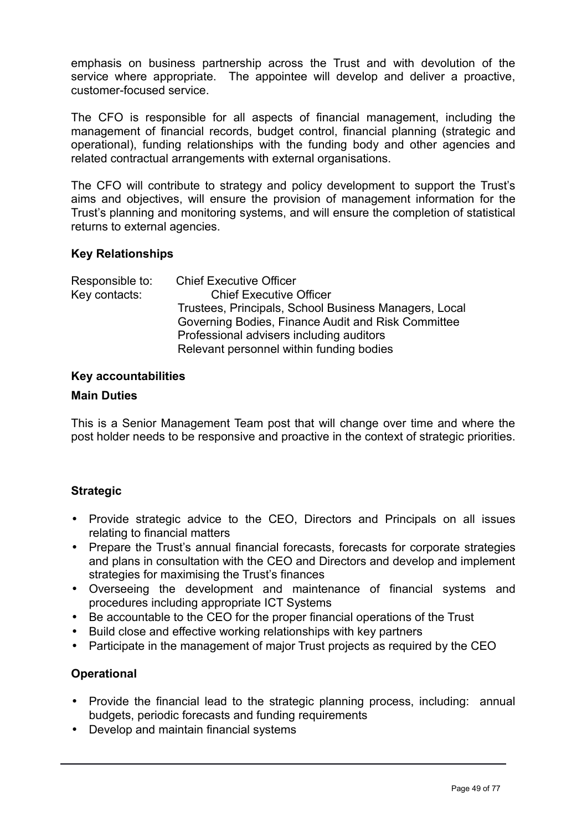emphasis on business partnership across the Trust and with devolution of the service where appropriate. The appointee will develop and deliver a proactive, customer-focused service.

The CFO is responsible for all aspects of financial management, including the management of financial records, budget control, financial planning (strategic and operational), funding relationships with the funding body and other agencies and related contractual arrangements with external organisations.

The CFO will contribute to strategy and policy development to support the Trust's aims and objectives, will ensure the provision of management information for the Trust's planning and monitoring systems, and will ensure the completion of statistical returns to external agencies.

# **Key Relationships**

| Responsible to: | <b>Chief Executive Officer</b>                        |
|-----------------|-------------------------------------------------------|
| Key contacts:   | <b>Chief Executive Officer</b>                        |
|                 | Trustees, Principals, School Business Managers, Local |
|                 | Governing Bodies, Finance Audit and Risk Committee    |
|                 | Professional advisers including auditors              |
|                 | Relevant personnel within funding bodies              |

# **Key accountabilities**

#### **Main Duties**

This is a Senior Management Team post that will change over time and where the post holder needs to be responsive and proactive in the context of strategic priorities.

# **Strategic**

- Provide strategic advice to the CEO, Directors and Principals on all issues relating to financial matters
- Prepare the Trust's annual financial forecasts, forecasts for corporate strategies and plans in consultation with the CEO and Directors and develop and implement strategies for maximising the Trust's finances
- Overseeing the development and maintenance of financial systems and procedures including appropriate ICT Systems
- Be accountable to the CEO for the proper financial operations of the Trust
- Build close and effective working relationships with key partners
- Participate in the management of major Trust projects as required by the CEO

# **Operational**

- Provide the financial lead to the strategic planning process, including: annual budgets, periodic forecasts and funding requirements
- Develop and maintain financial systems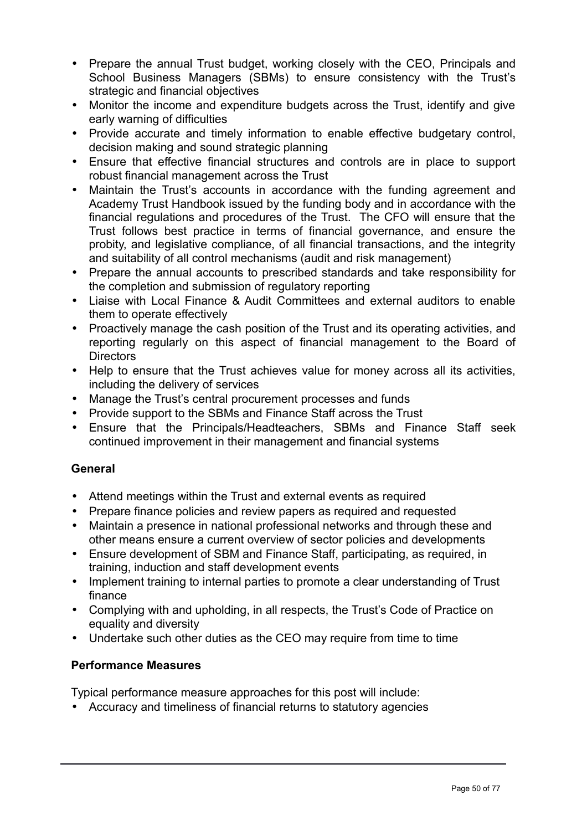- Prepare the annual Trust budget, working closely with the CEO, Principals and School Business Managers (SBMs) to ensure consistency with the Trust's strategic and financial objectives
- Monitor the income and expenditure budgets across the Trust, identify and give early warning of difficulties
- Provide accurate and timely information to enable effective budgetary control, decision making and sound strategic planning
- Ensure that effective financial structures and controls are in place to support robust financial management across the Trust
- Maintain the Trust's accounts in accordance with the funding agreement and Academy Trust Handbook issued by the funding body and in accordance with the financial regulations and procedures of the Trust. The CFO will ensure that the Trust follows best practice in terms of financial governance, and ensure the probity, and legislative compliance, of all financial transactions, and the integrity and suitability of all control mechanisms (audit and risk management)
- Prepare the annual accounts to prescribed standards and take responsibility for the completion and submission of regulatory reporting
- Liaise with Local Finance & Audit Committees and external auditors to enable them to operate effectively
- Proactively manage the cash position of the Trust and its operating activities, and reporting regularly on this aspect of financial management to the Board of **Directors**
- Help to ensure that the Trust achieves value for money across all its activities, including the delivery of services
- Manage the Trust's central procurement processes and funds
- Provide support to the SBMs and Finance Staff across the Trust
- Ensure that the Principals/Headteachers, SBMs and Finance Staff seek continued improvement in their management and financial systems

# **General**

- Attend meetings within the Trust and external events as required
- Prepare finance policies and review papers as required and requested
- Maintain a presence in national professional networks and through these and other means ensure a current overview of sector policies and developments
- Ensure development of SBM and Finance Staff, participating, as required, in training, induction and staff development events
- Implement training to internal parties to promote a clear understanding of Trust finance
- Complying with and upholding, in all respects, the Trust's Code of Practice on equality and diversity
- Undertake such other duties as the CEO may require from time to time

# **Performance Measures**

Typical performance measure approaches for this post will include:

• Accuracy and timeliness of financial returns to statutory agencies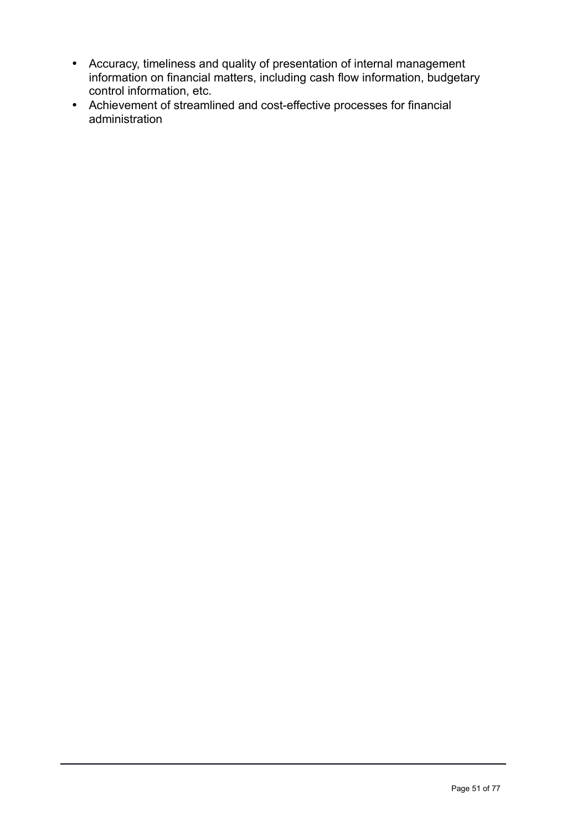- Accuracy, timeliness and quality of presentation of internal management information on financial matters, including cash flow information, budgetary control information, etc.
- Achievement of streamlined and cost-effective processes for financial administration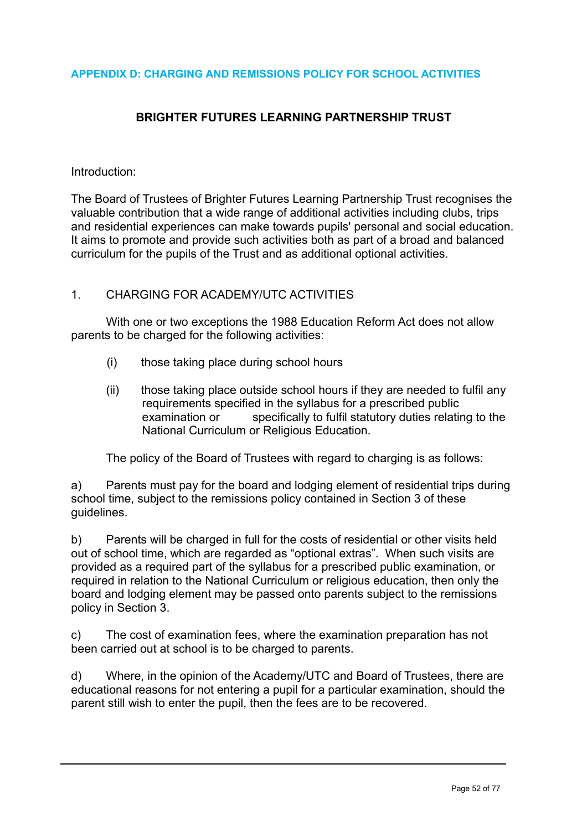#### **APPENDIX D: CHARGING AND REMISSIONS POLICY FOR SCHOOL ACTIVITIES**

# **BRIGHTER FUTURES LEARNING PARTNERSHIP TRUST**

#### Introduction:

The Board of Trustees of Brighter Futures Learning Partnership Trust recognises the valuable contribution that a wide range of additional activities including clubs, trips and residential experiences can make towards pupils' personal and social education. It aims to promote and provide such activities both as part of a broad and balanced curriculum for the pupils of the Trust and as additional optional activities.

#### 1. CHARGING FOR ACADEMY/UTC ACTIVITIES

 With one or two exceptions the 1988 Education Reform Act does not allow parents to be charged for the following activities:

- (i) those taking place during school hours
- (ii) those taking place outside school hours if they are needed to fulfil any requirements specified in the syllabus for a prescribed public examination or specifically to fulfil statutory duties relating to the National Curriculum or Religious Education.

The policy of the Board of Trustees with regard to charging is as follows:

a) Parents must pay for the board and lodging element of residential trips during school time, subject to the remissions policy contained in Section 3 of these guidelines.

b) Parents will be charged in full for the costs of residential or other visits held out of school time, which are regarded as "optional extras". When such visits are provided as a required part of the syllabus for a prescribed public examination, or required in relation to the National Curriculum or religious education, then only the board and lodging element may be passed onto parents subject to the remissions policy in Section 3.

c) The cost of examination fees, where the examination preparation has not been carried out at school is to be charged to parents.

d) Where, in the opinion of the Academy/UTC and Board of Trustees, there are educational reasons for not entering a pupil for a particular examination, should the parent still wish to enter the pupil, then the fees are to be recovered.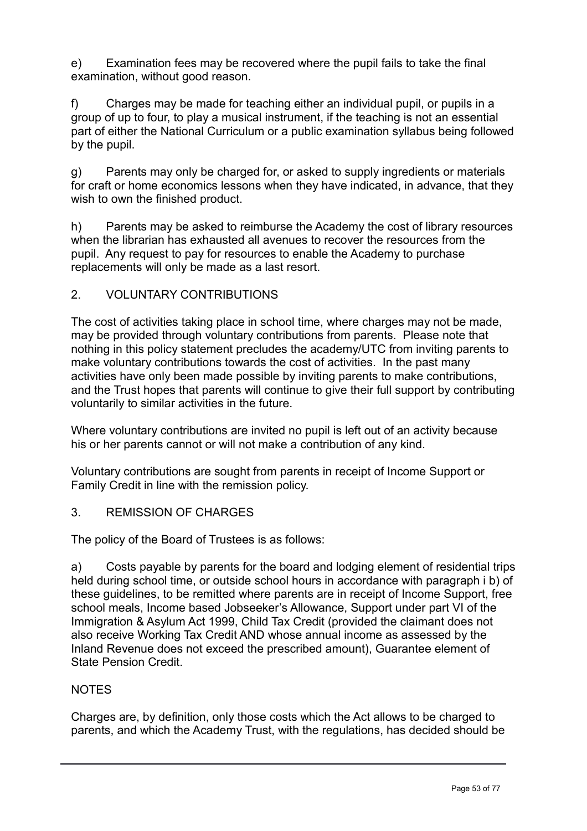e) Examination fees may be recovered where the pupil fails to take the final examination, without good reason.

f) Charges may be made for teaching either an individual pupil, or pupils in a group of up to four, to play a musical instrument, if the teaching is not an essential part of either the National Curriculum or a public examination syllabus being followed by the pupil.

g) Parents may only be charged for, or asked to supply ingredients or materials for craft or home economics lessons when they have indicated, in advance, that they wish to own the finished product.

h) Parents may be asked to reimburse the Academy the cost of library resources when the librarian has exhausted all avenues to recover the resources from the pupil. Any request to pay for resources to enable the Academy to purchase replacements will only be made as a last resort.

# 2. VOLUNTARY CONTRIBUTIONS

The cost of activities taking place in school time, where charges may not be made, may be provided through voluntary contributions from parents. Please note that nothing in this policy statement precludes the academy/UTC from inviting parents to make voluntary contributions towards the cost of activities. In the past many activities have only been made possible by inviting parents to make contributions, and the Trust hopes that parents will continue to give their full support by contributing voluntarily to similar activities in the future.

Where voluntary contributions are invited no pupil is left out of an activity because his or her parents cannot or will not make a contribution of any kind.

Voluntary contributions are sought from parents in receipt of Income Support or Family Credit in line with the remission policy.

# 3. REMISSION OF CHARGES

The policy of the Board of Trustees is as follows:

a) Costs payable by parents for the board and lodging element of residential trips held during school time, or outside school hours in accordance with paragraph i b) of these guidelines, to be remitted where parents are in receipt of Income Support, free school meals, Income based Jobseeker's Allowance, Support under part VI of the Immigration & Asylum Act 1999, Child Tax Credit (provided the claimant does not also receive Working Tax Credit AND whose annual income as assessed by the Inland Revenue does not exceed the prescribed amount), Guarantee element of State Pension Credit.

# **NOTES**

Charges are, by definition, only those costs which the Act allows to be charged to parents, and which the Academy Trust, with the regulations, has decided should be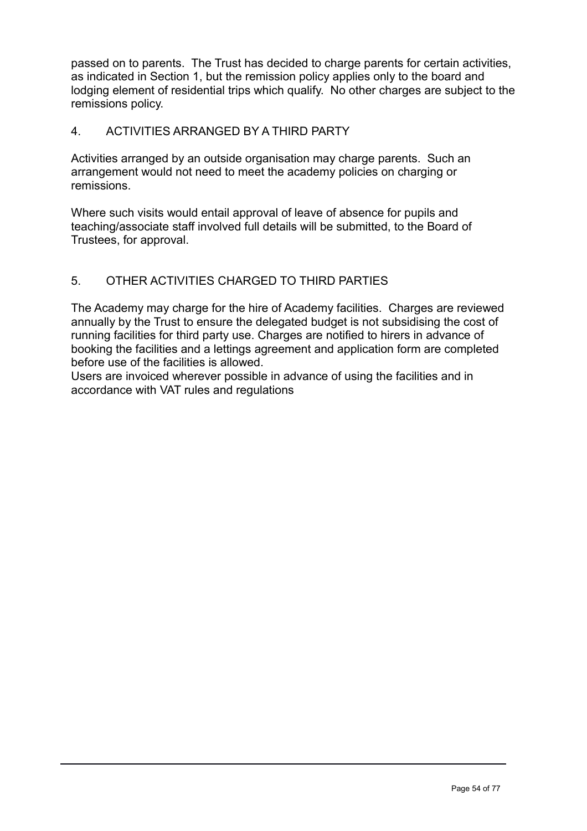passed on to parents. The Trust has decided to charge parents for certain activities, as indicated in Section 1, but the remission policy applies only to the board and lodging element of residential trips which qualify. No other charges are subject to the remissions policy.

# 4. ACTIVITIES ARRANGED BY A THIRD PARTY

Activities arranged by an outside organisation may charge parents. Such an arrangement would not need to meet the academy policies on charging or remissions.

Where such visits would entail approval of leave of absence for pupils and teaching/associate staff involved full details will be submitted, to the Board of Trustees, for approval.

# 5. OTHER ACTIVITIES CHARGED TO THIRD PARTIES

The Academy may charge for the hire of Academy facilities. Charges are reviewed annually by the Trust to ensure the delegated budget is not subsidising the cost of running facilities for third party use. Charges are notified to hirers in advance of booking the facilities and a lettings agreement and application form are completed before use of the facilities is allowed.

Users are invoiced wherever possible in advance of using the facilities and in accordance with VAT rules and regulations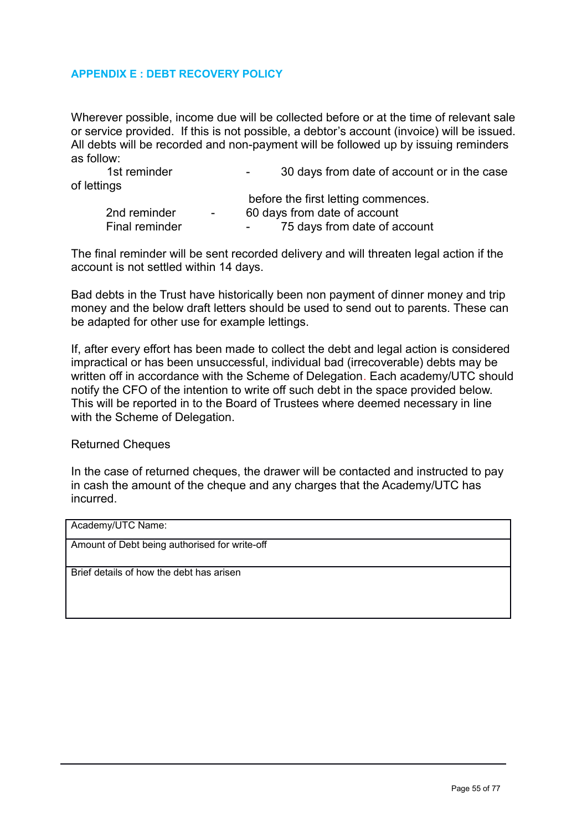#### **APPENDIX E : DEBT RECOVERY POLICY**

Wherever possible, income due will be collected before or at the time of relevant sale or service provided. If this is not possible, a debtor's account (invoice) will be issued. All debts will be recorded and non-payment will be followed up by issuing reminders as follow:

1st reminder The Case Conservation Case 30 days from date of account or in the case of lettings before the first letting commences.

|                |                          | Delote the first lemning commences.                      |
|----------------|--------------------------|----------------------------------------------------------|
| 2nd reminder   | $\overline{\phantom{0}}$ | 60 days from date of account                             |
| Final reminder |                          | 75 days from date of account<br>$\overline{\phantom{0}}$ |

The final reminder will be sent recorded delivery and will threaten legal action if the account is not settled within 14 days.

Bad debts in the Trust have historically been non payment of dinner money and trip money and the below draft letters should be used to send out to parents. These can be adapted for other use for example lettings.

If, after every effort has been made to collect the debt and legal action is considered impractical or has been unsuccessful, individual bad (irrecoverable) debts may be written off in accordance with the Scheme of Delegation. Each academy/UTC should notify the CFO of the intention to write off such debt in the space provided below. This will be reported in to the Board of Trustees where deemed necessary in line with the Scheme of Delegation.

Returned Cheques

In the case of returned cheques, the drawer will be contacted and instructed to pay in cash the amount of the cheque and any charges that the Academy/UTC has incurred.

| Academy/UTC Name:                             |
|-----------------------------------------------|
| Amount of Debt being authorised for write-off |
| Brief details of how the debt has arisen      |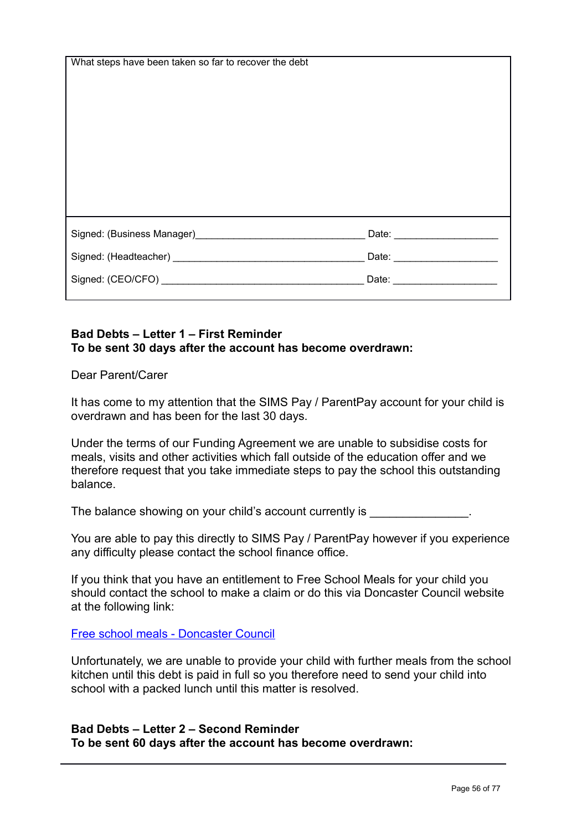| What steps have been taken so far to recover the debt                                                          |                                                                                                                                                                                                                                |  |
|----------------------------------------------------------------------------------------------------------------|--------------------------------------------------------------------------------------------------------------------------------------------------------------------------------------------------------------------------------|--|
|                                                                                                                |                                                                                                                                                                                                                                |  |
|                                                                                                                |                                                                                                                                                                                                                                |  |
|                                                                                                                |                                                                                                                                                                                                                                |  |
|                                                                                                                |                                                                                                                                                                                                                                |  |
|                                                                                                                |                                                                                                                                                                                                                                |  |
|                                                                                                                |                                                                                                                                                                                                                                |  |
|                                                                                                                |                                                                                                                                                                                                                                |  |
|                                                                                                                |                                                                                                                                                                                                                                |  |
|                                                                                                                |                                                                                                                                                                                                                                |  |
|                                                                                                                |                                                                                                                                                                                                                                |  |
|                                                                                                                |                                                                                                                                                                                                                                |  |
|                                                                                                                |                                                                                                                                                                                                                                |  |
|                                                                                                                |                                                                                                                                                                                                                                |  |
|                                                                                                                |                                                                                                                                                                                                                                |  |
| Signed: (Business Manager) Manager and Allen Manager and Allen Manager and Allen Manager and Allen Manager and | Date: <u>Date:</u>                                                                                                                                                                                                             |  |
|                                                                                                                |                                                                                                                                                                                                                                |  |
|                                                                                                                | Date: National Property of the Contract of the Contract of the Contract of the Contract of the Contract of the Contract of the Contract of the Contract of the Contract of the Contract of the Contract of the Contract of the |  |
|                                                                                                                |                                                                                                                                                                                                                                |  |
|                                                                                                                | Date: ________________________                                                                                                                                                                                                 |  |
|                                                                                                                |                                                                                                                                                                                                                                |  |
|                                                                                                                |                                                                                                                                                                                                                                |  |

# **Bad Debts – Letter 1 – First Reminder To be sent 30 days after the account has become overdrawn:**

Dear Parent/Carer

It has come to my attention that the SIMS Pay / ParentPay account for your child is overdrawn and has been for the last 30 days.

Under the terms of our Funding Agreement we are unable to subsidise costs for meals, visits and other activities which fall outside of the education offer and we therefore request that you take immediate steps to pay the school this outstanding balance.

The balance showing on your child's account currently is  $\blacksquare$ 

You are able to pay this directly to SIMS Pay / ParentPay however if you experience any difficulty please contact the school finance office.

If you think that you have an entitlement to Free School Meals for your child you should contact the school to make a claim or do this via Doncaster Council website at the following link:

[Free school meals - Doncaster Council](https://www.doncaster.gov.uk/services/schools/free-school-meals)

Unfortunately, we are unable to provide your child with further meals from the school kitchen until this debt is paid in full so you therefore need to send your child into school with a packed lunch until this matter is resolved.

#### **Bad Debts – Letter 2 – Second Reminder To be sent 60 days after the account has become overdrawn:**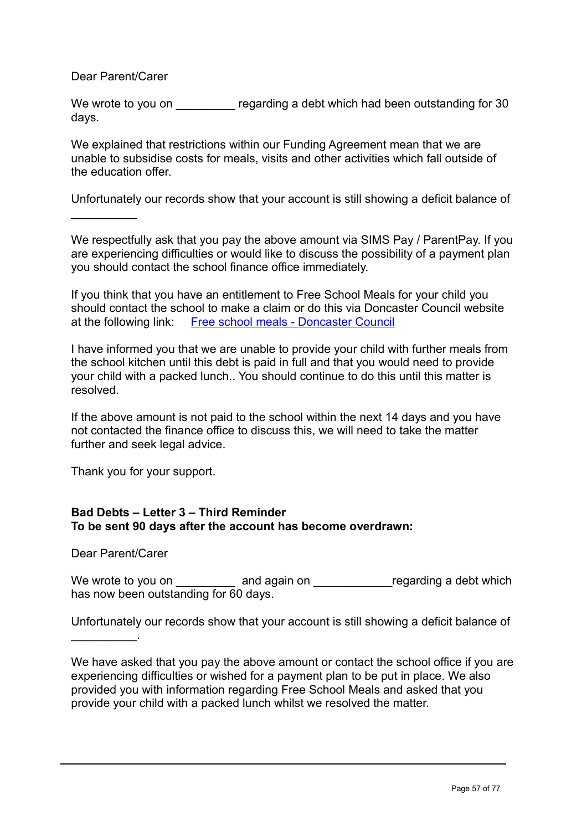Dear Parent/Carer

 $\mathcal{L}_\text{max}$ 

We wrote to you on The regarding a debt which had been outstanding for 30 days.

We explained that restrictions within our Funding Agreement mean that we are unable to subsidise costs for meals, visits and other activities which fall outside of the education offer.

Unfortunately our records show that your account is still showing a deficit balance of

We respectfully ask that you pay the above amount via SIMS Pay / ParentPay. If you are experiencing difficulties or would like to discuss the possibility of a payment plan you should contact the school finance office immediately.

If you think that you have an entitlement to Free School Meals for your child you should contact the school to make a claim or do this via Doncaster Council website at the following link: [Free school meals - Doncaster Council](https://www.doncaster.gov.uk/services/schools/free-school-meals)

I have informed you that we are unable to provide your child with further meals from the school kitchen until this debt is paid in full and that you would need to provide your child with a packed lunch.. You should continue to do this until this matter is resolved.

If the above amount is not paid to the school within the next 14 days and you have not contacted the finance office to discuss this, we will need to take the matter further and seek legal advice.

Thank you for your support.

# **Bad Debts – Letter 3 – Third Reminder To be sent 90 days after the account has become overdrawn:**

Dear Parent/Carer

 $\overline{\phantom{a}}$  . The set of the set of the set of the set of the set of the set of the set of the set of the set of the set of the set of the set of the set of the set of the set of the set of the set of the set of the set o

We wrote to you on \_\_\_\_\_\_\_\_\_ and again on \_\_\_\_\_\_\_\_\_\_\_\_\_regarding a debt which has now been outstanding for 60 days.

Unfortunately our records show that your account is still showing a deficit balance of

We have asked that you pay the above amount or contact the school office if you are experiencing difficulties or wished for a payment plan to be put in place. We also provided you with information regarding Free School Meals and asked that you provide your child with a packed lunch whilst we resolved the matter.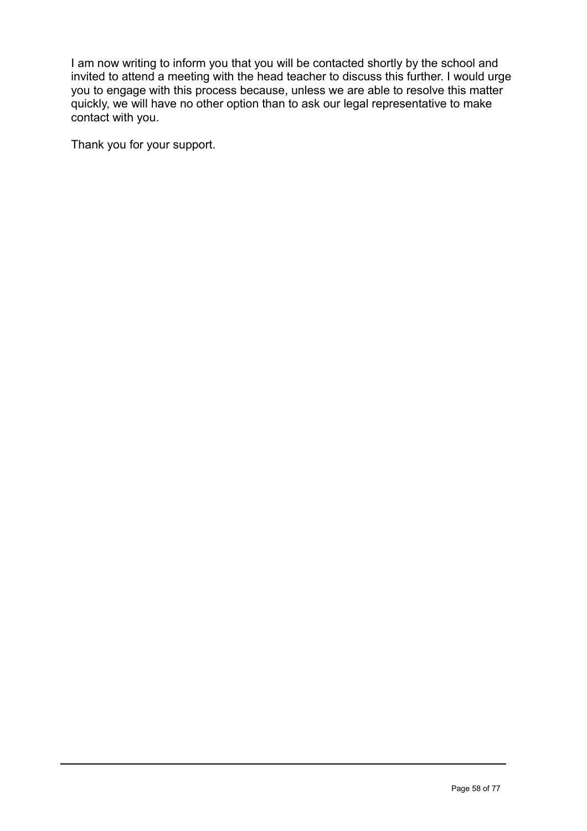I am now writing to inform you that you will be contacted shortly by the school and invited to attend a meeting with the head teacher to discuss this further. I would urge you to engage with this process because, unless we are able to resolve this matter quickly, we will have no other option than to ask our legal representative to make contact with you.

Thank you for your support.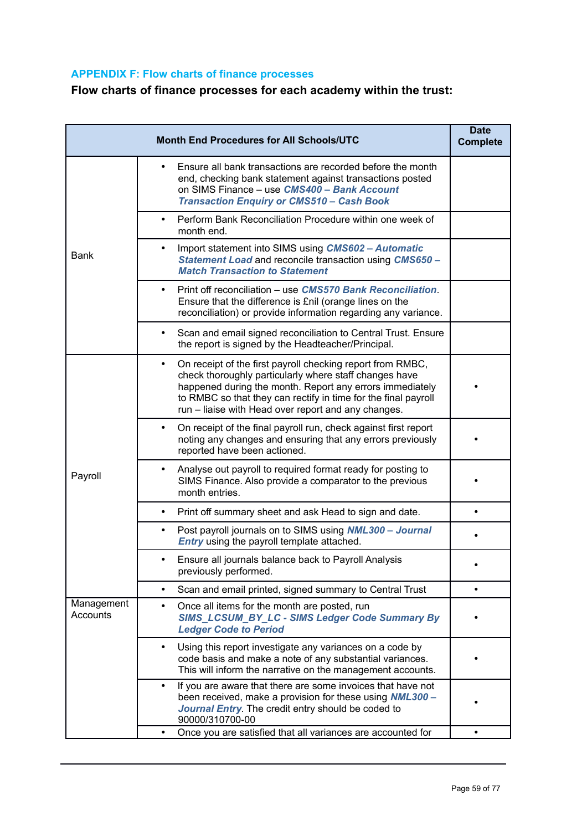# **APPENDIX F: Flow charts of finance processes**

# **Flow charts of finance processes for each academy within the trust:**

| <b>Month End Procedures for All Schools/UTC</b><br><b>Complete</b> |                                                                                                                                                                                                                                                                                                                        |           |
|--------------------------------------------------------------------|------------------------------------------------------------------------------------------------------------------------------------------------------------------------------------------------------------------------------------------------------------------------------------------------------------------------|-----------|
|                                                                    | Ensure all bank transactions are recorded before the month<br>end, checking bank statement against transactions posted<br>on SIMS Finance - use CMS400 - Bank Account<br><b>Transaction Enquiry or CMS510 - Cash Book</b>                                                                                              |           |
|                                                                    | Perform Bank Reconciliation Procedure within one week of<br>$\bullet$<br>month end.                                                                                                                                                                                                                                    |           |
| Bank                                                               | Import statement into SIMS using CMS602 - Automatic<br>$\bullet$<br>Statement Load and reconcile transaction using CMS650 -<br><b>Match Transaction to Statement</b>                                                                                                                                                   |           |
|                                                                    | Print off reconciliation – use CMS570 Bank Reconciliation.<br>$\bullet$<br>Ensure that the difference is £nil (orange lines on the<br>reconciliation) or provide information regarding any variance.                                                                                                                   |           |
|                                                                    | Scan and email signed reconciliation to Central Trust. Ensure<br>$\bullet$<br>the report is signed by the Headteacher/Principal.                                                                                                                                                                                       |           |
| Payroll                                                            | On receipt of the first payroll checking report from RMBC,<br>$\bullet$<br>check thoroughly particularly where staff changes have<br>happened during the month. Report any errors immediately<br>to RMBC so that they can rectify in time for the final payroll<br>run - liaise with Head over report and any changes. |           |
|                                                                    | On receipt of the final payroll run, check against first report<br>$\bullet$<br>noting any changes and ensuring that any errors previously<br>reported have been actioned.                                                                                                                                             |           |
|                                                                    | Analyse out payroll to required format ready for posting to<br>$\bullet$<br>SIMS Finance. Also provide a comparator to the previous<br>month entries.                                                                                                                                                                  |           |
|                                                                    | Print off summary sheet and ask Head to sign and date.<br>$\bullet$                                                                                                                                                                                                                                                    |           |
|                                                                    | Post payroll journals on to SIMS using NML300 - Journal<br>٠<br><b>Entry</b> using the payroll template attached.                                                                                                                                                                                                      |           |
|                                                                    | Ensure all journals balance back to Payroll Analysis<br>٠<br>previously performed.                                                                                                                                                                                                                                     |           |
|                                                                    | Scan and email printed, signed summary to Central Trust<br>$\bullet$                                                                                                                                                                                                                                                   | $\bullet$ |
| Management<br>Accounts                                             | Once all items for the month are posted, run<br>$\bullet$<br>SIMS_LCSUM_BY_LC - SIMS Ledger Code Summary By<br><b>Ledger Code to Period</b>                                                                                                                                                                            |           |
|                                                                    | Using this report investigate any variances on a code by<br>٠<br>code basis and make a note of any substantial variances.<br>This will inform the narrative on the management accounts.                                                                                                                                |           |
|                                                                    | If you are aware that there are some invoices that have not<br>been received, make a provision for these using <b>NML300</b> -<br>Journal Entry. The credit entry should be coded to<br>90000/310700-00                                                                                                                |           |
|                                                                    | Once you are satisfied that all variances are accounted for                                                                                                                                                                                                                                                            |           |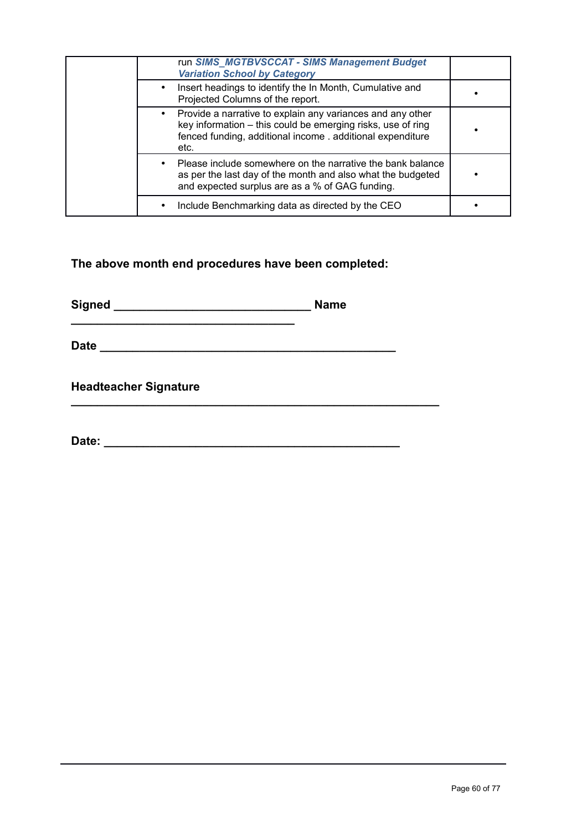| run SIMS MGTBVSCCAT - SIMS Management Budget<br><b>Variation School by Category</b>                                                                                                             |  |
|-------------------------------------------------------------------------------------------------------------------------------------------------------------------------------------------------|--|
| Insert headings to identify the In Month, Cumulative and<br>Projected Columns of the report.                                                                                                    |  |
| Provide a narrative to explain any variances and any other<br>key information - this could be emerging risks, use of ring<br>fenced funding, additional income . additional expenditure<br>etc. |  |
| Please include somewhere on the narrative the bank balance<br>as per the last day of the month and also what the budgeted<br>and expected surplus are as a % of GAG funding.                    |  |
| Include Benchmarking data as directed by the CEO                                                                                                                                                |  |

**The above month end procedures have been completed:**

**Signed \_\_\_\_\_\_\_\_\_\_\_\_\_\_\_\_\_\_\_\_\_\_\_\_\_\_\_\_\_\_ Name \_\_\_\_\_\_\_\_\_\_\_\_\_\_\_\_\_\_\_\_\_\_\_\_\_\_\_\_\_\_\_\_\_\_**

**Date \_\_\_\_\_\_\_\_\_\_\_\_\_\_\_\_\_\_\_\_\_\_\_\_\_\_\_\_\_\_\_\_\_\_\_\_\_\_\_\_\_\_\_\_\_**

**Headteacher Signature**

**Date: \_\_\_\_\_\_\_\_\_\_\_\_\_\_\_\_\_\_\_\_\_\_\_\_\_\_\_\_\_\_\_\_\_\_\_\_\_\_\_\_\_\_\_\_\_**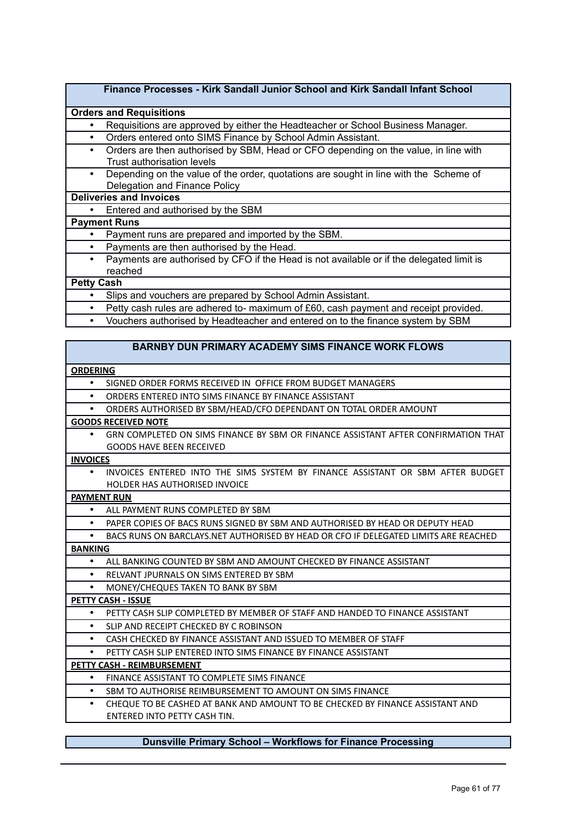#### **Finance Processes - Kirk Sandall Junior School and Kirk Sandall Infant School**

#### **Orders and Requisitions**

- Requisitions are approved by either the Headteacher or School Business Manager.
- Orders entered onto SIMS Finance by School Admin Assistant.
- Orders are then authorised by SBM, Head or CFO depending on the value, in line with Trust authorisation levels
- Depending on the value of the order, quotations are sought in line with the Scheme of Delegation and Finance Policy

#### **Deliveries and Invoices**

• Entered and authorised by the SBM

#### **Payment Runs**

- Payment runs are prepared and imported by the SBM.
- Payments are then authorised by the Head.
- Payments are authorised by CFO if the Head is not available or if the delegated limit is reached

#### **Petty Cash**

- Slips and vouchers are prepared by School Admin Assistant.
- Petty cash rules are adhered to- maximum of £60, cash payment and receipt provided.
- Vouchers authorised by Headteacher and entered on to the finance system by SBM

#### **BARNBY DUN PRIMARY ACADEMY SIMS FINANCE WORK FLOWS**

#### **ORDERING**

- SIGNED ORDER FORMS RECEIVED IN OFFICE FROM BUDGET MANAGERS
- ORDERS ENTERED INTO SIMS FINANCE BY FINANCE ASSISTANT
- ORDERS AUTHORISED BY SBM/HEAD/CFO DEPENDANT ON TOTAL ORDER AMOUNT

#### **GOODS RECEIVED NOTE**

• GRN COMPLETED ON SIMS FINANCE BY SBM OR FINANCE ASSISTANT AFTER CONFIRMATION THAT GOODS HAVE BEEN RECEIVED

#### **INVOICES**

• INVOICES ENTERED INTO THE SIMS SYSTEM BY FINANCE ASSISTANT OR SBM AFTER BUDGET HOLDER HAS AUTHORISED INVOICE

#### **PAYMENT RUN**

- ALL PAYMENT RUNS COMPLETED BY SBM
- PAPER COPIES OF BACS RUNS SIGNED BY SBM AND AUTHORISED BY HEAD OR DEPUTY HEAD
- BACS RUNS ON BARCLAYS.NET AUTHORISED BY HEAD OR CFO IF DELEGATED LIMITS ARE REACHED **BANKING**
	- ALL BANKING COUNTED BY SBM AND AMOUNT CHECKED BY FINANCE ASSISTANT
	- RELVANT JPURNALS ON SIMS ENTERED BY SBM
	- MONEY/CHEQUES TAKEN TO BANK BY SBM

**PETTY CASH - ISSUE**

- PETTY CASH SLIP COMPLETED BY MEMBER OF STAFF AND HANDED TO FINANCE ASSISTANT
- SLIP AND RECEIPT CHECKED BY C ROBINSON
- CASH CHECKED BY FINANCE ASSISTANT AND ISSUED TO MEMBER OF STAFF
- PETTY CASH SLIP ENTERED INTO SIMS FINANCE BY FINANCE ASSISTANT

#### **PETTY CASH - REIMBURSEMENT**

- FINANCE ASSISTANT TO COMPLETE SIMS FINANCE
- SBM TO AUTHORISE REIMBURSEMENT TO AMOUNT ON SIMS FINANCE
- CHEQUE TO BE CASHED AT BANK AND AMOUNT TO BE CHECKED BY FINANCE ASSISTANT AND ENTERED INTO PETTY CASH TIN.

#### **Dunsville Primary School – Workflows for Finance Processing**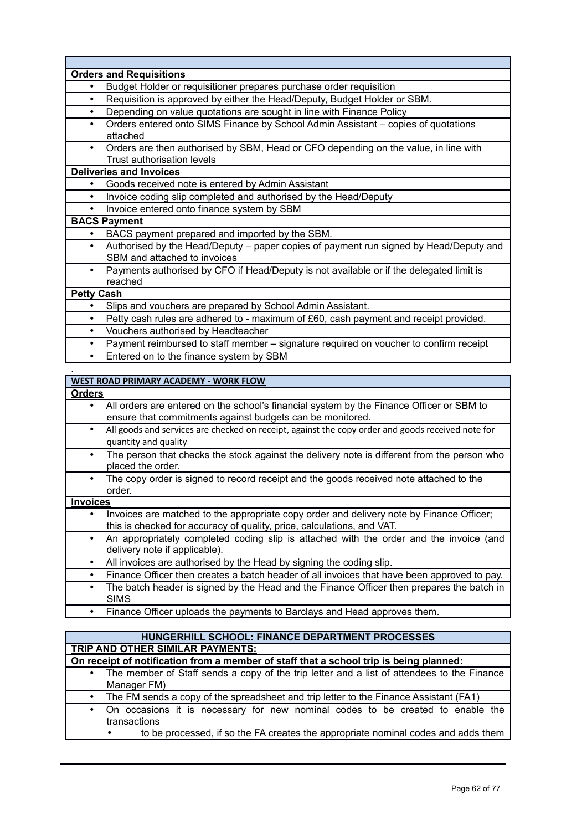|                   | <b>Orders and Requisitions</b>                                                                                           |
|-------------------|--------------------------------------------------------------------------------------------------------------------------|
| $\bullet$         | Budget Holder or requisitioner prepares purchase order requisition                                                       |
| ٠                 | Requisition is approved by either the Head/Deputy, Budget Holder or SBM.                                                 |
| $\bullet$         | Depending on value quotations are sought in line with Finance Policy                                                     |
| $\bullet$         | Orders entered onto SIMS Finance by School Admin Assistant - copies of quotations<br>attached                            |
| $\bullet$         | Orders are then authorised by SBM, Head or CFO depending on the value, in line with<br><b>Trust authorisation levels</b> |
|                   | <b>Deliveries and Invoices</b>                                                                                           |
| $\bullet$         | Goods received note is entered by Admin Assistant                                                                        |
| $\bullet$         | Invoice coding slip completed and authorised by the Head/Deputy                                                          |
|                   | Invoice entered onto finance system by SBM                                                                               |
|                   | <b>BACS Payment</b>                                                                                                      |
| $\bullet$         | BACS payment prepared and imported by the SBM.                                                                           |
| $\bullet$         | Authorised by the Head/Deputy – paper copies of payment run signed by Head/Deputy and<br>SBM and attached to invoices    |
| $\bullet$         | Payments authorised by CFO if Head/Deputy is not available or if the delegated limit is<br>reached                       |
| <b>Petty Cash</b> |                                                                                                                          |
| $\bullet$         | Slips and vouchers are prepared by School Admin Assistant.                                                               |
| $\bullet$         | Petty cash rules are adhered to - maximum of £60, cash payment and receipt provided.                                     |
| $\bullet$         | Vouchers authorised by Headteacher                                                                                       |
| $\bullet$         | Payment reimbursed to staff member - signature required on voucher to confirm receipt                                    |
| $\bullet$         | Entered on to the finance system by SBM                                                                                  |
|                   |                                                                                                                          |

#### **WEST ROAD PRIMARY ACADEMY - WORK FLOW**

#### **Orders**

- All orders are entered on the school's financial system by the Finance Officer or SBM to ensure that commitments against budgets can be monitored.
- All goods and services are checked on receipt, against the copy order and goods received note for quantity and quality
- The person that checks the stock against the delivery note is different from the person who placed the order.
- The copy order is signed to record receipt and the goods received note attached to the order.

#### **Invoices**

- Invoices are matched to the appropriate copy order and delivery note by Finance Officer; this is checked for accuracy of quality, price, calculations, and VAT.
- An appropriately completed coding slip is attached with the order and the invoice (and delivery note if applicable).
- All invoices are authorised by the Head by signing the coding slip.
- Finance Officer then creates a batch header of all invoices that have been approved to pay.
- The batch header is signed by the Head and the Finance Officer then prepares the batch in SIMS
	- Finance Officer uploads the payments to Barclays and Head approves them.

#### **HUNGERHILL SCHOOL: FINANCE DEPARTMENT PROCESSES TRIP AND OTHER SIMILAR PAYMENTS:**

#### **On receipt of notification from a member of staff that a school trip is being planned:**

- The member of Staff sends a copy of the trip letter and a list of attendees to the Finance Manager FM)
	- The FM sends a copy of the spreadsheet and trip letter to the Finance Assistant (FA1)
- On occasions it is necessary for new nominal codes to be created to enable the transactions
	- to be processed, if so the FA creates the appropriate nominal codes and adds them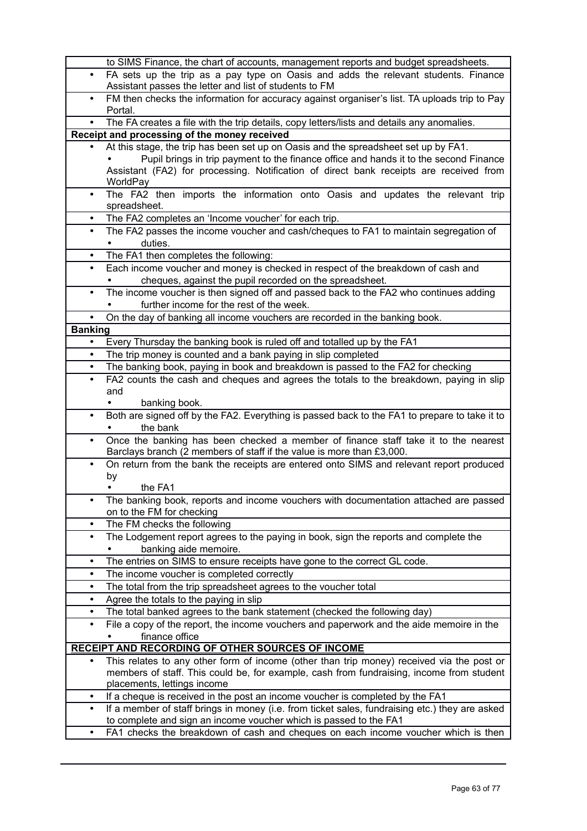|                | to SIMS Finance, the chart of accounts, management reports and budget spreadsheets.                                                                                             |
|----------------|---------------------------------------------------------------------------------------------------------------------------------------------------------------------------------|
| $\bullet$      | FA sets up the trip as a pay type on Oasis and adds the relevant students. Finance<br>Assistant passes the letter and list of students to FM                                    |
| $\bullet$      | FM then checks the information for accuracy against organiser's list. TA uploads trip to Pay                                                                                    |
| $\bullet$      | Portal.<br>The FA creates a file with the trip details, copy letters/lists and details any anomalies.                                                                           |
|                | Receipt and processing of the money received                                                                                                                                    |
|                | At this stage, the trip has been set up on Oasis and the spreadsheet set up by FA1.                                                                                             |
|                | Pupil brings in trip payment to the finance office and hands it to the second Finance<br>Assistant (FA2) for processing. Notification of direct bank receipts are received from |
| $\bullet$      | WorldPay<br>The FA2 then imports the information onto Oasis and updates the relevant trip                                                                                       |
|                | spreadsheet.                                                                                                                                                                    |
| ٠              | The FA2 completes an 'Income voucher' for each trip.                                                                                                                            |
| $\bullet$      | The FA2 passes the income voucher and cash/cheques to FA1 to maintain segregation of                                                                                            |
|                | duties.                                                                                                                                                                         |
| ٠              | The FA1 then completes the following:                                                                                                                                           |
| $\bullet$      | Each income voucher and money is checked in respect of the breakdown of cash and                                                                                                |
|                | cheques, against the pupil recorded on the spreadsheet.                                                                                                                         |
| ٠              | The income voucher is then signed off and passed back to the FA2 who continues adding                                                                                           |
|                | further income for the rest of the week.                                                                                                                                        |
| $\bullet$      | On the day of banking all income vouchers are recorded in the banking book.                                                                                                     |
| <b>Banking</b> |                                                                                                                                                                                 |
| $\bullet$      | Every Thursday the banking book is ruled off and totalled up by the FA1                                                                                                         |
| $\bullet$      | The trip money is counted and a bank paying in slip completed                                                                                                                   |
| $\bullet$      | The banking book, paying in book and breakdown is passed to the FA2 for checking                                                                                                |
| $\bullet$      | FA2 counts the cash and cheques and agrees the totals to the breakdown, paying in slip                                                                                          |
|                | and                                                                                                                                                                             |
|                | banking book.                                                                                                                                                                   |
| $\bullet$      | Both are signed off by the FA2. Everything is passed back to the FA1 to prepare to take it to<br>the bank                                                                       |
| $\bullet$      | Once the banking has been checked a member of finance staff take it to the nearest<br>Barclays branch (2 members of staff if the value is more than £3,000.                     |
| $\bullet$      | On return from the bank the receipts are entered onto SIMS and relevant report produced                                                                                         |
|                | by                                                                                                                                                                              |
|                | the FA1<br>٠                                                                                                                                                                    |
|                | The banking book, reports and income vouchers with documentation attached are passed<br>on to the FM for checking                                                               |
| ٠              | The FM checks the following                                                                                                                                                     |
| $\bullet$      | The Lodgement report agrees to the paying in book, sign the reports and complete the<br>banking aide memoire.                                                                   |
| $\bullet$      | The entries on SIMS to ensure receipts have gone to the correct GL code.                                                                                                        |
| ٠              | The income voucher is completed correctly                                                                                                                                       |
| ٠              | The total from the trip spreadsheet agrees to the voucher total                                                                                                                 |
| ٠              | Agree the totals to the paying in slip                                                                                                                                          |
| ٠              | The total banked agrees to the bank statement (checked the following day)                                                                                                       |
| ٠              | File a copy of the report, the income vouchers and paperwork and the aide memoire in the                                                                                        |
|                | finance office                                                                                                                                                                  |
|                | <b>RECEIPT AND RECORDING OF OTHER SOURCES OF INCOME</b>                                                                                                                         |
|                | This relates to any other form of income (other than trip money) received via the post or                                                                                       |
|                | members of staff. This could be, for example, cash from fundraising, income from student                                                                                        |
|                | placements, lettings income                                                                                                                                                     |
|                | If a cheque is received in the post an income voucher is completed by the FA1                                                                                                   |
| $\bullet$      | If a member of staff brings in money (i.e. from ticket sales, fundraising etc.) they are asked<br>to complete and sign an income voucher which is passed to the FA1             |
| $\bullet$      | FA1 checks the breakdown of cash and cheques on each income voucher which is then                                                                                               |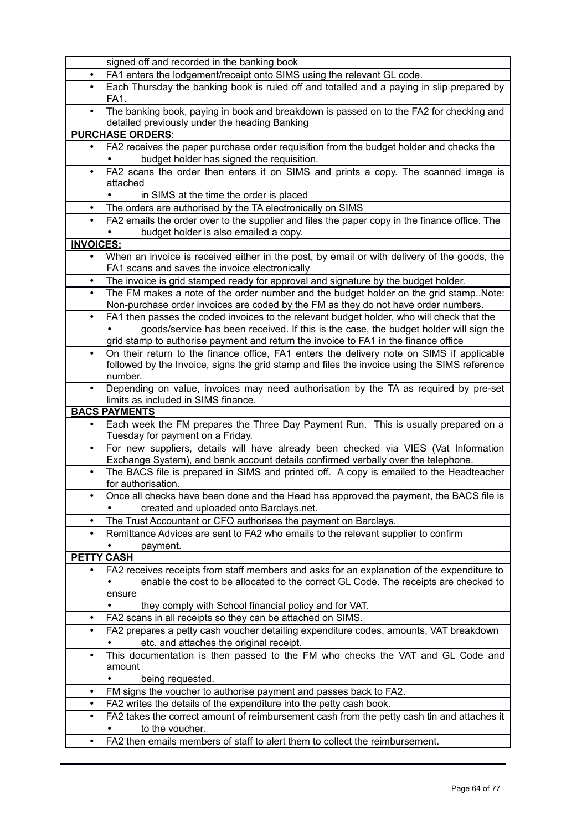|                  | signed off and recorded in the banking book                                                                                                                                |
|------------------|----------------------------------------------------------------------------------------------------------------------------------------------------------------------------|
| $\bullet$        | FA1 enters the lodgement/receipt onto SIMS using the relevant GL code.                                                                                                     |
|                  | Each Thursday the banking book is ruled off and totalled and a paying in slip prepared by<br>FA1.                                                                          |
| $\bullet$        | The banking book, paying in book and breakdown is passed on to the FA2 for checking and<br>detailed previously under the heading Banking                                   |
|                  | <b>PURCHASE ORDERS:</b>                                                                                                                                                    |
| ٠                | FA2 receives the paper purchase order requisition from the budget holder and checks the                                                                                    |
|                  | budget holder has signed the requisition.                                                                                                                                  |
| $\bullet$        | FA2 scans the order then enters it on SIMS and prints a copy. The scanned image is                                                                                         |
|                  | attached                                                                                                                                                                   |
|                  | in SIMS at the time the order is placed                                                                                                                                    |
| $\bullet$        | The orders are authorised by the TA electronically on SIMS                                                                                                                 |
| $\bullet$        | FA2 emails the order over to the supplier and files the paper copy in the finance office. The<br>budget holder is also emailed a copy.                                     |
| <b>INVOICES:</b> |                                                                                                                                                                            |
| $\bullet$        | When an invoice is received either in the post, by email or with delivery of the goods, the                                                                                |
|                  | FA1 scans and saves the invoice electronically                                                                                                                             |
|                  | The invoice is grid stamped ready for approval and signature by the budget holder.                                                                                         |
| $\bullet$        | The FM makes a note of the order number and the budget holder on the grid stampNote:<br>Non-purchase order invoices are coded by the FM as they do not have order numbers. |
| $\bullet$        | FA1 then passes the coded invoices to the relevant budget holder, who will check that the                                                                                  |
|                  | goods/service has been received. If this is the case, the budget holder will sign the                                                                                      |
|                  | grid stamp to authorise payment and return the invoice to FA1 in the finance office                                                                                        |
| $\bullet$        | On their return to the finance office, FA1 enters the delivery note on SIMS if applicable                                                                                  |
|                  | followed by the Invoice, signs the grid stamp and files the invoice using the SIMS reference<br>number.                                                                    |
|                  | Depending on value, invoices may need authorisation by the TA as required by pre-set                                                                                       |
|                  | limits as included in SIMS finance.                                                                                                                                        |
|                  | <b>BACS PAYMENTS</b>                                                                                                                                                       |
| ٠                | Each week the FM prepares the Three Day Payment Run. This is usually prepared on a<br>Tuesday for payment on a Friday.                                                     |
| $\bullet$        | For new suppliers, details will have already been checked via VIES (Vat Information<br>Exchange System), and bank account details confirmed verbally over the telephone.   |
| $\bullet$        | The BACS file is prepared in SIMS and printed off. A copy is emailed to the Headteacher<br>for authorisation.                                                              |
|                  | Once all checks have been done and the Head has approved the payment, the BACS file is<br>created and uploaded onto Barclays.net.                                          |
| $\bullet$        | The Trust Accountant or CFO authorises the payment on Barclays.                                                                                                            |
| $\bullet$        | Remittance Advices are sent to FA2 who emails to the relevant supplier to confirm                                                                                          |
|                  | payment.                                                                                                                                                                   |
| <b>PETTY</b>     | <b>CASH</b>                                                                                                                                                                |
|                  | FA2 receives receipts from staff members and asks for an explanation of the expenditure to                                                                                 |
|                  | enable the cost to be allocated to the correct GL Code. The receipts are checked to                                                                                        |
|                  | ensure                                                                                                                                                                     |
|                  | they comply with School financial policy and for VAT.                                                                                                                      |
|                  | FA2 scans in all receipts so they can be attached on SIMS.                                                                                                                 |
| $\bullet$        | FA2 prepares a petty cash voucher detailing expenditure codes, amounts, VAT breakdown<br>etc. and attaches the original receipt.                                           |
| ٠                | This documentation is then passed to the FM who checks the VAT and GL Code and                                                                                             |
|                  | amount                                                                                                                                                                     |
|                  | being requested.                                                                                                                                                           |
| ٠                | FM signs the voucher to authorise payment and passes back to FA2.                                                                                                          |
| ٠                | FA2 writes the details of the expenditure into the petty cash book.                                                                                                        |
| ٠                | FA2 takes the correct amount of reimbursement cash from the petty cash tin and attaches it                                                                                 |
|                  | to the voucher.                                                                                                                                                            |
| $\bullet$        | FA2 then emails members of staff to alert them to collect the reimbursement.                                                                                               |
|                  |                                                                                                                                                                            |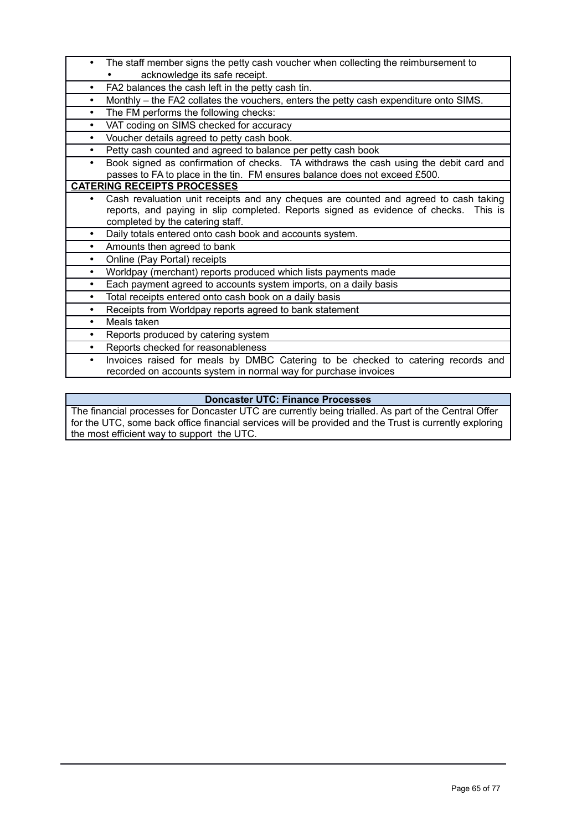- The staff member signs the petty cash voucher when collecting the reimbursement to acknowledge its safe receipt.
- FA2 balances the cash left in the petty cash tin.
- Monthly the FA2 collates the vouchers, enters the petty cash expenditure onto SIMS.
- The FM performs the following checks:
- VAT coding on SIMS checked for accuracy
- Voucher details agreed to petty cash book.
	- Petty cash counted and agreed to balance per petty cash book
- Book signed as confirmation of checks. TA withdraws the cash using the debit card and passes to FA to place in the tin. FM ensures balance does not exceed £500.

#### **CATERING RECEIPTS PROCESSES**

- Cash revaluation unit receipts and any cheques are counted and agreed to cash taking reports, and paying in slip completed. Reports signed as evidence of checks. This is completed by the catering staff.
- Daily totals entered onto cash book and accounts system.
- Amounts then agreed to bank
- Online (Pay Portal) receipts
- Worldpay (merchant) reports produced which lists payments made
- Each payment agreed to accounts system imports, on a daily basis
- Total receipts entered onto cash book on a daily basis
- Receipts from Worldpay reports agreed to bank statement
- Meals taken
- Reports produced by catering system
- Reports checked for reasonableness
- Invoices raised for meals by DMBC Catering to be checked to catering records and recorded on accounts system in normal way for purchase invoices

#### **Doncaster UTC: Finance Processes**

The financial processes for Doncaster UTC are currently being trialled. As part of the Central Offer for the UTC, some back office financial services will be provided and the Trust is currently exploring the most efficient way to support the UTC.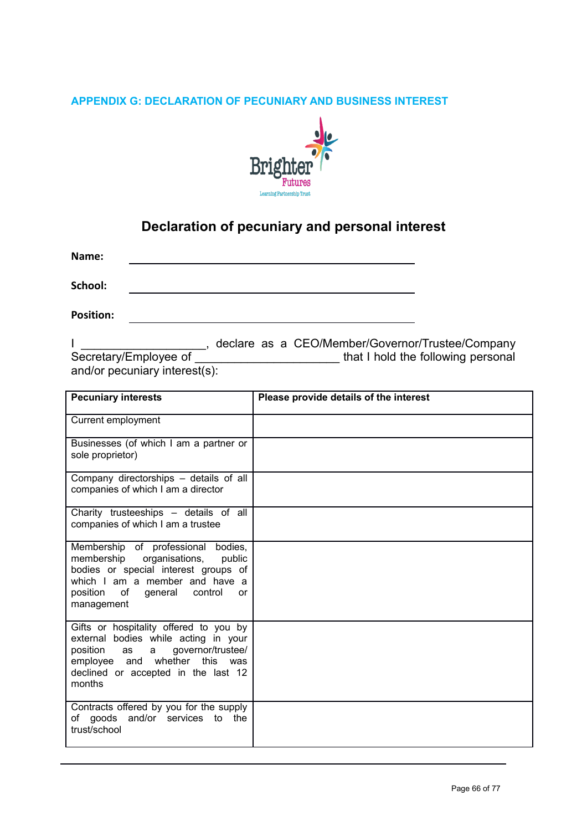## **APPENDIX G: DECLARATION OF PECUNIARY AND BUSINESS INTEREST**



# **Declaration of pecuniary and personal interest**

**Name:**

**School:**

**Position:**

I \_\_\_\_\_\_\_\_\_\_\_\_\_\_\_\_\_\_\_, declare as a CEO/Member/Governor/Trustee/Company Secretary/Employee of **with a set of the secretary/Employee** of and/or pecuniary interest(s):

| <b>Pecuniary interests</b>                                                                                                                                                                                            | Please provide details of the interest |
|-----------------------------------------------------------------------------------------------------------------------------------------------------------------------------------------------------------------------|----------------------------------------|
| Current employment                                                                                                                                                                                                    |                                        |
| Businesses (of which I am a partner or<br>sole proprietor)                                                                                                                                                            |                                        |
| Company directorships - details of all<br>companies of which I am a director                                                                                                                                          |                                        |
| Charity trusteeships - details of all<br>companies of which I am a trustee                                                                                                                                            |                                        |
| Membership of professional<br>bodies,<br>membership<br>organisations,<br>public<br>bodies or special interest groups of<br>which I am a member and have a<br>position<br>of<br>general<br>control<br>or<br>management |                                        |
| Gifts or hospitality offered to you by<br>external bodies while acting in your<br>position<br>governor/trustee/<br>a<br>as<br>whether<br>this<br>employee and<br>was<br>declined or accepted in the last 12<br>months |                                        |
| Contracts offered by you for the supply<br>of goods and/or services to the<br>trust/school                                                                                                                            |                                        |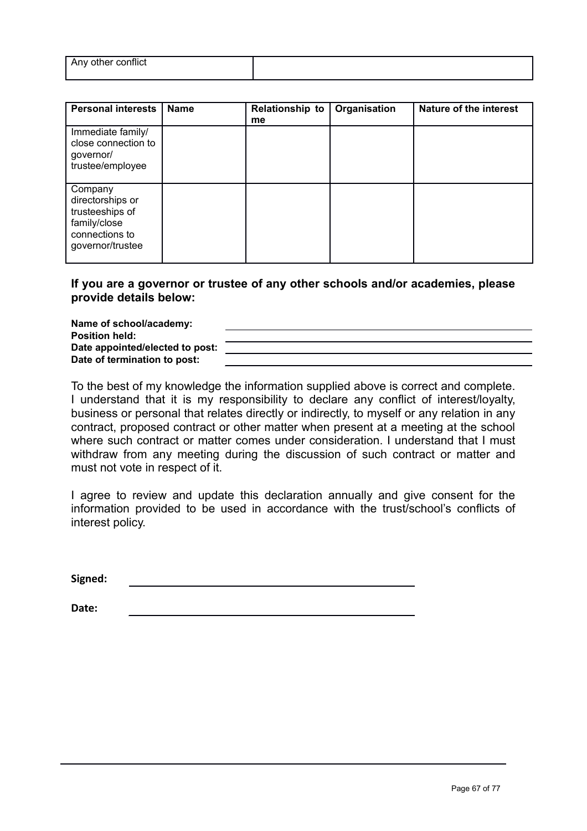| .<br>Any<br>other contlict<br>. other |  |
|---------------------------------------|--|
|                                       |  |

| <b>Personal interests</b>                                                                            | <b>Name</b> | <b>Relationship to</b><br>me | Organisation | Nature of the interest |
|------------------------------------------------------------------------------------------------------|-------------|------------------------------|--------------|------------------------|
| Immediate family/<br>close connection to<br>governor/<br>trustee/employee                            |             |                              |              |                        |
| Company<br>directorships or<br>trusteeships of<br>family/close<br>connections to<br>governor/trustee |             |                              |              |                        |

#### **If you are a governor or trustee of any other schools and/or academies, please provide details below:**

**Name of school/academy: Position held: Date appointed/elected to post: Date of termination to post:**

To the best of my knowledge the information supplied above is correct and complete. I understand that it is my responsibility to declare any conflict of interest/loyalty, business or personal that relates directly or indirectly, to myself or any relation in any contract, proposed contract or other matter when present at a meeting at the school where such contract or matter comes under consideration. I understand that I must withdraw from any meeting during the discussion of such contract or matter and must not vote in respect of it.

I agree to review and update this declaration annually and give consent for the information provided to be used in accordance with the trust/school's conflicts of interest policy.

**Signed:**

**Date:**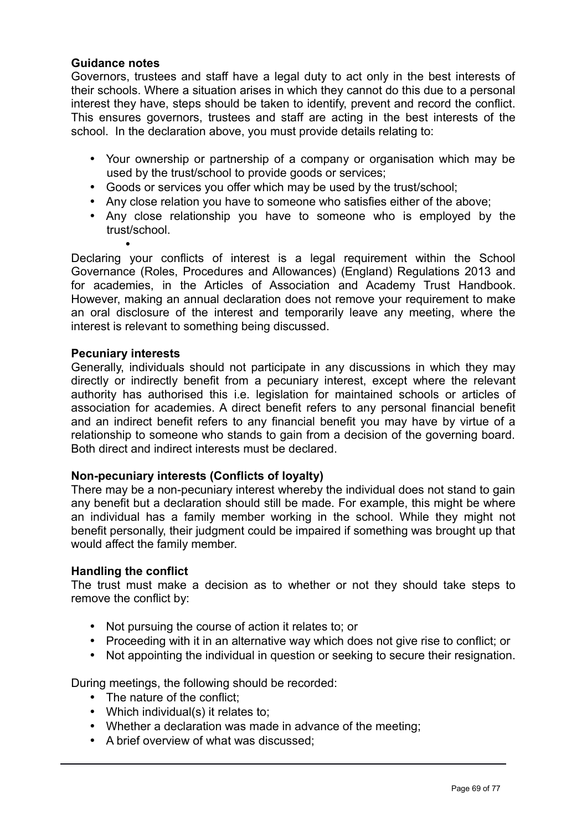# **Guidance notes**

Governors, trustees and staff have a legal duty to act only in the best interests of their schools. Where a situation arises in which they cannot do this due to a personal interest they have, steps should be taken to identify, prevent and record the conflict. This ensures governors, trustees and staff are acting in the best interests of the school. In the declaration above, you must provide details relating to:

- Your ownership or partnership of a company or organisation which may be used by the trust/school to provide goods or services;
- Goods or services you offer which may be used by the trust/school;
- Any close relation you have to someone who satisfies either of the above;
- Any close relationship you have to someone who is employed by the trust/school.

• Declaring your conflicts of interest is a legal requirement within the School Governance (Roles, Procedures and Allowances) (England) Regulations 2013 and for academies, in the Articles of Association and Academy Trust Handbook. However, making an annual declaration does not remove your requirement to make an oral disclosure of the interest and temporarily leave any meeting, where the interest is relevant to something being discussed.

#### **Pecuniary interests**

Generally, individuals should not participate in any discussions in which they may directly or indirectly benefit from a pecuniary interest, except where the relevant authority has authorised this i.e. legislation for maintained schools or articles of association for academies. A direct benefit refers to any personal financial benefit and an indirect benefit refers to any financial benefit you may have by virtue of a relationship to someone who stands to gain from a decision of the governing board. Both direct and indirect interests must be declared.

# **Non-pecuniary interests (Conflicts of loyalty)**

There may be a non-pecuniary interest whereby the individual does not stand to gain any benefit but a declaration should still be made. For example, this might be where an individual has a family member working in the school. While they might not benefit personally, their judgment could be impaired if something was brought up that would affect the family member.

#### **Handling the conflict**

The trust must make a decision as to whether or not they should take steps to remove the conflict by:

- Not pursuing the course of action it relates to; or
- Proceeding with it in an alternative way which does not give rise to conflict; or
- Not appointing the individual in question or seeking to secure their resignation.

During meetings, the following should be recorded:

- The nature of the conflict:
- Which individual(s) it relates to;
- Whether a declaration was made in advance of the meeting;
- A brief overview of what was discussed;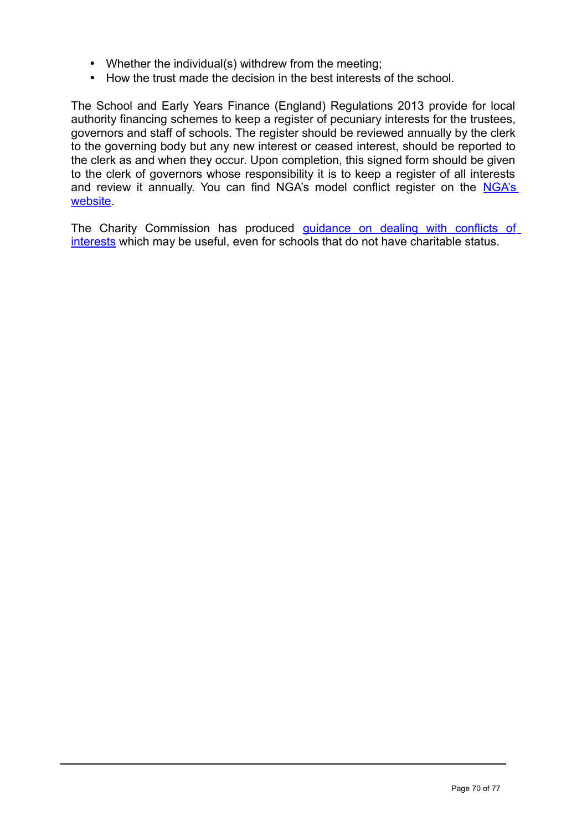- Whether the individual(s) withdrew from the meeting;
- How the trust made the decision in the best interests of the school.

The School and Early Years Finance (England) Regulations 2013 provide for local authority financing schemes to keep a register of pecuniary interests for the trustees, governors and staff of schools. The register should be reviewed annually by the clerk to the governing body but any new interest or ceased interest, should be reported to the clerk as and when they occur. Upon completion, this signed form should be given to the clerk of governors whose responsibility it is to keep a register of all interests and review it annually. You can find [NGA's](http://www.nga.org.uk/Guidance/Legislation,policies-and-procedures/Model-Policies/The-Register-of-Governors-Business-Interests.aspx) model conflict register on the NGA's **website** 

The Charity Commission has produced <u>quidance on dealing with conflicts of</u> [interests](https://www.gov.uk/government/publications/conflicts-of-interest-a-guide-for-charity-trustees-cc29) which may be useful, even for schools that do not have charitable status.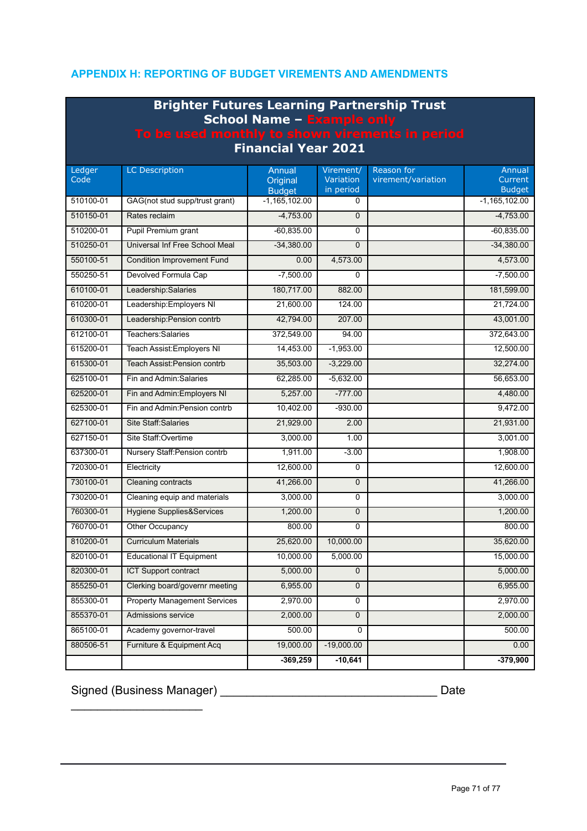# **APPENDIX H: REPORTING OF BUDGET VIREMENTS AND AMENDMENTS**

| <b>Brighter Futures Learning Partnership Trust</b><br><b>School Name - Example only</b><br>To be used monthly to shown virements in period<br><b>Financial Year 2021</b> |                                      |                                     |                                     |                                  |                                    |  |  |  |
|--------------------------------------------------------------------------------------------------------------------------------------------------------------------------|--------------------------------------|-------------------------------------|-------------------------------------|----------------------------------|------------------------------------|--|--|--|
| Ledger<br>Code                                                                                                                                                           | <b>LC Description</b>                | Annual<br>Original<br><b>Budget</b> | Virement/<br>Variation<br>in period | Reason for<br>virement/variation | Annual<br>Current<br><b>Budget</b> |  |  |  |
| 510100-01                                                                                                                                                                | GAG(not stud supp/trust grant)       | $-1, 165, 102.00$                   | 0                                   |                                  | $-1,165,102.00$                    |  |  |  |
| 510150-01                                                                                                                                                                | Rates reclaim                        | $-4.753.00$                         | $\mathbf 0$                         |                                  | $-4,753.00$                        |  |  |  |
| 510200-01                                                                                                                                                                | Pupil Premium grant                  | $-60,835.00$                        | $\Omega$                            |                                  | $-60.835.00$                       |  |  |  |
| 510250-01                                                                                                                                                                | Universal Inf Free School Meal       | $-34,380.00$                        | $\Omega$                            |                                  | $-34,380.00$                       |  |  |  |
| 550100-51                                                                                                                                                                | <b>Condition Improvement Fund</b>    | 0.00                                | 4,573.00                            |                                  | 4,573.00                           |  |  |  |
| 550250-51                                                                                                                                                                | Devolved Formula Cap                 | $-7,500.00$                         | 0                                   |                                  | $-7,500.00$                        |  |  |  |
| 610100-01                                                                                                                                                                | Leadership:Salaries                  | 180,717.00                          | 882.00                              |                                  | 181,599.00                         |  |  |  |
| 610200-01                                                                                                                                                                | Leadership: Employers NI             | 21,600.00                           | 124.00                              |                                  | 21,724.00                          |  |  |  |
| 610300-01                                                                                                                                                                | Leadership: Pension contrb           | 42,794.00                           | 207.00                              |                                  | 43,001.00                          |  |  |  |
| 612100-01                                                                                                                                                                | Teachers: Salaries                   | 372,549.00                          | 94.00                               |                                  | 372,643.00                         |  |  |  |
| 615200-01                                                                                                                                                                | Teach Assist: Employers NI           | 14,453.00                           | $-1,953.00$                         |                                  | 12.500.00                          |  |  |  |
| 615300-01                                                                                                                                                                | <b>Teach Assist Pension contrb</b>   | 35,503.00                           | $-3,229.00$                         |                                  | 32,274.00                          |  |  |  |
| 625100-01                                                                                                                                                                | Fin and Admin: Salaries              | 62,285.00                           | $-5,632.00$                         |                                  | 56,653.00                          |  |  |  |
| 625200-01                                                                                                                                                                | Fin and Admin: Employers NI          | 5,257.00                            | $-777.00$                           |                                  | 4,480.00                           |  |  |  |
| 625300-01                                                                                                                                                                | Fin and Admin: Pension contrb        | 10,402.00                           | $-930.00$                           |                                  | 9,472.00                           |  |  |  |
| 627100-01                                                                                                                                                                | <b>Site Staff: Salaries</b>          | 21,929.00                           | 2.00                                |                                  | 21,931.00                          |  |  |  |
| 627150-01                                                                                                                                                                | Site Staff: Overtime                 | 3,000.00                            | 1.00                                |                                  | 3,001.00                           |  |  |  |
| 637300-01                                                                                                                                                                | Nursery Staff: Pension contrb        | 1,911.00                            | $-3.00$                             |                                  | 1,908.00                           |  |  |  |
| 720300-01                                                                                                                                                                | Electricity                          | 12,600.00                           | $\Omega$                            |                                  | 12,600.00                          |  |  |  |
| 730100-01                                                                                                                                                                | Cleaning contracts                   | 41,266.00                           | $\mathbf 0$                         |                                  | 41,266.00                          |  |  |  |
| 730200-01                                                                                                                                                                | Cleaning equip and materials         | 3.000.00                            | 0                                   |                                  | 3.000.00                           |  |  |  |
| 760300-01                                                                                                                                                                | <b>Hygiene Supplies&amp;Services</b> | 1,200.00                            | $\mathbf 0$                         |                                  | 1,200.00                           |  |  |  |
| 760700-01                                                                                                                                                                | Other Occupancy                      | 800.00                              | $\mathbf 0$                         |                                  | 800.00                             |  |  |  |
| 810200-01                                                                                                                                                                | <b>Curriculum Materials</b>          | 25,620.00                           | 10,000.00                           |                                  | 35,620.00                          |  |  |  |
| 820100-01                                                                                                                                                                | <b>Educational IT Equipment</b>      | 10,000.00                           | 5,000.00                            |                                  | 15,000.00                          |  |  |  |
| 820300-01                                                                                                                                                                | <b>ICT Support contract</b>          | 5,000.00                            | $\mathbf{0}$                        |                                  | 5,000.00                           |  |  |  |
| 855250-01                                                                                                                                                                | Clerking board/governr meeting       | 6,955.00                            | $\mathbf{0}$                        |                                  | 6,955.00                           |  |  |  |
| 855300-01                                                                                                                                                                | <b>Property Management Services</b>  | 2,970.00                            | 0                                   |                                  | 2,970.00                           |  |  |  |
| 855370-01                                                                                                                                                                | Admissions service                   | 2,000.00                            | $\overline{0}$                      |                                  | 2,000.00                           |  |  |  |
| 865100-01                                                                                                                                                                | Academy governor-travel              | 500.00                              | 0                                   |                                  | 500.00                             |  |  |  |
| 880506-51                                                                                                                                                                | Furniture & Equipment Acq            | 19,000.00                           | $-19,000.00$                        |                                  | 0.00                               |  |  |  |
|                                                                                                                                                                          |                                      | $-369,259$                          | $-10,641$                           |                                  | $-379,900$                         |  |  |  |

Signed (Business Manager) \_\_\_\_\_\_\_\_\_\_\_\_\_\_\_\_\_\_\_\_\_\_\_\_\_\_\_\_\_\_\_\_\_ Date

 $\overline{\phantom{a}}$  , where  $\overline{\phantom{a}}$  , where  $\overline{\phantom{a}}$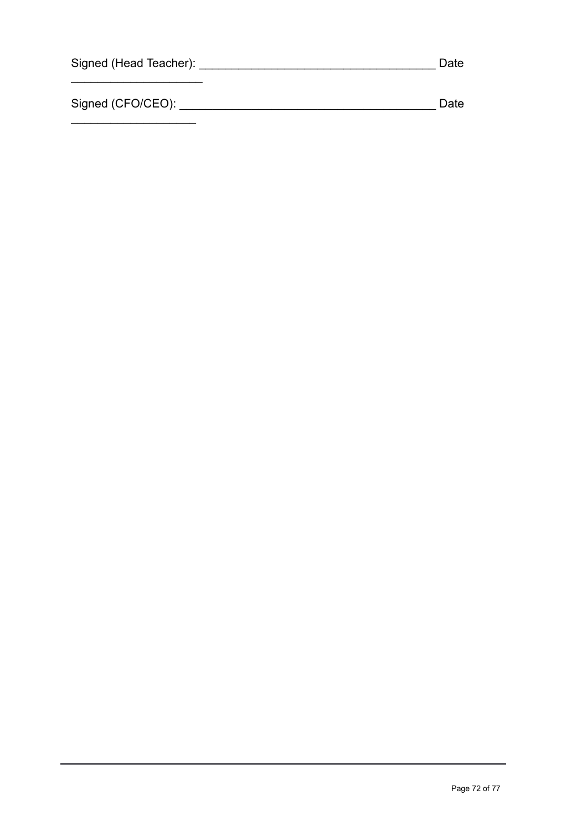| Signed (Head Teacher): | Date |
|------------------------|------|
|                        |      |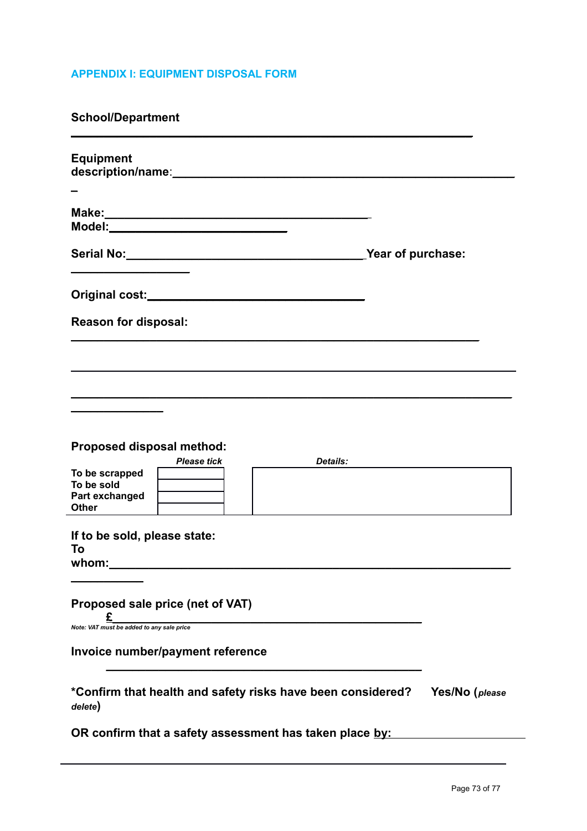# **APPENDIX I: EQUIPMENT DISPOSAL FORM**

**School/Department**

| <b>Equipment</b>                                                                                                                     |                |
|--------------------------------------------------------------------------------------------------------------------------------------|----------------|
|                                                                                                                                      |                |
|                                                                                                                                      |                |
|                                                                                                                                      |                |
| <b>Reason for disposal:</b>                                                                                                          |                |
|                                                                                                                                      |                |
|                                                                                                                                      |                |
| <b>Proposed disposal method:</b><br><b>Please tick</b><br>Details:<br>To be scrapped<br>To be sold<br>Part exchanged<br><b>Other</b> |                |
| If to be sold, please state:<br>To<br>whom:                                                                                          |                |
| Proposed sale price (net of VAT)<br>Note: VAT must be added to any sale price                                                        |                |
| Invoice number/payment reference                                                                                                     |                |
| *Confirm that health and safety risks have been considered?<br>delete)                                                               | Yes/No (please |
| OR confirm that a safety assessment has taken place by:                                                                              |                |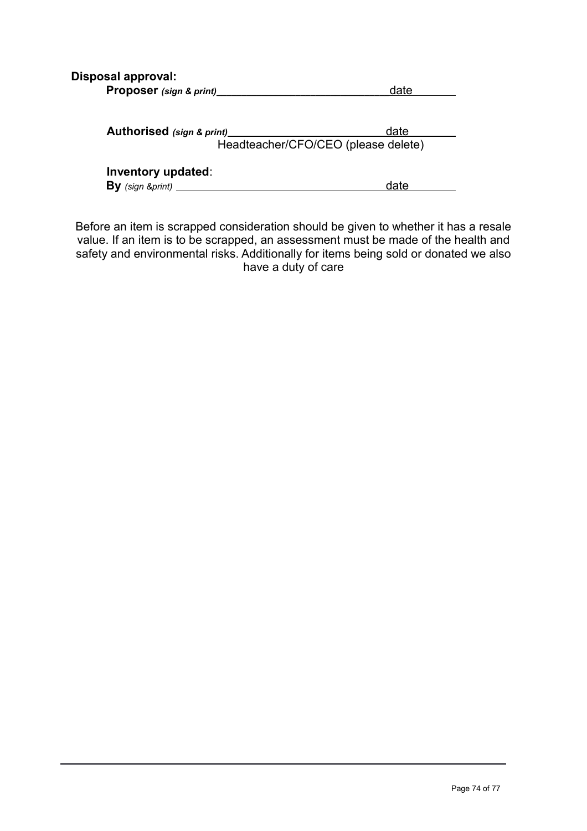|  | <b>Disposal approval:</b> |
|--|---------------------------|
|--|---------------------------|

| Proposer (sign & print)_____ | date                                        |
|------------------------------|---------------------------------------------|
| Authorised (sign & print)    | date<br>Headteacher/CFO/CEO (please delete) |
| Inventory updated:           | date                                        |

Before an item is scrapped consideration should be given to whether it has a resale value. If an item is to be scrapped, an assessment must be made of the health and safety and environmental risks. Additionally for items being sold or donated we also have a duty of care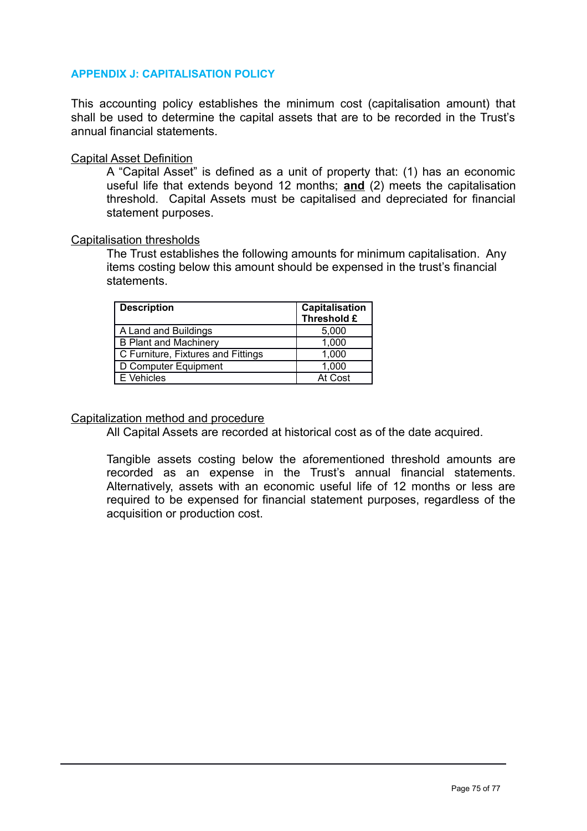## **APPENDIX J: CAPITALISATION POLICY**

This accounting policy establishes the minimum cost (capitalisation amount) that shall be used to determine the capital assets that are to be recorded in the Trust's annual financial statements.

#### Capital Asset Definition

A "Capital Asset" is defined as a unit of property that: (1) has an economic useful life that extends beyond 12 months; **and** (2) meets the capitalisation threshold. Capital Assets must be capitalised and depreciated for financial statement purposes.

#### Capitalisation thresholds

The Trust establishes the following amounts for minimum capitalisation. Any items costing below this amount should be expensed in the trust's financial statements.

| <b>Description</b>                 | Capitalisation<br>Threshold £ |
|------------------------------------|-------------------------------|
| A Land and Buildings               | 5,000                         |
| <b>B Plant and Machinery</b>       | 1,000                         |
| C Furniture, Fixtures and Fittings | 1,000                         |
| D Computer Equipment               | 1,000                         |
| E Vehicles                         | At Cost                       |

#### Capitalization method and procedure

All Capital Assets are recorded at historical cost as of the date acquired.

Tangible assets costing below the aforementioned threshold amounts are recorded as an expense in the Trust's annual financial statements. Alternatively, assets with an economic useful life of 12 months or less are required to be expensed for financial statement purposes, regardless of the acquisition or production cost.